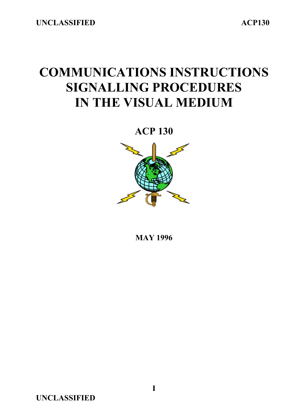**UNCLASSIFIED ACP130**

# **COMMUNICATIONS INSTRUCTIONS SIGNALLING PROCEDURES IN THE VISUAL MEDIUM**

**ACP 130**



**MAY 1996**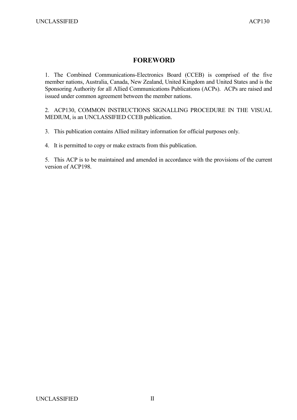# **FOREWORD**

1. The Combined Communications-Electronics Board (CCEB) is comprised of the five member nations, Australia, Canada, New Zealand, United Kingdom and United States and is the Sponsoring Authority for all Allied Communications Publications (ACPs). ACPs are raised and issued under common agreement between the member nations.

2. ACP130, COMMON INSTRUCTIONS SIGNALLING PROCEDURE IN THE VISUAL MEDIUM, is an UNCLASSIFIED CCEB publication.

3. This publication contains Allied military information for official purposes only.

4. It is permitted to copy or make extracts from this publication.

5. This ACP is to be maintained and amended in accordance with the provisions of the current version of ACP198.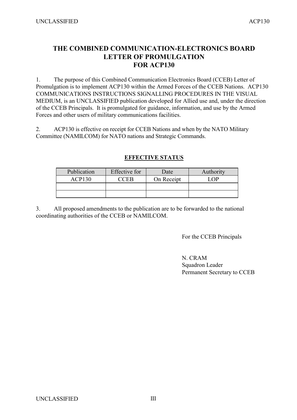# **THE COMBINED COMMUNICATION-ELECTRONICS BOARD LETTER OF PROMULGATION FOR ACP130**

1. The purpose of this Combined Communication Electronics Board (CCEB) Letter of Promulgation is to implement ACP130 within the Armed Forces of the CCEB Nations. ACP130 COMMUNICATIONS INSTRUCTIONS SIGNALLING PROCEDURES IN THE VISUAL MEDIUM, is an UNCLASSIFIED publication developed for Allied use and, under the direction of the CCEB Principals. It is promulgated for guidance, information, and use by the Armed Forces and other users of military communications facilities.

2. ACP130 is effective on receipt for CCEB Nations and when by the NATO Military Committee (NAMILCOM) for NATO nations and Strategic Commands.

| Publication | Effective for | Date       | Authority |
|-------------|---------------|------------|-----------|
| ACP130      | ™FR           | On Receipt | $\Omega$  |
|             |               |            |           |
|             |               |            |           |

# **EFFECTIVE STATUS**

3. All proposed amendments to the publication are to be forwarded to the national coordinating authorities of the CCEB or NAMILCOM.

For the CCEB Principals

N. CRAM Squadron Leader Permanent Secretary to CCEB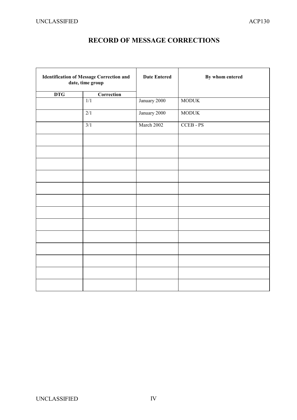# **RECORD OF MESSAGE CORRECTIONS**

| <b>Identification of Message Correction and</b><br>date, time group |                  | <b>Date Entered</b> | By whom entered |
|---------------------------------------------------------------------|------------------|---------------------|-----------------|
| <b>DTG</b>                                                          | Correction       |                     |                 |
|                                                                     | $\overline{1/1}$ | January 2000        | <b>MODUK</b>    |
|                                                                     | $\overline{2}/1$ | January 2000        | <b>MODUK</b>    |
|                                                                     | 3/1              | March 2002          | CCEB-PS         |
|                                                                     |                  |                     |                 |
|                                                                     |                  |                     |                 |
|                                                                     |                  |                     |                 |
|                                                                     |                  |                     |                 |
|                                                                     |                  |                     |                 |
|                                                                     |                  |                     |                 |
|                                                                     |                  |                     |                 |
|                                                                     |                  |                     |                 |
|                                                                     |                  |                     |                 |
|                                                                     |                  |                     |                 |
|                                                                     |                  |                     |                 |
|                                                                     |                  |                     |                 |
|                                                                     |                  |                     |                 |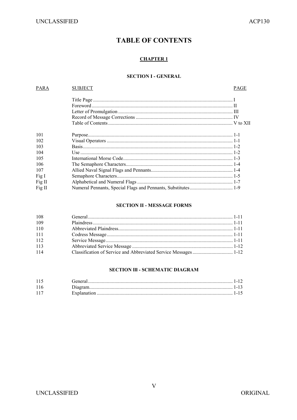# **TABLE OF CONTENTS**

# **CHAPTER 1**

# **SECTION I - GENERAL**

| <b>PARA</b> | <b>SUBJECT</b> | <b>PAGE</b> |
|-------------|----------------|-------------|
|             |                |             |
|             |                |             |
|             |                |             |
|             |                |             |
|             |                |             |
| 101         |                |             |
| 102         |                |             |
| 103         |                |             |
| 104         |                |             |
| 105         |                |             |
| 106         |                |             |
| 107         |                |             |
| Fig I       |                |             |
| Fig $II$    |                |             |
| Fig II      |                |             |

# **SECTION II - MESSAGE FORMS**

| 108 |  |
|-----|--|
| 109 |  |
| 110 |  |
| 111 |  |
| 112 |  |
| 113 |  |
| 114 |  |

# **SECTION III - SCHEMATIC DIAGRAM**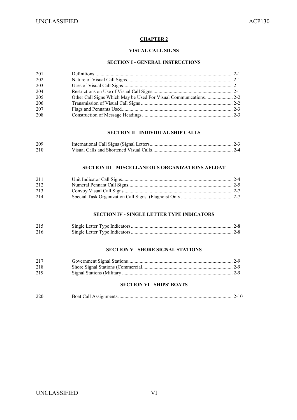#### **VISUAL CALL SIGNS**

#### **SECTION I - GENERAL INSTRUCTIONS**

| 201 |  |
|-----|--|
| 202 |  |
| 203 |  |
| 204 |  |
| 205 |  |
| 206 |  |
| 207 |  |
| 208 |  |

#### **SECTION II - INDIVIDUAL SHIP CALLS**

| 209 |  |  |
|-----|--|--|
| 210 |  |  |

#### **SECTION III - MISCELLANEOUS ORGANIZATIONS AFLOAT**

| 211 |  |
|-----|--|
| 212 |  |
| 213 |  |
| 214 |  |
|     |  |

#### **SECTION IV - SINGLE LETTER TYPE INDICATORS**

| 215 |  |
|-----|--|
| 216 |  |

#### **SECTION V - SHORE SIGNAL STATIONS**

| 217 |  |
|-----|--|
| 218 |  |
| 219 |  |

#### **SECTION VI - SHIPS' BOATS**

| 220 |  |  |  |  |
|-----|--|--|--|--|
|-----|--|--|--|--|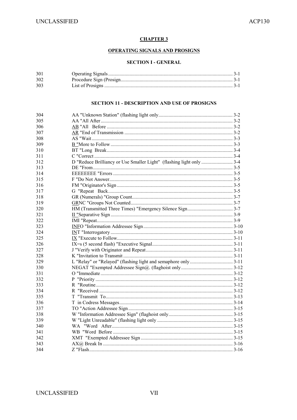## **OPERATING SIGNALS AND PROSIGNS**

#### **SECTION I - GENERAL**

| 301 |  |
|-----|--|
| 302 |  |
| 303 |  |

# **SECTION 11 - DESCRIPTION AND USE OF PROSIGNS**

| 304 |                                                                     |  |
|-----|---------------------------------------------------------------------|--|
| 305 |                                                                     |  |
| 306 |                                                                     |  |
| 307 |                                                                     |  |
| 308 |                                                                     |  |
| 309 |                                                                     |  |
| 310 |                                                                     |  |
| 311 |                                                                     |  |
| 312 | D "Reduce Brilliancy or Use Smaller Light" (flashing light only 3-4 |  |
| 313 |                                                                     |  |
| 314 |                                                                     |  |
| 315 |                                                                     |  |
| 316 |                                                                     |  |
| 317 |                                                                     |  |
| 318 |                                                                     |  |
| 319 |                                                                     |  |
| 320 |                                                                     |  |
| 321 |                                                                     |  |
| 322 |                                                                     |  |
| 323 |                                                                     |  |
| 324 |                                                                     |  |
| 325 |                                                                     |  |
| 326 |                                                                     |  |
| 327 |                                                                     |  |
| 328 |                                                                     |  |
| 329 |                                                                     |  |
| 330 |                                                                     |  |
| 331 |                                                                     |  |
| 332 |                                                                     |  |
| 333 |                                                                     |  |
| 334 |                                                                     |  |
| 335 |                                                                     |  |
| 336 |                                                                     |  |
| 337 |                                                                     |  |
| 338 |                                                                     |  |
| 339 |                                                                     |  |
| 340 |                                                                     |  |
| 341 |                                                                     |  |
| 342 |                                                                     |  |
| 343 |                                                                     |  |
| 344 |                                                                     |  |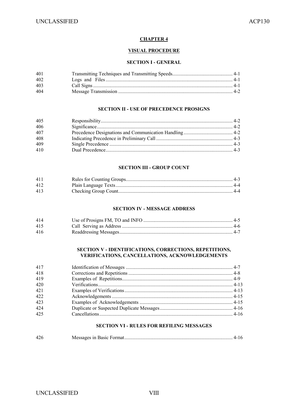#### **VISUAL PROCEDURE**

#### **SECTION I - GENERAL**

| 401 |  |
|-----|--|
| 402 |  |
| 403 |  |
| 404 |  |

#### **SECTION II - USE OF PRECEDENCE PROSIGNS**

| 405 |  |
|-----|--|
| 406 |  |
| 407 |  |
| 408 |  |
| 409 |  |
| 410 |  |

# **SECTION III - GROUP COUNT**

| 411 |  |
|-----|--|
| 412 |  |
| 413 |  |

#### **SECTION IV - MESSAGE ADDRESS**

| 414 |     |
|-----|-----|
| 415 |     |
| 416 | 4-7 |

#### SECTION V - IDENTIFICATIONS, CORRECTIONS, REPETITIONS, VERIFICATIONS, CANCELLATIONS, ACKNOWLEDGEMENTS

| 417 |  |
|-----|--|
| 418 |  |
| 419 |  |
| 420 |  |
| 421 |  |
| 422 |  |
| 423 |  |
| 424 |  |
| 425 |  |

# **SECTION VI - RULES FOR REFILING MESSAGES**

| 426 |  |  |  |  |
|-----|--|--|--|--|
|-----|--|--|--|--|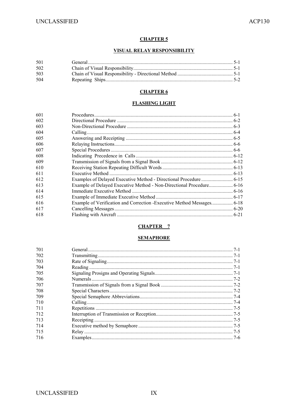## **VISUAL RELAY RESPONSIBILITY**

| 501 |  |
|-----|--|
| 502 |  |
| 503 |  |
| 504 |  |

# **CHAPTER 6**

## **FLASHING LIGHT**

| 601 |                                                                         |  |
|-----|-------------------------------------------------------------------------|--|
| 602 |                                                                         |  |
| 603 |                                                                         |  |
| 604 |                                                                         |  |
| 605 |                                                                         |  |
| 606 |                                                                         |  |
| 607 |                                                                         |  |
| 608 |                                                                         |  |
| 609 |                                                                         |  |
| 610 |                                                                         |  |
| 611 |                                                                         |  |
| 612 |                                                                         |  |
| 613 |                                                                         |  |
| 614 |                                                                         |  |
| 615 |                                                                         |  |
| 616 | Example of Verification and Correction - Executive Method Messages 6-18 |  |
| 617 |                                                                         |  |
| 618 |                                                                         |  |

# **CHAPTER 7**

## **SEMAPHORE**

| 701 |  |
|-----|--|
| 702 |  |
| 703 |  |
| 704 |  |
| 705 |  |
| 706 |  |
| 707 |  |
| 708 |  |
| 709 |  |
| 710 |  |
| 711 |  |
| 712 |  |
| 713 |  |
| 714 |  |
| 715 |  |
| 716 |  |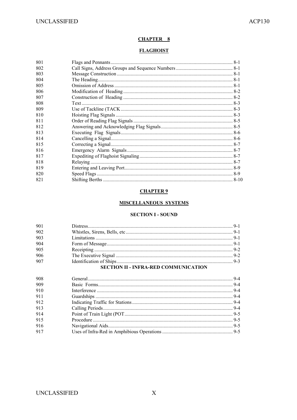## **FLAGHOIST**

| 801 |  |
|-----|--|
| 802 |  |
| 803 |  |
| 804 |  |
| 805 |  |
| 806 |  |
| 807 |  |
| 808 |  |
| 809 |  |
| 810 |  |
| 811 |  |
| 812 |  |
| 813 |  |
| 814 |  |
| 815 |  |
| 816 |  |
| 817 |  |
| 818 |  |
| 819 |  |
| 820 |  |
| 821 |  |
|     |  |

## **CHAPTER 9**

# **MISCELLANEOUS SYSTEMS**

#### **SECTION I - SOUND**

| 901 |  |
|-----|--|
| 902 |  |
| 903 |  |
| 904 |  |
| 905 |  |
| 906 |  |
| 907 |  |
|     |  |

#### **SECTION II - INFRA-RED COMMUNICATION**

| 908 |                        |  |
|-----|------------------------|--|
| 909 |                        |  |
| 910 |                        |  |
| 911 |                        |  |
| 912 |                        |  |
| 913 |                        |  |
| 914 |                        |  |
| 915 | Procedure $\ldots$ 9-5 |  |
| 916 |                        |  |
| 917 |                        |  |
|     |                        |  |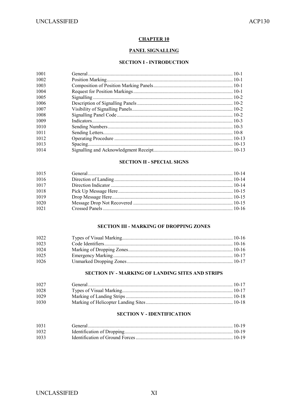## **PANEL SIGNALLING**

#### **SECTION I - INTRODUCTION**

| 1001 |  |
|------|--|
| 1002 |  |
| 1003 |  |
| 1004 |  |
| 1005 |  |
| 1006 |  |
| 1007 |  |
| 1008 |  |
| 1009 |  |
| 1010 |  |
| 1011 |  |
| 1012 |  |
| 1013 |  |
| 1014 |  |

# **SECTION II - SPECIAL SIGNS**

| 1015 |  |
|------|--|
| 1016 |  |
| 1017 |  |
| 1018 |  |
| 1019 |  |
| 1020 |  |
| 1021 |  |

#### **SECTION III - MARKING OF DROPPING ZONES**

| 1022 |  |
|------|--|
| 1023 |  |
| 1024 |  |
| 1025 |  |
| 1026 |  |

#### **SECTION IV - MARKING OF LANDING SITES AND STRIPS**

| 1027 |  |
|------|--|
| 1028 |  |
| 1029 |  |
| 1030 |  |

#### **SECTION V - IDENTIFICATION**

| 1031 |  |
|------|--|
| 1032 |  |
| 1033 |  |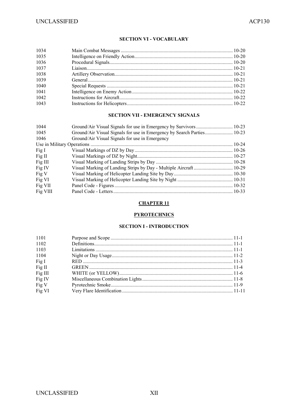# **SECTION VI - VOCABULARY**

| 1034 |  |
|------|--|
| 1035 |  |
| 1036 |  |
| 1037 |  |
| 1038 |  |
| 1039 |  |
| 1040 |  |
| 1041 |  |
| 1042 |  |
| 1043 |  |

#### **SECTION VII - EMERGENCY SIGNALS**

| 1044     |                                                                        |  |
|----------|------------------------------------------------------------------------|--|
| 1045     | Ground/Air Visual Signals for use in Emergency by Search Parties 10-23 |  |
| 1046     | Ground/Air Visual Signals for use in Emergency                         |  |
|          |                                                                        |  |
| Fig I    |                                                                        |  |
| Fig II   |                                                                        |  |
| Fig III  |                                                                        |  |
| Fig IV   |                                                                        |  |
| Fig V    |                                                                        |  |
| Fig VI   |                                                                        |  |
| Fig VII  |                                                                        |  |
| Fig VIII |                                                                        |  |

# **CHAPTER 11**

## **PYROTECHNICS**

# **SECTION I - INTRODUCTION**

| 1101    |  |
|---------|--|
| 1102    |  |
| 1103    |  |
| 1104    |  |
| Fig I   |  |
| Fig II  |  |
| Fig III |  |
| Fig IV  |  |
| Fig V   |  |
| Fig VI  |  |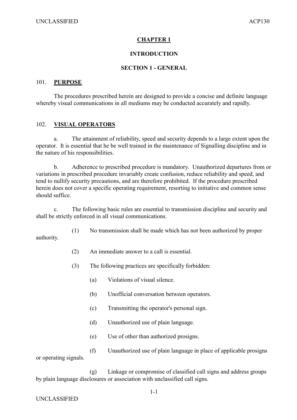# **INTRODUCTION**

# **SECTION 1 - GENERAL**

# 101. **PURPOSE**

The procedures prescribed herein are designed to provide a concise and definite language whereby visual communications in all mediums may be conducted accurately and rapidly.

# 102. **VISUAL OPERATORS**

a. The attainment of reliability, speed and security depends to a large extent upon the operator. It is essential that he be well trained in the maintenance of Signalling discipline and in the nature of his responsibilities.

b. Adherence to prescribed procedure is mandatory. Unauthorized departures from or variations in prescribed procedure invariably create confusion, reduce reliability and speed, and tend to nullify security precautions, and are therefore prohibited. If the procedure prescribed herein does not cover a specific operating requirement, resorting to initiative and common sense should suffice.

c. The following basic rules are essential to transmission discipline and security and shall be strictly enforced in all visual communications.

(1) No transmission shall be made which has not been authorized by proper authority.

- (2) An immediate answer to a call is essential.
- (3) The following practices are specifically forbidden:
	- (a) Violations of visual silence.
	- (b) Unofficial conversation between operators.
	- (c) Transmitting the operator's personal sign.
	- (d) Unauthorized use of plain language.
	- (e) Use of other than authorized prosigns.

(f) Unauthorized use of plain language in place of applicable prosigns or operating signals.

(g) Linkage or compromise of classified call signs and address groups by plain language disclosures or association with unclassified call signs.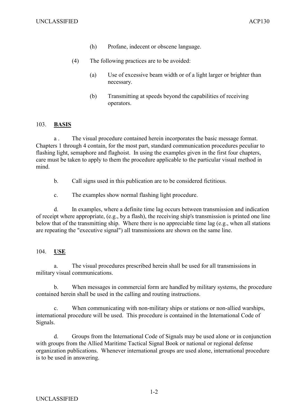- (h) Profane, indecent or obscene language.
- (4) The following practices are to be avoided:
	- (a) Use of excessive beam width or of a light larger or brighter than necessary.
	- (b) Transmitting at speeds beyond the capabilities of receiving operators.

# 103. **BASIS**

a . The visual procedure contained herein incorporates the basic message format. Chapters 1 through 4 contain, for the most part, standard communication procedures peculiar to flashing light, semaphore and flaghoist. In using the examples given in the first four chapters, care must be taken to apply to them the procedure applicable to the particular visual method in mind.

- b. Call signs used in this publication are to be considered fictitious.
- c. The examples show normal flashing light procedure.

d. In examples, where a definite time lag occurs between transmission and indication of receipt where appropriate, (e.g., by a flash), the receiving ship's transmission is printed one line below that of the transmitting ship. Where there is no appreciable time lag (e.g., when all stations are repeating the "executive signal") all transmissions are shown on the same line.

# 104. **USE**

a. The visual procedures prescribed herein shall be used for all transmissions in military visual communications.

b. When messages in commercial form are handled by military systems, the procedure contained herein shall be used in the calling and routing instructions.

c. When communicating with non-military ships or stations or non-allied warships, international procedure will be used. This procedure is contained in the International Code of Signals.

d. Groups from the International Code of Signals may be used alone or in conjunction with groups from the Allied Maritime Tactical Signal Book or national or regional defense organization publications. Whenever international groups are used alone, international procedure is to be used in answering.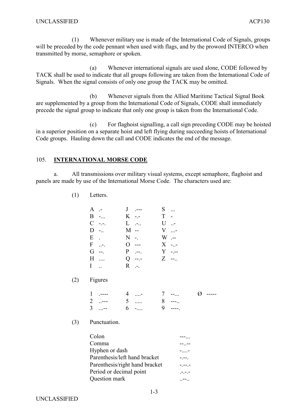(1) Whenever military use is made of the International Code of Signals, groups will be preceded by the code pennant when used with flags, and by the proword INTERCO when transmitted by morse, semaphore or spoken.

(a) Whenever international signals are used alone, CODE followed by TACK shall be used to indicate that all groups following are taken from the International Code of Signals. When the signal consists of only one group the TACK may be omitted.

(b) Whenever signals from the Allied Maritime Tactical Signal Book are supplemented by a group from the International Code of Signals, CODE shall immediately precede the signal group to indicate that only one group is taken from the International Code.

(c) For flaghoist signalling, a call sign preceding CODE may be hoisted in a superior position on a separate hoist and left flying during succeeding hoists of International Code groups. Hauling down the call and CODE indicates the end of the message.

# 105. **INTERNATIONAL MORSE CODE**

a. All transmissions over military visual systems, except semaphore, flaghoist and panels are made by use of the International Morse Code. The characters used are:

(1) Letters.

| $A -$     |          |               | $J$ ---      | S      |          |
|-----------|----------|---------------|--------------|--------|----------|
|           | $B$ -    | $K - -$       |              |        | $T -$    |
|           | $C$ -.-. |               | L .-         | $U$ -  |          |
| $D -$ .   |          | $M -$         |              |        | $V$ -    |
| $E$ .     |          | N -.          |              | $W$ -- |          |
|           | $F$      | $0 -$         |              |        | $X - -$  |
| $G$ --.   |          |               | $P \quad --$ |        | $Y - -$  |
| H         |          |               | $Q - -$      |        | $Z - -1$ |
| $I \dots$ |          | $R_{\cdot}$ . |              |        |          |

(2) Figures

| $\mathbf{1}$   | ----<br>$\sim$ | $\ldots$ - |   | $- -$<br>$\ddotsc$     |  |
|----------------|----------------|------------|---|------------------------|--|
| $\overline{2}$ | المعجزين       | $5$        |   | ---<br>$\cdot$ $\cdot$ |  |
|                | 3 --           | $6 - $     | 9 | ----                   |  |

# (3) Punctuation.

| Colon                          |  |
|--------------------------------|--|
| Comma                          |  |
| Hyphen or dash                 |  |
| Parenthesis/left hand bracket  |  |
| Parenthesis/right hand bracket |  |
| Period or decimal point        |  |
| Question mark                  |  |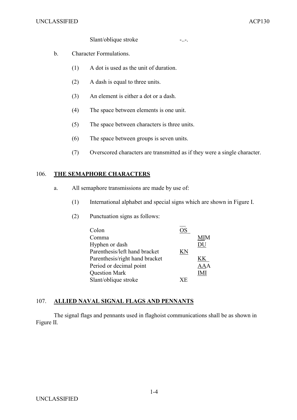#### Slant/oblique stroke -..-.

- b. Character Formulations.
	- (1) A dot is used as the unit of duration.
	- (2) A dash is equal to three units.
	- (3) An element is either a dot or a dash.
	- (4) The space between elements is one unit.
	- (5) The space between characters is three units.
	- (6) The space between groups is seven units.
	- (7) Overscored characters are transmitted as if they were a single character.

# 106. **THE SEMAPHORE CHARACTERS**

- a. All semaphore transmissions are made by use of:
	- (1) International alphabet and special signs which are shown in Figure I.
	- (2) Punctuation signs as follows:

| Colon                          |    |            |
|--------------------------------|----|------------|
| Comma                          |    | <b>MIM</b> |
| Hyphen or dash                 |    |            |
| Parenthesis/left hand bracket  | ΚN |            |
| Parenthesis/right hand bracket |    | KK         |
| Period or decimal point        |    | <b>AAA</b> |
| <b>Question Mark</b>           |    | IMI        |
| Slant/oblique stroke           | ХE |            |

# 107. **ALLIED NAVAL SIGNAL FLAGS AND PENNANTS**

The signal flags and pennants used in flaghoist communications shall be as shown in Figure II.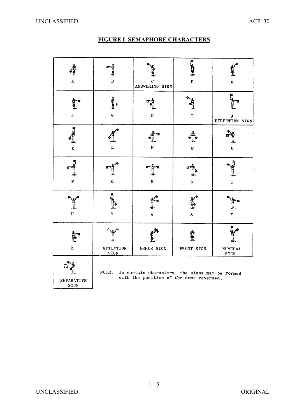| $\pmb{\mathrm{A}}$                  | B                                | С<br>ANSWERING SIGN                                                                       | p<br>$\mathbf D$  | E                             |
|-------------------------------------|----------------------------------|-------------------------------------------------------------------------------------------|-------------------|-------------------------------|
| $\overline{\mathbf{F}}$             | ${\bf G}$                        | $\, {\bf H}$                                                                              | $\mathbf I$       | J<br>DIRECTION SIGN           |
| $\mathbf K$                         | $\mathbf L$                      | M                                                                                         | $\mathbf N$       | n                             |
| $\mathbf P$                         | Q                                | $\mathbf R$                                                                               | $\mathbf S$       | T                             |
| $\mathbf U$                         | в<br>v                           | W                                                                                         | P<br>$\mathbf{x}$ | Y                             |
| $\rm{z}$                            | <b>ATTENTION</b><br>${\tt SIGN}$ | ERROR SIGN                                                                                | FRONT SIGN        | <b>NUMERAL</b><br><b>SIGN</b> |
| <b>SEPARATIVE</b><br>${\tt S\,IGN}$ | NOTE:                            | In certain characters, the signs may be formed<br>with the position of the arms reversed. |                   |                               |

# **FIGURE I SEMAPHORE CHARACTERS**

 $\mathsf{l}$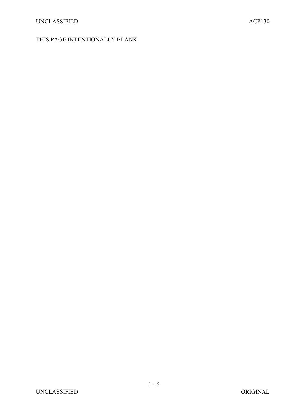# THIS PAGE INTENTIONALLY BLANK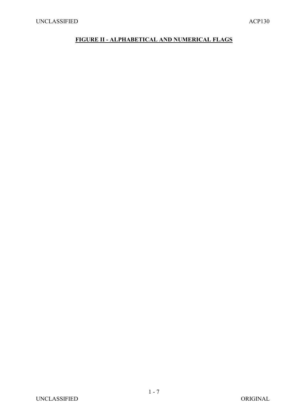# **FIGURE II - ALPHABETICAL AND NUMERICAL FLAGS**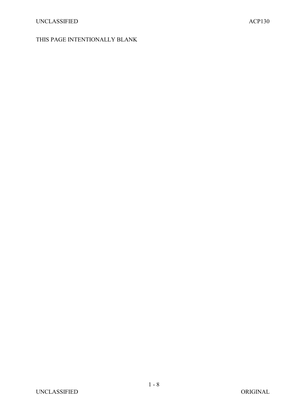# THIS PAGE INTENTIONALLY BLANK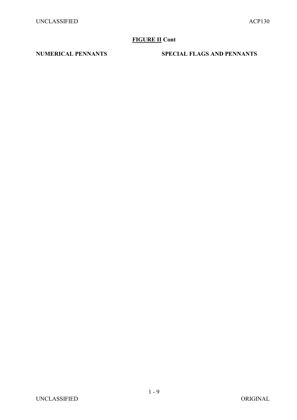# **FIGURE II Cont**

**NUMERICAL PENNANTS SPECIAL FLAGS AND PENNANTS**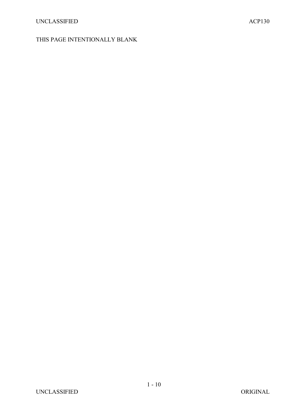# THIS PAGE INTENTIONALLY BLANK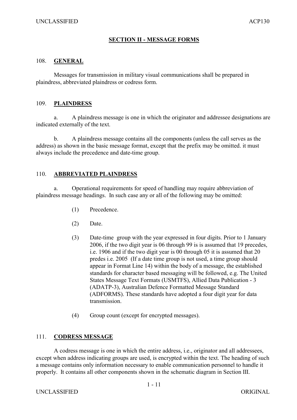# **SECTION II - MESSAGE FORMS**

# 108. **GENERAL**

Messages for transmission in military visual communications shall be prepared in plaindress, abbreviated plaindress or codress form.

# 109. **PLAINDRESS**

a. A plaindress message is one in which the originator and addressee designations are indicated externally of the text.

b. A plaindress message contains all the components (unless the call serves as the address) as shown in the basic message format, except that the prefix may be omitted. it must always include the precedence and date-time group.

# 110. **ABBREVIATED PLAINDRESS**

a. Operational requirements for speed of handling may require abbreviation of plaindress message headings. In such case any or all of the following may be omitted:

- (1) Precedence.
- (2) Date.
- (3) Date-time group with the year expressed in four digits. Prior to 1 January 2006, if the two digit year is 06 through 99 is is assumed that 19 precedes, i.e. 1906 and if the two digit year is 00 through 05 it is assumed that 20 predes i.e. 2005 (If a date time group is not used, a time group should appear in Format Line 14) within the body of a message, the established standards for character based messaging will be followed, e.g. The United States Message Text Formats (USMTFS), Allied Data Publication - 3 (ADATP-3), Australian Defence Formatted Message Standard (ADFORMS). These standards have adopted a four digit year for data transmission.
- (4) Group count (except for encrypted messages).

# 111. **CODRESS MESSAGE**

A codress message is one in which the entire address, i.e., originator and all addressees, except when address indicating groups are used, is encrypted within the text. The heading of such a message contains only information necessary to enable communication personnel to handle it properly. It contains all other components shown in the schematic diagram in Section III.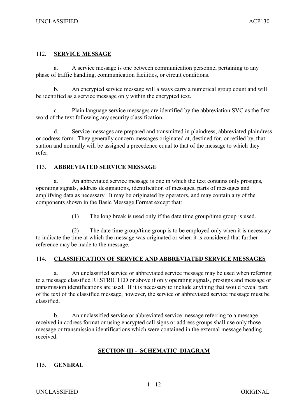# 112. **SERVICE MESSAGE**

a. A service message is one between communication personnel pertaining to any phase of traffic handling, communication facilities, or circuit conditions.

b. An encrypted service message will always carry a numerical group count and will be identified as a service message only within the encrypted text.

Plain language service messages are identified by the abbreviation SVC as the first word of the text following any security classification.

d. Service messages are prepared and transmitted in plaindress, abbreviated plaindress or codress form. They generally concern messages originated at, destined for, or refiled by, that station and normally will be assigned a precedence equal to that of the message to which they refer.

# 113. **ABBREVIATED SERVICE MESSAGE**

a. An abbreviated service message is one in which the text contains only prosigns, operating signals, address designations, identification of messages, parts of messages and amplifying data as necessary. It may be originated by operators, and may contain any of the components shown in the Basic Message Format except that:

(1) The long break is used only if the date time group/time group is used.

(2) The date time group/time group is to be employed only when it is necessary to indicate the time at which the message was originated or when it is considered that further reference may be made to the message.

# 114. **CLASSIFICATION OF SERVICE AND ABBREVIATED SERVICE MESSAGES**

a. An unclassified service or abbreviated service message may be used when referring to a message classified RESTRICTED or above if only operating signals, prosigns and message or transmission identifications are used. If it is necessary to include anything that would reveal part of the text of the classified message, however, the service or abbreviated service message must be classified.

b. An unclassified service or abbreviated service message referring to a message received in codress format or using encrypted call signs or address groups shall use only those message or transmission identifications which were contained in the external message heading received.

# **SECTION III - SCHEMATIC DIAGRAM**

# 115. **GENERAL**

UNCLASSIFIED ORIGINAL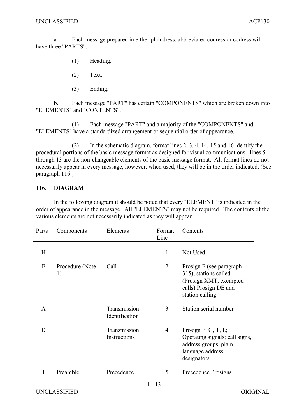- (1) Heading.
- (2) Text.
- (3) Ending.

b. Each message "PART" has certain "COMPONENTS" which are broken down into "ELEMENTS" and "CONTENTS".

(1) Each message "PART" and a majority of the "COMPONENTS" and "ELEMENTS" have a standardized arrangement or sequential order of appearance.

(2) In the schematic diagram, format lines 2, 3, 4, 14, 15 and 16 identify the procedural portions of the basic message format as designed for visual communications. lines 5 through 13 are the non-changeable elements of the basic message format. All format lines do not necessarily appear in every message, however, when used, they will be in the order indicated. (See paragraph 116.)

# 116. **DIAGRAM**

In the following diagram it should be noted that every "ELEMENT" is indicated in the order of appearance in the message. All "ELEMENTS" may not be required. The contents of the various elements are not necessarily indicated as they will appear.

| Parts | Components            | Elements                       | Format<br>Line | Contents                                                                                                                 |
|-------|-----------------------|--------------------------------|----------------|--------------------------------------------------------------------------------------------------------------------------|
| H     |                       |                                | 1              | Not Used                                                                                                                 |
| E     | Procedure (Note<br>1) | Call                           | 2              | Prosign F (see paragraph)<br>315), stations called<br>(Prosign XMT, exempted<br>calls) Prosign DE and<br>station calling |
| A     |                       | Transmission<br>Identification | 3              | Station serial number                                                                                                    |
| D     |                       | Transmission<br>Instructions   | $\overline{4}$ | Prosign $F, G, T, L$ ;<br>Operating signals; call signs,<br>address groups, plain<br>language address<br>designators.    |
|       | Preamble              | Precedence                     | 5              | Precedence Prosigns                                                                                                      |
|       |                       |                                | $1 - 13$       |                                                                                                                          |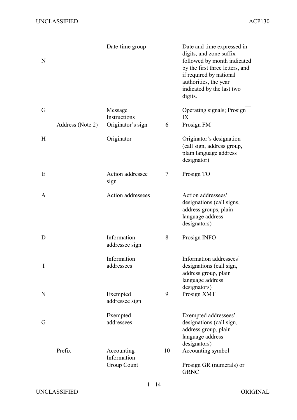| N |                  | Date-time group                          |    | Date and time expressed in<br>digits, and zone suffix<br>followed by month indicated<br>by the first three letters, and<br>if required by national<br>authorities, the year<br>indicated by the last two<br>digits. |
|---|------------------|------------------------------------------|----|---------------------------------------------------------------------------------------------------------------------------------------------------------------------------------------------------------------------|
| G |                  | Message<br>Instructions                  |    | Operating signals; Prosign<br>IX                                                                                                                                                                                    |
|   | Address (Note 2) | Originator's sign                        | 6  | Prosign FM                                                                                                                                                                                                          |
| H |                  | Originator                               |    | Originator's designation<br>(call sign, address group,<br>plain language address<br>designator)                                                                                                                     |
| E |                  | Action addressee<br>sign                 | 7  | Prosign TO                                                                                                                                                                                                          |
| A |                  | Action addressees                        |    | Action addressees'<br>designations (call signs,<br>address groups, plain<br>language address<br>designators)                                                                                                        |
| D |                  | Information<br>addressee sign            | 8  | Prosign INFO                                                                                                                                                                                                        |
| I |                  | Information<br>addressees                |    | Information addressees'<br>designations (call sign,<br>address group, plain<br>language address<br>designators)                                                                                                     |
| N |                  | Exempted<br>addressee sign               | 9  | Prosign XMT                                                                                                                                                                                                         |
| G |                  | Exempted<br>addressees                   |    | Exempted addressees'<br>designations (call sign,<br>address group, plain<br>language address<br>designators)                                                                                                        |
|   | Prefix           | Accounting<br>Information<br>Group Count | 10 | Accounting symbol<br>Prosign GR (numerals) or<br><b>GRNC</b>                                                                                                                                                        |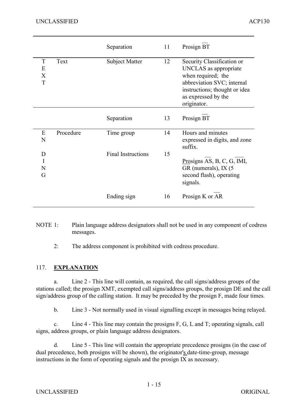|                             |           | Separation                | 11 | Prosign BT                                                                                                                                                                     |
|-----------------------------|-----------|---------------------------|----|--------------------------------------------------------------------------------------------------------------------------------------------------------------------------------|
| T<br>E<br>$\mathbf{X}$<br>T | Text      | Subject Matter            | 12 | Security Classification or<br>UNCLAS as appropriate<br>when required; the<br>abbreviation SVC; internal<br>instructions; thought or idea<br>as expressed by the<br>originator. |
|                             |           | Separation                | 13 | Prosign BT                                                                                                                                                                     |
| E<br>N                      | Procedure | Time group                | 14 | Hours and minutes<br>expressed in digits, and zone<br>suffix.                                                                                                                  |
| D<br>N<br>G                 |           | <b>Final Instructions</b> | 15 | Prosigns AS, B, C, G, IMI,<br>GR (numerals), IX (5)<br>second flash), operating<br>signals.                                                                                    |
|                             |           | Ending sign               | 16 | Prosign K or AR                                                                                                                                                                |

NOTE 1: Plain language address designators shall not be used in any component of codress messages.

2: The address component is prohibited with codress procedure.

# 117. **EXPLANATION**

a. Line 2 - This line will contain, as required, the call signs/address groups of the stations called; the prosign XMT, exempted call signs/address groups, the prosign DE and the call sign/address group of the calling station. It may be preceded by the prosign F, made four times.

b. Line 3 - Not normally used in visual signalling except in messages being relayed.

c. Line 4 - This line may contain the prosigns F, G, L and T; operating signals, call signs, address groups, or plain language address designators.

d. Line 5 - This line will contain the appropriate precedence prosigns (in the case of dual precedence, both prosigns will be shown), the originator's date-time-group, message instructions in the form of operating signals and the prosign IX as necessary.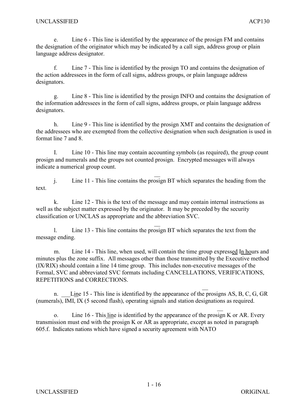e. Line 6 - This line is identified by the appearance of the prosign FM and contains the designation of the originator which may be indicated by a call sign, address group or plain language address designator.

f. Line 7 - This line is identified by the prosign TO and contains the designation of the action addressees in the form of call signs, address groups, or plain language address designators.

g. Line 8 - This line is identified by the prosign INFO and contains the designation of the information addressees in the form of call signs, address groups, or plain language address designators.

h. Line 9 - This line is identified by the prosign XMT and contains the designation of the addressees who are exempted from the collective designation when such designation is used in format line 7 and 8.

I. Line 10 - This line may contain accounting symbols (as required), the group count prosign and numerals and the groups not counted prosign. Encrypted messages will always indicate a numerical group count.

j. Line 11 - This line contains the prosign BT which separates the heading from the text.

 $\mathcal{L}$ 

k. Line 12 - This is the text of the message and may contain internal instructions as well as the subject matter expressed by the originator. It may be preceded by the security classification or UNCLAS as appropriate and the abbreviation SVC.

 $\mathcal{L}$ 

l. Line 13 - This line contains the prosign BT which separates the text from the message ending.

m. Line 14 - This line, when used, will contain the time group expressed In hours and minutes plus the zone suffix. All messages other than those transmitted by the Executive method (IX/RIX) should contain a line 14 time group. This includes non-executive messages of the Formal, SVC and abbreviated SVC formats including CANCELLATIONS, VERIFICATIONS, REPETITIONS and CORRECTIONS.

n. Line 15 - This line is identified by the appearance of the prosigns AS, B, C, G, GR (numerals), IMI, IX (5 second flash), operating signals and station designations as required.

 $\mathbb{Z}$ 

 $\mathcal{L}=\mathcal{L}$ 

o. Line 16 - This line is identified by the appearance of the prosign K or AR. Every transmission must end with the prosign K or AR as appropriate, except as noted in paragraph 605.f. Indicates nations which have signed a security agreement with NATO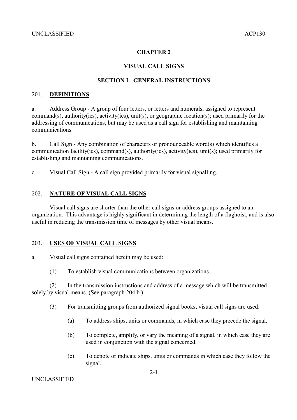# **VISUAL CALL SIGNS**

# **SECTION I - GENERAL INSTRUCTIONS**

## 201. **DEFINITIONS**

a. Address Group - A group of four letters, or letters and numerals, assigned to represent command(s), authority(ies), activity(ies), unit(s), or geographic location(s); used primarily for the addressing of communications, but may be used as a call sign for establishing and maintaining communications.

b. Call Sign - Any combination of characters or pronounceable word(s) which identifies a communication facility(ies), command(s), authority(ies), activity(ies), unit(s); used primarily for establishing and maintaining communications.

c. Visual Call Sign - A call sign provided primarily for visual signalling.

# 202. **NATURE OF VISUAL CALL SIGNS**

Visual call signs are shorter than the other call signs or address groups assigned to an organization. This advantage is highly significant in determining the length of a flaghoist, and is also useful in reducing the transmission time of messages by other visual means.

# 203. **USES OF VISUAL CALL SIGNS**

a. Visual call signs contained herein may be used:

(1) To establish visual communications between organizations.

(2) In the transmission instructions and address of a message which will be transmitted solely by visual means. (See paragraph 204.b.)

- (3) For transmitting groups from authorized signal books, visual call signs are used:
	- (a) To address ships, units or commands, in which case they precede the signal.
	- (b) To complete, amplify, or vary the meaning of a signal, in which case they are used in conjunction with the signal concerned.
	- (c) To denote or indicate ships, units or commands in which case they follow the signal.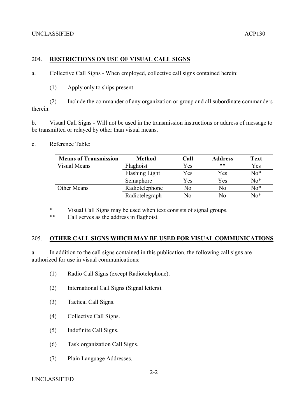# UNCLASSIFIED ACP130

# 204. **RESTRICTIONS ON USE OF VISUAL CALL SIGNS**

a. Collective Call Signs - When employed, collective call signs contained herein:

(1) Apply only to ships present.

(2) Include the commander of any organization or group and all subordinate commanders therein.

b. Visual Call Signs - Will not be used in the transmission instructions or address of message to be transmitted or relayed by other than visual means.

| Reference Table:<br>$\mathbf{c}$ . |
|------------------------------------|
|------------------------------------|

| <b>Means of Transmission</b> | <b>Method</b>         | Call | <b>Address</b> | <b>Text</b> |
|------------------------------|-----------------------|------|----------------|-------------|
| Visual Means                 | Flaghoist             | Yes  | **             | Yes         |
|                              | <b>Flashing Light</b> | Yes  | Yes            | $No*$       |
|                              | Semaphore             | Yes  | Yes            | $No*$       |
| Other Means                  | Radiotelephone        | No   | No             | $No*$       |
|                              | Radiotelegraph        | No   | No             | $No*$       |

\* Visual Call Signs may be used when text consists of signal groups.

\*\* Call serves as the address in flaghoist.

# 205. **OTHER CALL SIGNS WHICH MAY BE USED FOR VISUAL COMMUNICATIONS**

a. In addition to the call signs contained in this publication, the following call signs are authorized for use in visual communications:

- (1) Radio Call Signs (except Radiotelephone).
- (2) International Call Signs (Signal letters).
- (3) Tactical Call Signs.
- (4) Collective Call Signs.
- (5) Indefinite Call Signs.
- (6) Task organization Call Signs.
- (7) Plain Language Addresses.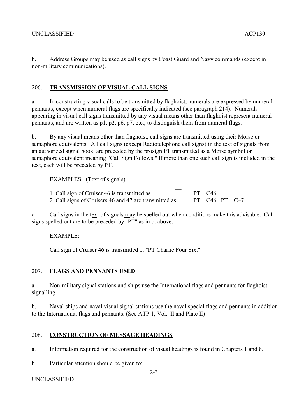b. Address Groups may be used as call signs by Coast Guard and Navy commands (except in non-military communications).

# 206. **TRANSMISSION OF VISUAL CALL SIGNS**

a. In constructing visual calls to be transmitted by flaghoist, numerals are expressed by numeral pennants, except when numeral flags are specifically indicated (see paragraph 214). Numerals appearing in visual call signs transmitted by any visual means other than flaghoist represent numeral pennants, and are written as p1, p2, p6, p7, etc., to distinguish them from numeral flags.

b. By any visual means other than flaghoist, call signs are transmitted using their Morse or semaphore equivalents. All call signs (except Radiotelephone call signs) in the text of signals from an authorized signal book, are preceded by the prosign PT transmitted as a Morse symbol or semaphore equivalent meaning "Call Sign Follows." If more than one such call sign is included in the text, each will be preceded by PT.

EXAMPLES: (Text of signals)

- 1. Call sign of Cruiser 46 is transmitted as............................ PT C46
- 2. Call signs of Cruisers 46 and 47 are transmitted as........... PT C46 PT C47

c. Call signs in the text of signals may be spelled out when conditions make this advisable. Call signs spelled out are to be preceded by "PT" as in b. above.

 $\overline{\phantom{a}}$ 

EXAMPLE:

Call sign of Cruiser 46 is transmitted ... "PT Charlie Four Six."

 $\sim$ 

# 207. **FLAGS AND PENNANTS USED**

a. Non-military signal stations and ships use the International flags and pennants for flaghoist signalling.

b. Naval ships and naval visual signal stations use the naval special flags and pennants in addition to the International flags and pennants. (See ATP 1, Vol. II and Plate II)

# 208. **CONSTRUCTION OF MESSAGE HEADINGS**

a. Information required for the construction of visual headings is found in Chapters 1 and 8.

b. Particular attention should be given to: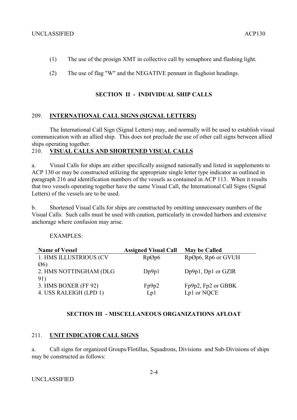- (1) The use of the prosign XMT in collective call by semaphore and flashing light.
- (2) The use of flag "W" and the NEGATIVE pennant in flaghoist headings.

# **SECTION II - INDIVIDUAL SHIP CALLS**

# 209. **INTERNATIONAL CALL SIGNS (SIGNAL LETTERS)**

The International Call Sign (Signal Letters) may, and normally will be used to establish visual communication with an allied ship. This does not preclude the use of other call signs between allied ships operating together.

# 210. **VISUAL CALLS AND SHORTENED VISUAL CALLS**

a. Visual Calls for ships are either specifically assigned nationally and listed in supplements to ACP 130 or may be constructed utilizing the appropriate single letter type indicator as outlined in paragraph 216 and identification numbers of the vessels as contained in ACP 113. When it results that two vessels operating together have the same Visual Call, the International Call Signs (Signal Letters) of the vessels are to be used.

b. Shortened Visual Calls for ships are constructed by omitting unnecessary numbers of the Visual Calls. Such calls must be used with caution, particularly in crowded harbors and extensive anchorage where confusion may arise.

# EXAMPLES:

| <b>Name of Vessel</b>   | <b>Assigned Visual Call</b> | <b>May be Called</b>    |
|-------------------------|-----------------------------|-------------------------|
| 1. HMS ILLUSTRIOUS (CV) | RpOp6                       | RpØp6, Rp6 or GVUH      |
| $\varnothing 6$         |                             |                         |
| 2. HMS NOTTINGHAM (DLG  | Dp9p1                       | $Dp9p1$ , $Dp1$ or GZIR |
| 91)                     |                             |                         |
| 3. HMS BOXER (FF 92)    | Fp9p2                       | Fp9p2, Fp2 or GBBK      |
| 4. USS RALEIGH (LPD 1)  | Lp1                         | Lp1 or NQCE             |

# **SECTION III - MISCELLANEOUS ORGANIZATIONS AFLOAT**

# 211. **UNIT INDICATOR CALL SIGNS**

a. Call signs for organized Groups/Flotillas, Squadrons, Divisions and Sub-Divisions of ships may be constructed as follows: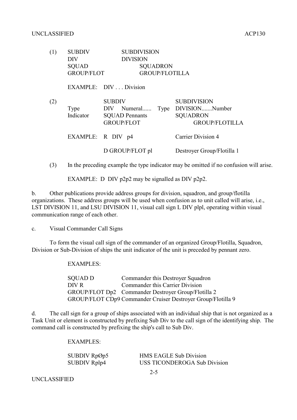| (1) | <b>SUBDIV</b><br><b>DIV</b><br><b>SQUAD</b><br><b>GROUP/FLOT</b> | <b>SUBDIVISION</b><br><b>DIVISION</b><br><b>SQUADRON</b><br><b>GROUP/FLOTILLA</b> |                                                                                       |
|-----|------------------------------------------------------------------|-----------------------------------------------------------------------------------|---------------------------------------------------------------------------------------|
|     |                                                                  | EXAMPLE: DIVDivision                                                              |                                                                                       |
| (2) | Type<br>Indicator                                                | <b>SUBDIV</b><br>DIV Numeral<br><b>SQUAD Pennants</b><br><b>GROUP/FLOT</b>        | <b>SUBDIVISION</b><br>Type DIVISIONNumber<br><b>SQUADRON</b><br><b>GROUP/FLOTILLA</b> |
|     | EXAMPLE: R DIV p4                                                |                                                                                   | <b>Carrier Division 4</b>                                                             |
|     |                                                                  | D GROUP/FLOT pl                                                                   | Destroyer Group/Flotilla 1                                                            |

(3) In the preceding example the type indicator may be omitted if no confusion will arise.

EXAMPLE: D DIV p2p2 may be signalled as DIV p2p2.

b. Other publications provide address groups for division, squadron, and group/flotilla organizations. These address groups will be used when confusion as to unit called will arise, i.e., LST DIVISION 11, and LSU DIVISION 11, visual call sign L DIV plpl, operating within visual communication range of each other.

c. Visual Commander Call Signs

To form the visual call sign of the commander of an organized Group/Flotilla, Squadron, Division or Sub-Division of ships the unit indicator of the unit is preceded by pennant zero.

EXAMPLES:

SQUAD D Commander this Destroyer Squadron DIV R Commander this Carrier Division GROUP/FLOT Dp2 Commander Destroyer Group/Flotilla 2 GROUP/FLOT CDp9 Commander Cruiser Destroyer Group/Flotilla 9

d. The call sign for a group of ships associated with an individual ship that is not organized as a Task Unit or element is constructed by prefixing Sub Div to the call sign of the identifying ship. The command call is constructed by prefixing the ship's call to Sub Div.

EXAMPLES:

| SUBDIV Rp $\mathcal{O}p5$ | <b>HMS EAGLE Sub Division</b> |
|---------------------------|-------------------------------|
| SUBDIV Rplp4              | USS TICONDEROGA Sub Division  |

2-5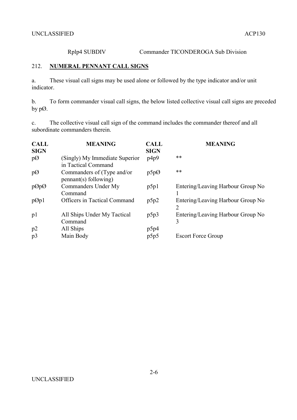Rplp4 SUBDIV Commander TICONDEROGA Sub Division

# 212. **NUMERAL PENNANT CALL SIGNS**

a. These visual call signs may be used alone or followed by the type indicator and/or unit indicator.

b. To form commander visual call signs, the below listed collective visual call signs are preceded by pØ.

c. The collective visual call sign of the command includes the commander thereof and all subordinate commanders therein.

| <b>CALL</b>                | <b>MEANING</b>                                        | <b>CALL</b>  | <b>MEANING</b>                         |
|----------------------------|-------------------------------------------------------|--------------|----------------------------------------|
| <b>SIGN</b>                |                                                       | <b>SIGN</b>  |                                        |
| pQ                         | (Singly) My Immediate Superior<br>in Tactical Command | p4p9         | $***$                                  |
| pQ                         | Commanders of (Type and/or<br>pennant(s) following)   | p5pQ         | $***$                                  |
| $p\mathcal{O}p\mathcal{O}$ | Commanders Under My<br>Command                        | p5p1         | Entering/Leaving Harbour Group No      |
| pQp1                       | Officers in Tactical Command                          | p5p2         | Entering/Leaving Harbour Group No<br>2 |
| p1                         | All Ships Under My Tactical<br>Command                | p5p3         | Entering/Leaving Harbour Group No<br>3 |
| p2<br>p <sub>3</sub>       | All Ships<br>Main Body                                | p5p4<br>p5p5 | <b>Escort Force Group</b>              |
|                            |                                                       |              |                                        |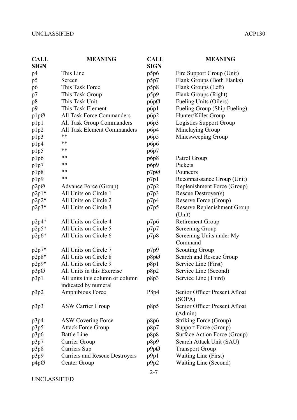$p3p1$ 

| <b>CALL</b>      | <b>MEANING</b>                                          | <b>CALL</b> | <b>MEANING</b>                           |
|------------------|---------------------------------------------------------|-------------|------------------------------------------|
| <b>SIGN</b>      |                                                         | <b>SIGN</b> |                                          |
| p4               | This Line                                               | p5p6        | Fire Support Group (Unit)                |
| p <sub>5</sub>   | Screen                                                  | p5p7        | Flank Groups (Both Flanks)               |
| p6               | This Task Force                                         | p5p8        | Flank Groups (Left)                      |
| p7               | This Task Group                                         | p5p9        | Flank Groups (Right)                     |
| p8               | This Task Unit                                          | p6pQ        | Fueling Units (Oilers)                   |
| p9               | This Task Element                                       | p6p1        | Fueling Group (Ship Fueling)             |
| p1p0             | <b>All Task Force Commanders</b>                        | p6p2        | Hunter/Killer Group                      |
| plpl             | All Task Group Commanders                               | p6p3        | Logistics Support Group                  |
| p1p2             | All Task Element Commanders                             | p6p4        | Minelaying Group                         |
| p1p3             | **                                                      | p6p5        | Minesweeping Group                       |
| p1p4             | **                                                      | p6p6        |                                          |
| p1p5             | **                                                      | p6p7        |                                          |
| p1p6             | **                                                      | p6p8        | Patrol Group                             |
| p1p7             | **                                                      | p6p9        | Pickets                                  |
| p <sub>1p8</sub> | **                                                      | p7p0        | Pouncers                                 |
| p1p9             | **                                                      | p7p1        | Reconnaissance Group (Unit)              |
| p2pQ             | Advance Force (Group)                                   | p7p2        | Replenishment Force (Group)              |
| $p2p1*$          | All Units on Circle 1                                   | p7p3        | Rescue Destroyer(s)                      |
| $p2p2*$          | All Units on Circle 2                                   | p7p4        | Reserve Force (Group)                    |
| $p2p3*$          | All Units on Circle 3                                   | p7p5        | Reserve Replenishment Group<br>(Unit)    |
| $p2p4*$          | All Units on Circle 4                                   | p7p6        | <b>Retirement Group</b>                  |
| p2p5*            | All Units on Circle 5                                   | p7p7        | Screening Group                          |
| $p2p6*$          | All Units on Circle 6                                   | p7p8        | Screening Units under My<br>Command      |
| $p2p7*$          | All Units on Circle 7                                   | p7p9        | <b>Scouting Group</b>                    |
| p2p8*            | All Units on Circle 8                                   | p8pQ        | Search and Rescue Group                  |
| $p2p9*$          | All Units on Circle 9                                   | p8p1        | Service Line (First)                     |
| p3pQ             | All Units in this Exercise                              | p8p2        | Service Line (Second)                    |
| p3p1             | All units this column or column<br>indicated by numeral | p8p3        | Service Line (Third)                     |
| p3p2             | Amphibious Force                                        | P8p4        | Senior Officer Present Afloat<br>(SOPA)  |
| p3p3             | <b>ASW Carrier Group</b>                                | p8p5        | Senior Officer Present Afloat<br>(Admin) |
| p3p4             | <b>ASW</b> Covering Force                               | p8p6        | <b>Striking Force (Group)</b>            |
| p3p5             | <b>Attack Force Group</b>                               | p8p7        | Support Force (Group)                    |
| p3p6             | <b>Battle Line</b>                                      | p8p8        | Surface Action Force (Group)             |
| p3p7             | Carrier Group                                           | p8p9        | Search Attack Unit (SAU)                 |
| p3p8             | Carriers Sup                                            | p9pQ        | <b>Transport Group</b>                   |
| p3p9             | <b>Carriers and Rescue Destroyers</b>                   | p9p1        | <b>Waiting Line (First)</b>              |

UNCLASSIFIED

2-7

p4pØ Center Group p9p2 Waiting Line (Second)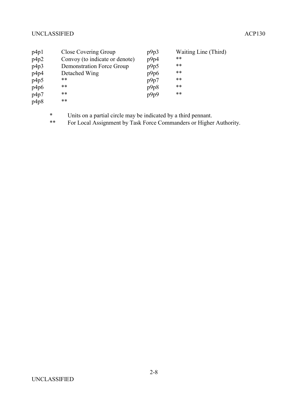# UNCLASSIFIED ACP130

| p4p1<br>p4p2<br>p4p3<br>p4p4<br>p4p5<br>p4p6 | Close Covering Group<br>Convoy (to indicate or denote)<br><b>Demonstration Force Group</b><br>Detached Wing<br>**<br>** | p9p3<br>p9p4<br>p9p5<br>p9p6<br>p9p7<br>p9p8 | Waiting Line (Third)<br>$***$<br>**<br>**<br>**<br>** |
|----------------------------------------------|-------------------------------------------------------------------------------------------------------------------------|----------------------------------------------|-------------------------------------------------------|
| p4p7                                         | $***$                                                                                                                   | p9p9                                         | **                                                    |
| p4p8                                         | $***$                                                                                                                   |                                              |                                                       |

\* Units on a partial circle may be indicated by a third pennant.

\*\* For Local Assignment by Task Force Commanders or Higher Authority.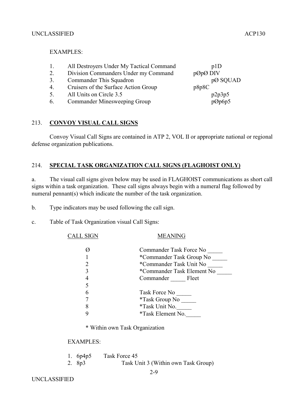#### EXAMPLES:

|    | All Destroyers Under My Tactical Command | p1D        |
|----|------------------------------------------|------------|
| 2. | Division Commanders Under my Command     | $pQpQ$ DIV |
| 3. | Commander This Squadron                  | pØ SQUAD   |
| 4. | Cruisers of the Surface Action Group     | p8p8C      |
| 5. | All Units on Circle 3.5                  | p2p3p5     |
| 6. | <b>Commander Minesweeping Group</b>      | pQp6p5     |

# 213. **CONVOY VISUAL CALL SIGNS**

Convoy Visual Call Signs are contained in ATP 2, VOL II or appropriate national or regional defense organization publications.

## 214. **SPECIAL TASK ORGANIZATION CALL SIGNS (FLAGHOIST ONLY)**

a. The visual call signs given below may be used in FLAGHOIST communications as short call signs within a task organization. These call signs always begin with a numeral flag followed by numeral pennant(s) which indicate the number of the task organization.

b. Type indicators may be used following the call sign.

c. Table of Task Organization visual Call Signs:

|   | MEANING                    |
|---|----------------------------|
|   | Commander Task Force No    |
|   | *Commander Task Group No   |
|   | *Commander Task Unit No    |
| 3 | *Commander Task Element No |
|   | Commander Fleet            |
|   |                            |
| 6 | Task Force No              |
|   | *Task Group No             |
| 8 | *Task Unit No.             |
|   | <i>*Task Element No.</i>   |
|   |                            |

\* Within own Task Organization

#### EXAMPLES:

| 1. $6p4p5$ | Task Force 45                       |
|------------|-------------------------------------|
| 2. 8p3     | Task Unit 3 (Within own Task Group) |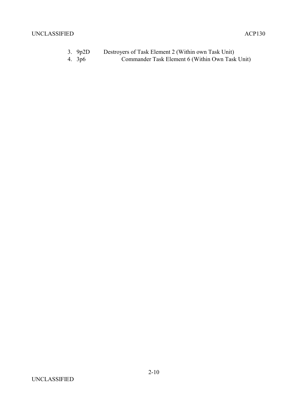| 3. $9p2D$ | Destroyers of Task Element 2 (Within own Task Unit) |
|-----------|-----------------------------------------------------|
| 4. 3p6    | Commander Task Element 6 (Within Own Task Unit)     |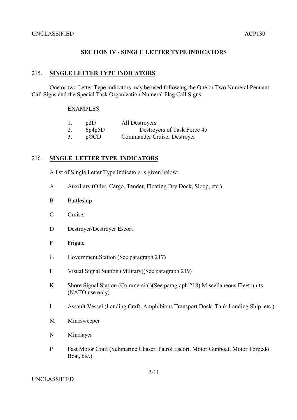#### **SECTION IV - SINGLE LETTER TYPE INDICATORS**

#### 215. **SINGLE LETTER TYPE INDICATORS**

One or two Letter Type indicators may be used following the One or Two Numeral Pennant Call Signs and the Special Task Organization Numeral Flag Call Signs.

#### EXAMPLES:

|    | p2D    | All Destroyers              |
|----|--------|-----------------------------|
| 2. | 6p4p5D | Destroyers of Task Force 45 |
|    | pQCD   | Commander Cruiser Destroyer |

#### 216. **SINGLE LETTER TYPE INDICATORS**

A list of Single Letter Type Indicators is given below:

- A Auxiliary (Oiler, Cargo, Tender, Floating Dry Dock, Sloop, etc.)
- B Battleship
- C Cruiser
- D Destroyer/Destroyer Escort
- F Frigate
- G Government Station (See paragraph 217)
- H Visual Signal Station (Military)(See paragraph 219)
- K Shore Signal Station (Commercial)(See paragraph 218) Miscellaneous Fleet units (NATO use only)
- L Assault Vessel (Landing Craft, Amphibious Transport Dock, Tank Landing Ship, etc.)
- M Minesweeper
- N Minelayer
- P Fast Motor Craft (Submarine Chaser, Patrol Escort, Motor Gunboat, Motor Torpedo Boat, etc.)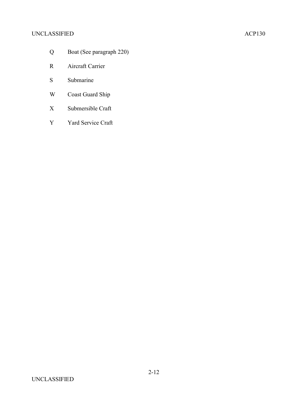# UNCLASSIFIED ACP130

- Q Boat (See paragraph 220)
- R Aircraft Carrier
- S Submarine
- W Coast Guard Ship
- X Submersible Craft
- Y Yard Service Craft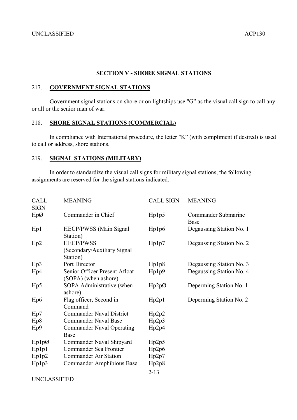#### **SECTION V - SHORE SIGNAL STATIONS**

#### 217. **GOVERNMENT SIGNAL STATIONS**

Government signal stations on shore or on lightships use "G" as the visual call sign to call any or all or the senior man of war.

## 218. **SHORE SIGNAL STATIONS (COMMERCIAL)**

In compliance with International procedure, the letter "K" (with compliment if desired) is used to call or address, shore stations.

#### 219. **SIGNAL STATIONS (MILITARY)**

In order to standardize the visual call signs for military signal stations, the following assignments are reserved for the signal stations indicated.

| <b>CALL</b><br><b>SIGN</b> | <b>MEANING</b>                                               | <b>CALL SIGN</b> | <b>MEANING</b>              |
|----------------------------|--------------------------------------------------------------|------------------|-----------------------------|
| HpO                        | Commander in Chief                                           | Hp1p5            | Commander Submarine<br>Base |
| Hp1                        | HECP/PWSS (Main Signal<br>Station)                           | Hp1p6            | Degaussing Station No. 1    |
| Hp2                        | <b>HECP/PWSS</b><br>(Secondary/Auxiliary Signal)<br>Station) | Hp1p7            | Degaussing Station No. 2    |
| Hp3                        | Port Director                                                | Hp1p8            | Degaussing Station No. 3    |
| Hp4                        | Senior Officer Present Afloat<br>(SOPA) (when ashore)        | Hp1p9            | Degaussing Station No. 4    |
| H <sub>p</sub> 5           | SOPA Administrative (when<br>ashore)                         | Hp2pO            | Deperming Station No. 1     |
| Hp <sub>6</sub>            | Flag officer, Second in<br>Command                           | Hp2p1            | Deperming Station No. 2     |
| Hp7                        | <b>Commander Naval District</b>                              | Hp2p2            |                             |
| Hp8                        | <b>Commander Naval Base</b>                                  | Hp2p3            |                             |
| H <sub>p</sub> 9           | <b>Commander Naval Operating</b><br>Base                     | Hp2p4            |                             |
| $H$ plp $\emptyset$        | Commander Naval Shipyard                                     | Hp2p5            |                             |
| Hp1p1                      | Commander Sea Frontier                                       | Hp2p6            |                             |
| Hp1p2                      | <b>Commander Air Station</b>                                 | Hp2p7            |                             |
| Hp1p3                      | <b>Commander Amphibious Base</b>                             | Hp2p8            |                             |
|                            |                                                              | $2 - 13$         |                             |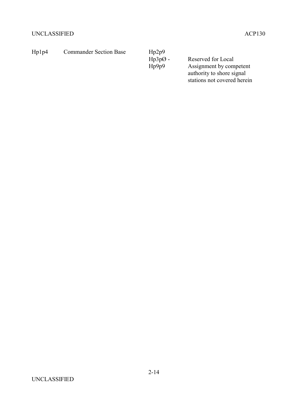# UNCLASSIFIED ACP130

| $H$ p $1$ p $4$ | <b>Commander Section Base</b> | Hp2p9     |                             |  |
|-----------------|-------------------------------|-----------|-----------------------------|--|
|                 |                               | $Hp3p0$ - | Reserved for Local          |  |
|                 |                               | Hp9p9     | Assignment by competent     |  |
|                 |                               |           | authority to shore signal   |  |
|                 |                               |           | stations not covered herein |  |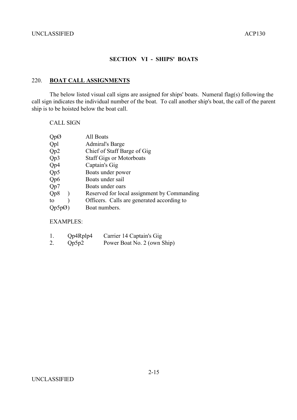#### **SECTION VI - SHIPS' BOATS**

# 220. **BOAT CALL ASSIGNMENTS**

The below listed visual call signs are assigned for ships' boats. Numeral flag(s) following the call sign indicates the individual number of the boat. To call another ship's boat, the call of the parent ship is to be hoisted below the boat call.

### CALL SIGN

| All Boats                                   |
|---------------------------------------------|
| <b>Admiral's Barge</b>                      |
| Chief of Staff Barge of Gig                 |
| <b>Staff Gigs or Motorboats</b>             |
| Captain's Gig                               |
| Boats under power                           |
| Boats under sail                            |
| Boats under oars                            |
| Reserved for local assignment by Commanding |
| Officers. Calls are generated according to  |
| Boat numbers.                               |
|                                             |

## EXAMPLES:

| -1. | Qp4Rplp4 | Carrier 14 Captain's Gig    |
|-----|----------|-----------------------------|
| 2.  | Qp5p2    | Power Boat No. 2 (own Ship) |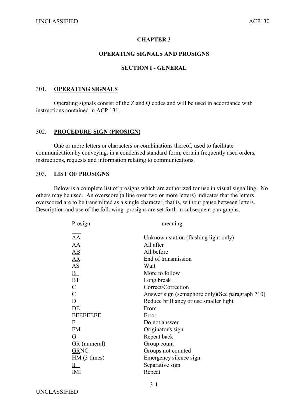#### **CHAPTER 3**

#### **OPERATING SIGNALS AND PROSIGNS**

#### **SECTION I - GENERAL**

#### 301. **OPERATING SIGNALS**

Operating signals consist of the Z and Q codes and will be used in accordance with instructions contained in ACP 131.

#### 302. **PROCEDURE SIGN (PROSIGN)**

One or more letters or characters or combinations thereof, used to facilitate communication by conveying, in a condensed standard form, certain frequently used orders, instructions, requests and information relating to communications.

#### 303. **LIST OF PROSIGNS**

Below is a complete list of prosigns which are authorized for use in visual signalling. No others may be used. An overscore (a line over two or more letters) indicates that the letters overscored are to be transmitted as a single character, that is, without pause between letters. Description and use of the following prosigns are set forth in subsequent paragraphs.

| Prosign                  | meaning                                          |
|--------------------------|--------------------------------------------------|
| AA                       | Unknown station (flashing light only)            |
| AA                       | All after                                        |
| $\underline{AB}$         | All before                                       |
| $\underline{AR}$         | End of transmission                              |
| <b>AS</b>                | Wait                                             |
| $\underline{\mathbf{B}}$ | More to follow                                   |
| <b>BT</b>                | Long break                                       |
| C                        | Correct/Correction                               |
| $\mathcal{C}$            | Answer sign (semaphore only) (See paragraph 710) |
| D                        | Reduce brilliancy or use smaller light           |
| DE                       | From                                             |
| <b>EEEEEEEE</b>          | Error                                            |
| F                        | Do not answer                                    |
| <b>FM</b>                | Originator's sign                                |
| G                        | Repeat back                                      |
| GR (numeral)             | Group count                                      |
| <b>GRNC</b>              | Groups not counted                               |
| HM(3 times)              | Emergency silence sign                           |
| $\mathbf{I}$             | Separative sign                                  |
| IMI                      | Repeat                                           |
|                          |                                                  |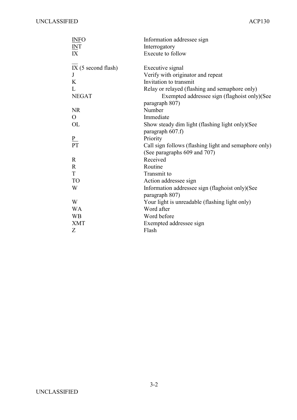| <b>INFO</b>           | Information addressee sign                            |
|-----------------------|-------------------------------------------------------|
| $INT$                 | Interrogatory                                         |
| IX                    | Execute to follow                                     |
| IX $(5$ second flash) | Executive signal                                      |
| J                     | Verify with originator and repeat                     |
| K                     | Invitation to transmit                                |
| L                     | Relay or relayed (flashing and semaphore only)        |
| <b>NEGAT</b>          | Exempted addressee sign (flaghoist only) (See         |
|                       | paragraph 807)                                        |
| <b>NR</b>             | Number                                                |
| $\Omega$              | Immediate                                             |
| <b>OL</b>             | Show steady dim light (flashing light only) (See      |
|                       | paragraph 607.f)                                      |
| $\underline{P}$       | Priority                                              |
| PT                    | Call sign follows (flashing light and semaphore only) |
|                       | (See paragraphs 609 and 707)                          |
| $\mathbf R$           | Received                                              |
| R                     | Routine                                               |
| T                     | Transmit to                                           |
| <b>TO</b>             | Action addressee sign                                 |
| W                     | Information addressee sign (flaghoist only)(See       |
|                       | paragraph 807)                                        |
| W                     | Your light is unreadable (flashing light only)        |
| <b>WA</b>             | Word after                                            |
| <b>WB</b>             | Word before                                           |
| <b>XMT</b>            | Exempted addressee sign                               |
| Z                     | Flash                                                 |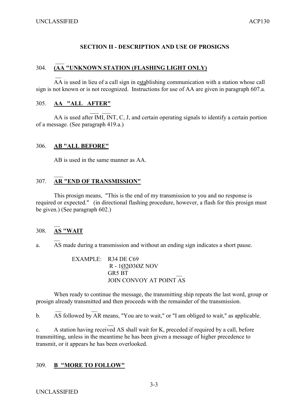$\overline{\phantom{a}}$ 

 $\mathcal{L}=\mathcal{L}$ 

### **SECTION II - DESCRIPTION AND USE OF PROSIGNS**

# 304. **(AA "UNKNOWN STATION (FLASHING LIGHT ONLY)**

AA is used in lieu of a call sign in establishing communication with a station whose call sign is not known or is not recognized. Instructions for use of AA are given in paragraph 607.a.

#### 305. **AA "ALL AFTER"**

AA is used after IMI, INT, C, J, and certain operating signals to identify a certain portion of a message. (See paragraph 419.a.)

#### 306. **AB "ALL BEFORE"**

AB is used in the same manner as AA.

#### 307. **AR "END OF TRANSMISSION"**

 $\frac{1}{2}$  ,  $\frac{1}{2}$  ,  $\frac{1}{2}$  ,  $\frac{1}{2}$ 

This prosign means, "This is the end of my transmission to you and no response is required or expected." (in directional flashing procedure, however, a flash for this prosign must be given.) (See paragraph 602.)

#### $\overline{\phantom{a}}$ 308. **AS "WAIT**

 $\mathbb{Z}$ 

 $\mathcal{L}_\mathcal{L}$ 

a. AS made during a transmission and without an ending sign indicates a short pause.

EXAMPLE: R34 DE C69 R - 1Ø2Ø3ØZ NOV GR5 BT JOIN CONVOY AT POINT AS

 $\mathbb{Z}$ 

When ready to continue the message, the transmitting ship repeats the last word, group or prosign already transmitted and then proceeds with the remainder of the transmission.

b. AS followed by AR means, "You are to wait," or "I am obliged to wait," as applicable.

c. A station having received AS shall wait for K, preceded if required by a call, before transmitting, unless in the meantime he has been given a message of higher precedence to transmit, or it appears he has been overlooked.

#### 309. **B "MORE TO FOLLOW"**

 $\mathcal{L}_\mathcal{L}$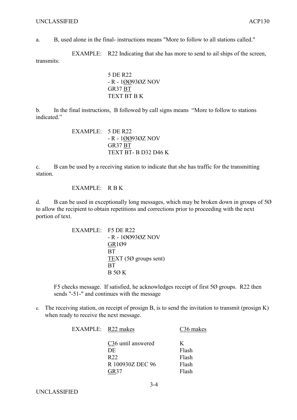a. B, used alone in the final- instructions means "More to follow to all stations called."

EXAMPLE: R22 Indicating that she has more to send to ail ships of the screen, transmits:

> 5 DE R22 - R - 1ØØ93ØZ NOV GR37 BT TEXT BT B K

b. In the final instructions, B followed by call signs means "More to follow to stations indicated."

| EXAMPLE: 5 DE R22 |                      |
|-------------------|----------------------|
|                   | $-R - 100930Z NOV$   |
|                   | GR37 BT              |
|                   | TEXT BT- B D32 D46 K |

c. B can be used by a receiving station to indicate that she has traffic for the transmitting station.

EXAMPLE: R B K

d. B can be used in exceptionally long messages, which may be broken down in groups of 5Ø to allow the recipient to obtain repetitions and corrections prior to proceeding with the next portion of text.

| EXAMPLE: F5 DE R22 |                                 |
|--------------------|---------------------------------|
|                    | - R - 100930Z NOV               |
|                    | GR1Ø9                           |
|                    | <b>BT</b>                       |
|                    | TEXT $(50 \text{ groups sent})$ |
|                    | <b>BT</b>                       |
|                    | B 50 K                          |

F5 checks message. If satisfied, he acknowledges receipt of first 5Ø groups. R22 then sends "-51-" and continues with the message

e. The receiving station, on receipt of prosign B, is to send the invitation to transmit (prosign K) when ready to receive the next message.

| EXAMPLE: R22 makes |                                | C <sub>36</sub> makes |
|--------------------|--------------------------------|-----------------------|
|                    | C <sub>36</sub> until answered | K                     |
|                    | DE                             | Flash                 |
|                    | R22                            | Flash                 |
|                    | R 100930Z DEC 96               | Flash                 |
|                    |                                | Flash                 |
|                    |                                |                       |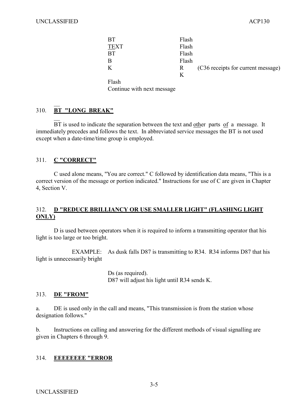$\mathcal{L}=\mathcal{L}$ 

 $\mathbb{Z}$ 

| BT          | Flash |                                    |
|-------------|-------|------------------------------------|
| <b>TEXT</b> | Flash |                                    |
| <b>BT</b>   | Flash |                                    |
| B           | Flash |                                    |
| K           | R.    | (C36 receipts for current message) |
|             | Κ     |                                    |
| Flash       |       |                                    |

Continue with next message

## 310. **BT "LONG BREAK"**

BT is used to indicate the separation between the text and other parts of a message. It immediately precedes and follows the text. In abbreviated service messages the BT is not used except when a date-time/time group is employed.

### 311. **C "CORRECT"**

C used alone means, "You are correct." C followed by identification data means, "This is a correct version of the message or portion indicated." Instructions for use of C are given in Chapter 4, Section V.

### 312. **D "REDUCE BRILLIANCY OR USE SMALLER LIGHT" (FLASHING LIGHT ONLY)**

D is used between operators when it is required to inform a transmitting operator that his light is too large or too bright.

EXAMPLE: As dusk falls D87 is transmitting to R34. R34 informs D87 that his light is unnecessarily bright

> Ds (as required). D87 will adjust his light until R34 sends K.

#### 313. **DE "FROM"**

a. DE is used only in the call and means, "This transmission is from the station whose designation follows."

b. Instructions on calling and answering for the different methods of visual signalling are given in Chapters 6 through 9.

#### 314. **EEEEEEEE "ERROR**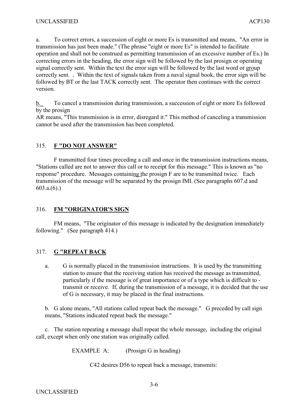a. To correct errors, a succession of eight or more Es is transmitted and means, "An error in transmission has just been made." (The phrase "eight or more Es" is intended to facilitate operation and shall not be construed as permitting transmission of an excessive number of Es.) In correcting errors in the heading, the error sign will be followed by the last prosign or operating signal correctly sent. Within the text the error sign will be followed by the last word or group correctly sent. . Within the text of signals taken from a naval signal book, the error sign will be followed by BT or the last TACK correctly sent. The operator then continues with the correct version.

b.\_ To cancel a transmission during transmission, a succession of eight or more Es followed by the prosign

AR means, "This transmission is in error, disregard it." This method of canceling a transmission cannot be used after the transmission has been completed.

## 315. **F "DO NOT ANSWER"**

F transmitted four times preceding a call and once in the transmission instructions means, "Stations called are not to answer this call or to receipt for this message." This is known as "no response" procedure. Messages containing the prosign F are to be transmitted twice. Each transmission of the message will be separated by the prosign IMI. (See paragraphs 607.d and 603.a.(6).)

# 316. **FM "ORIGINATOR'S SIGN**

FM means, "The originator of this message is indicated by the designation immediately following." (See paragraph 414.)

#### 317. **G "REPEAT BACK**

a. G is normally placed in the transmission instructions. It is used by the transmitting station to ensure that the receiving station has received the message as transmitted, particularly if the message is of great importance or of a type which is difficult to transmit or receive. If, during the transmission of a message, it is decided that the use of G is necessary, it may be placed in the final instructions.

b. G alone means, "All stations called repeat back the message." G preceded by call sign means, "Stations indicated repeat back the message."

c. The station repeating a message shall repeat the whole message, including the original call, except when only one station was originally called.

EXAMPLE A: (Prosign G in heading)

C42 desires D56 to repeat back a message, transmits: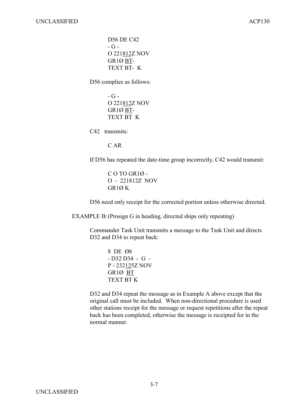D56 DE C42 - G - O 221812Z NOV GR1Ø BT-TEXT BT- K

D56 complies as follows:

- G - O 221812Z NOV GR1Ø BT-TEXT BT K

C42 transmits:

C AR

If D56 has repeated the date-time group incorrectly, C42 would transmit:

C O TO GR1Ø - O - 221812Z NOV GR1Ø K

D56 need only receipt for the corrected portion unless otherwise directed.

EXAMPLE B:(Prosign G in heading, directed ships only repeating)

Commander Task Unit transmits a message to the Task Unit and directs D32 and D34 to repeat back:

> 8 DE Ø8 - D32 D34 - G - P - 232125Z NOV GR1Ø BT TEXT BT K

D32 and D34 repeat the message as in Example A above except that the original call must be included. When non-directional procedure is used other stations receipt for the message or request repetitions after the repeat back has been completed, otherwise the message is receipted for in the normal manner.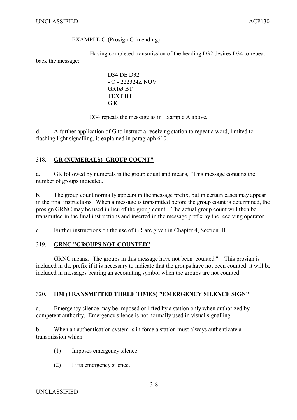EXAMPLE C:(Prosign G in ending)

Having completed transmission of the heading D32 desires D34 to repeat

back the message:

D34 DE D32 - O - 222324Z NOV GR1Ø BT TEXT BT  $G K$ 

D34 repeats the message as in Example A above.

d. A further application of G to instruct a receiving station to repeat a word, limited to flashing light signalling, is explained in paragraph 610.

# 318. **GR (NUMERALS) 'GROUP COUNT"**

a. GR followed by numerals is the group count and means, "This message contains the number of groups indicated."

b. The group count normally appears in the message prefix, but in certain cases may appear in the final instructions. When a message is transmitted before the group count is determined, the prosign GRNC may be used in lieu of the group count. The actual group count will then be transmitted in the final instructions and inserted in the message prefix by the receiving operator.

c. Further instructions on the use of GR are given in Chapter 4, Section III.

## 319. **GRNC "GROUPS NOT COUNTED"**

GRNC means, "The groups in this message have not been counted." This prosign is included in the prefix if it is necessary to indicate that the groups have not been counted. it will be included in messages bearing an accounting symbol when the groups are not counted.

# 320. **HM (TRANSMITTED THREE TIMES) "EMERGENCY SILENCE SIGN"**

a. Emergency silence may be imposed or lifted by a station only when authorized by competent authority. Emergency silence is not normally used in visual signalling.

b. When an authentication system is in force a station must always authenticate a transmission which:

- (1) Imposes emergency silence.
- (2) Lifts emergency silence.

 $\overline{\phantom{a}}$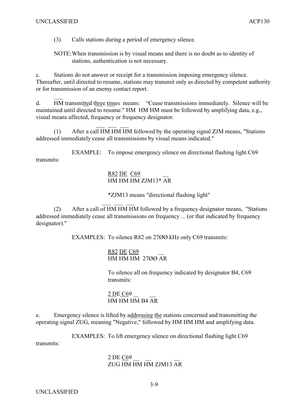$\overline{\phantom{a}}$ 

(3) Calls stations during a period of emergency silence.

 $\frac{1}{2}$  ,  $\frac{1}{2}$  ,  $\frac{1}{2}$  ,  $\frac{1}{2}$ 

 $\frac{1}{2}$  ,  $\frac{1}{2}$  ,  $\frac{1}{2}$  ,  $\frac{1}{2}$  ,  $\frac{1}{2}$ 

NOTE:When transmission is by visual means and there is no doubt as to identity of stations, authentication is not necessary.

c. Stations do not answer or receipt for a transmission imposing emergency silence. Thereafter, until directed to resume, stations may transmit only as directed by competent authority or for transmission of an enemy contact report.

d. HM transmitted three times means: "Cease transmissions immediately. Silence will be maintained until directed to resume." HM HM HM must be followed by amplifying data, e.g., visual means affected, frequency or frequency designator.

(1) After a call HM HM HM followed by the operating signal ZJM means, "Stations addressed immediately cease all transmissions by visual means indicated."

EXAMPLE: To impose emergency silence on directional flashing light C69 transmits:

> R82 DE C69 \_\_ HM HM HM ZJM13\* AR

\*ZJM13 means "directional flashing light"

(2) After a call of HM HM HM followed by a frequency designator means, "Stations addressed immediately cease all transmissions on frequency ... (or that indicated by frequency designator)."

EXAMPLES: To silence R82 on 27ØØ kHz only C69 transmits:

R82 DE C69 \_\_ HM HM HM 27ØØ AR

To silence all on frequency indicated by designator B4, C69 transmits:

2 DE C69 HM HM HM B4 AR

e. Emergency silence is lifted by addressing the stations concerned and transmitting the operating signal ZUG, meaning "Negative," followed by HM HM HM and amplifying data.

EXAMPLES: To lift emergency silence on directional flashing light C69 transmits:

> 2 DE C69  $ZUG$  HM HM HM  $ZIM13$  AR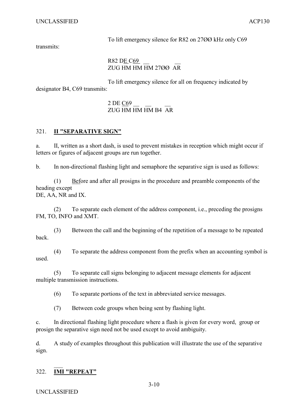To lift emergency silence for R82 on 27ØØ kHz only C69

transmits:

R82 DE C69 \_\_ \_\_ ZUG HM HM HM 27ØØ AR

To lift emergency silence for all on frequency indicated by designator B4, C69 transmits:

> 2 DE C69 ZUG HM HM HM B4 AR

#### 321. **II "SEPARATIVE SIGN"**

a. II, written as a short dash, is used to prevent mistakes in reception which might occur if letters or figures of adjacent groups are run together.

b. In non-directional flashing light and semaphore the separative sign is used as follows:

(1) Before and after all prosigns in the procedure and preamble components of the heading except

DE, AA, NR and IX.

(2) To separate each element of the address component, i.e., preceding the prosigns FM, TO, INFO and XMT.

(3) Between the call and the beginning of the repetition of a message to be repeated back.

(4) To separate the address component from the prefix when an accounting symbol is used.

(5) To separate call signs belonging to adjacent message elements for adjacent multiple transmission instructions.

(6) To separate portions of the text in abbreviated service messages.

(7) Between code groups when being sent by flashing light.

c. In directional flashing light procedure where a flash is given for every word, group or prosign the separative sign need not be used except to avoid ambiguity.

d. A study of examples throughout this publication will illustrate the use of the separative sign.

# 322. **IMI "REPEAT"**

UNCLASSIFIED

 $\overline{\phantom{a}}$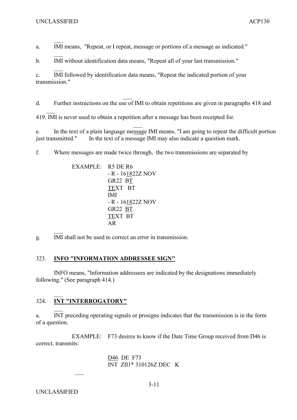$\overline{\phantom{a}}$ 

 $\mathcal{L}_\mathcal{L}$ 

 $\overline{\phantom{a}}$ 

 $\overline{\phantom{a}}$ 

 $\mathcal{L}_\mathcal{L}$ 

 $\mathcal{L}_\mathcal{L}$ 

 $\mathcal{L}=\mathcal{L}$ 

a. IMI means, "Repeat, or I repeat, message or portions of a message as indicated."

b. IMI without identification data means, "Repeat all of your last transmission."

c. IMI followed by identification data means, "Repeat the indicated portion of your transmission."

d. Further instructions on the use of IMI to obtain repetitions are given in paragraphs 418 and

419. IMI is never used to obtain a repetition after a message has been receipted for.  $\mathcal{L}$ 

 $\mathcal{L}=\mathcal{L}$ 

e. In the text of a plain language message IMI means, "I am going to repeat the difficult portion just transmitted." In the text of a message IMI may also indicate a question mark.

f. Where messages are made twice through, the two transmissions are separated by

EXAMPLE: R5 DE R6 - R - 161822Z NOV GR22 BT TEXT BT IMI - R - 161822Z NOV GR22 BT TEXT BT AR

g. IMI shall not be used to correct an error in transmission.

#### 323. **INFO "INFORMATION ADDRESSEE SIGN"**

INFO means, "Information addressees are indicated by the designations immediately following." (See paragraph 414.)

## 324. **INT "INTERROGATORY"**

 $\mathcal{L}_\mathcal{L}$ 

a. INT preceding operating signals or prosigns indicates that the transmission is in the form of a question.

EXAMPLE: F73 desires to know if the Date Time Group received from D46 is correct, transmits:

> D46 DE F73 INT ZII1\* 310126Z DEC K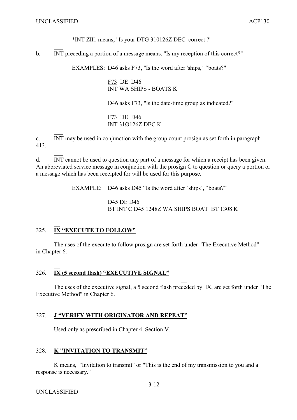$\overline{\phantom{a}}$ 

 $\overline{\phantom{a}}$ 

 $\overline{\phantom{a}}$ 

 $\mathbb{Z}$ 

 $\mathbb{Z}$ 

\*INT ZII1 means, "Is your DTG 310126Z DEC correct ?"

b. INT preceding a portion of a message means, "Is my reception of this correct?"

EXAMPLES: D46 asks F73, "Is the word after 'ships,' "boats?"

F73 DE D46 INT WA SHIPS - BOATS K

D46 asks F73, "Is the date-time group as indicated?"

F73 DE D46 INT 31Ø126Z DEC K

c. INT may be used in conjunction with the group count prosign as set forth in paragraph 413.

d. INT cannot be used to question any part of a message for which a receipt has been given. An abbreviated service message in conjuction with the prosign C to question or query a portion or a message which has been receipted for will be used for this purpose.

EXAMPLE: D46 asks D45 "Is the word after 'ships', "boats?"

D<sub>45</sub> D<sub>E</sub> D<sub>46</sub> BT INT C D45 1248Z WA SHIPS BOAT BT 1308 K

 $\mathcal{L}=\mathcal{L}$ 

## 325. **IX "EXECUTE TO FOLLOW"**

The uses of the execute to follow prosign are set forth under "The Executive Method" in Chapter 6.

## 326. **IX (5 second flash) "EXECUTIVE SIGNAL"**

The uses of the executive signal, a 5 second flash preceded by IX, are set forth under "The Executive Method" in Chapter 6.

#### 327. **J "VERIFY WITH ORIGINATOR AND REPEAT"**

Used only as prescribed in Chapter 4, Section V.

#### 328. **K "INVITATION TO TRANSMIT"**

K means, "Invitation to transmit" or "This is the end of my transmission to you and a response is necessary."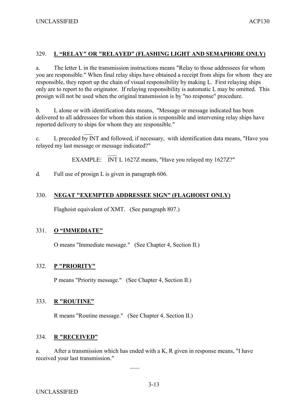# 329. **L "RELAY" OR "RELAYED" (FLASHING LIGHT AND SEMAPHORE ONLY)**

a. The letter L in the transmission instructions means "Relay to those addressees for whom you are responsible." When final relay ships have obtained a receipt from ships for whom they are responsible, they report up the chain of visual responsibility by making L. First relaying ships only are to report to the originator. If relaying responsibility is automatic L may be omitted. This prosign will not be used when the original transmission is by "no response" procedure.

b. L alone or with identification data means, "Message or message indicated has been delivered to all addressees for whom this station is responsible and intervening relay ships have reported delivery to ships for whom they are responsible."

c. L preceded by INT and followed, if necessary, with identification data means, "Have you relayed my last message or message indicated?"

EXAMPLE: INT L 1627Z means, "Have you relayed my 1627Z?"

d. Full use of prosign L is given in paragraph 606.

 $\overline{\phantom{a}}$ 

 $\mathcal{L}=\mathcal{L}$ 

## 330. **NEGAT "EXEMPTED ADDRESSEE SIGN" (FLAGHOIST ONLY)**

Flaghoist equivalent of XMT. (See paragraph 807.)

## 331. **O "IMMEDIATE"**

O means "Immediate message." (See Chapter 4, Section II.)

## 332. **P "PRIORITY"**

P means "Priority message." (See Chapter 4, Section II.)

## 333. **R "ROUTINE"**

R means "Routine message." (See Chapter 4, Section II.)

## 334. **R "RECEIVED"**

a. After a transmission which has ended with a K, R given in response means, "I have received your last transmission."

 $\mathcal{L}$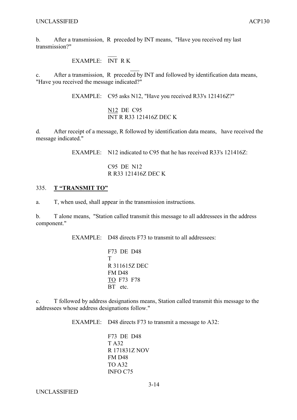b. After a transmission, R preceded by INT means, "Have you received my last transmission?"

 $\mathcal{L}$ 

EXAMPLE: INT R K

 $\mathcal{L}_\mathcal{L}$ 

c. After a transmission, R preceded by INT and followed by identification data means, "Have you received the message indicated?"

EXAMPLE: C95 asks N12, "Have you received R33's 121416Z?"

N12 DE C95 INT R R33 121416Z DEC K

d. After receipt of a message, R followed by identification data means, have received the message indicated."

EXAMPLE: N12 indicated to C95 that he has received R33's 121416Z:

C95 DE N12 R R33 121416Z DEC K

## 335. **T "TRANSMIT TO"**

a. T, when used, shall appear in the transmission instructions.

b. T alone means, "Station called transmit this message to all addressees in the address component."

EXAMPLE: D48 directs F73 to transmit to all addressees:

F73 DE D48 T R 311615Z DEC FM D48 TO F73 F78 BT etc.

c. T followed by address designations means, Station called transmit this message to the addressees whose address designations follow."

EXAMPLE: D48 directs F73 to transmit a message to A32:

F73 DE D48 T A32 R 171831Z NOV FM D48 TO A32 INFO C75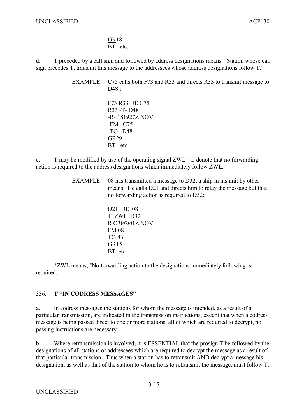#### GR18 BT etc.

d. T preceded by a call sign and followed by address designations means, "Station whose call sign precedes T, transmit this message to the addressees whose address designations follow T."

> EXAMPLE: C75 calls both F73 and R33 and directs R33 to transmit message to D<sub>48</sub> :

> > F73 R33 DE C75 R33 -T- D48 -R- 181927Z NOV -FM C75 -TO D48 GR29 BT- etc.

e. T may be modified by use of the operating signal ZWL\* to denote that no forwarding action is required to the address designations which immediately follow ZWL.

> EXAMPLE: 08 has transmitted a message to D32, a ship in his unit by other means. He calls D21 and directs him to relay the message but that no forwarding action is required to D32:

> > D21 DE 08 T ZWL D32 R Ø3Ø2Ø1Z NOV FM 08 TO 83 GR15 BT etc.

\*ZWL means, "No forwarding action to the designations immediately following is required."

## 336. **T "IN CODRESS MESSAGES"**

a. In codress messages the stations for whom the message is intended, as a result of a particular transmission, are indicated in the transmission instructions, except that when a codress message is being passed direct to one or more stations, all of which are required to decrypt, no passing instructions are necessary.

b. Where retransmission is involved, it is ESSENTIAL that the prosign T be followed by the designations of all stations or addressees which are required to decrypt the message as a result of that particular transmission. Thus when a station has to retransmit AND decrypt a message his designation, as well as that of the station to whom he is to retransmit the message, must follow T.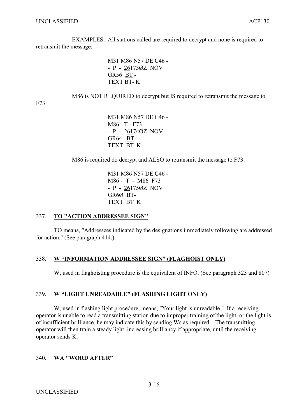EXAMPLES: All stations called are required to decrypt and none is required to retransmit the message:

> M31 M86 N57 DE C46 - - P - 26173ØZ NOV GR56 BT - TEXT BT- K

M86 is NOT REQUIRED to decrypt but IS required to retransmit the message to

F73:

M31 M86 N57 DE C46 - M86 - T - F73 - P - 26174ØZ NOV GR64 BT-TEXT BT K

M86 is required do decrypt and ALSO to retransmit the message to F73:

M31 M86 N57 DE C46 - M86 - T - M86 F73 - P - 26175ØZ NOV GR6Ø BT-TEXT BT K

#### 337. **TO "ACTION ADDRESSEE SIGN"**

TO means, "Addressees indicated by the designations immediately following are addressed for action." (See paragraph 414.)

## 338. **W "INFORMATION ADDRESSEE SIGN" (FLAGHOIST ONLY)**

W, used in flaghoisting procedure is the equivalent of INFO. (See paragraph 323 and 807)

# 339. **W "LIGHT UNREADABLE" (FLASHING LIGHT ONLY)**

W, used in flashing light procedure, means, "Your light is unreadable." If a receiving operator is unable to read a transmitting station due to improper training of the light, or the light is of insufficient brilliance, he may indicate this by sending Ws as required. The transmitting operator will then train a steady light, increasing brilliancy if appropriate, until the receiving operator sends K.

## 340. **WA "WORD AFTER"**

 $\frac{1}{2}$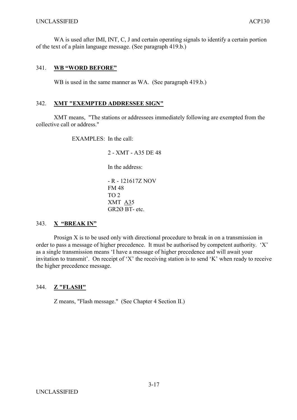WA is used after IMI, INT, C, J and certain operating signals to identify a certain portion of the text of a plain language message. (See paragraph 419.b.)

### 341. **WB "WORD BEFORE"**

WB is used in the same manner as WA. (See paragraph 419.b.)

#### 342. **XMT "EXEMPTED ADDRESSEE SIGN"**

XMT means, "The stations or addressees immediately following are exempted from the collective call or address."

EXAMPLES: In the call:

2 - XMT - A35 DE 48

In the address:

- R - 121617Z NOV FM 48  $TO<sub>2</sub>$ XMT A35 GR2Ø BT- etc.

## 343. **X "BREAK IN"**

Prosign X is to be used only with directional procedure to break in on a transmission in order to pass a message of higher precedence. It must be authorised by competent authority. 'X' as a single transmission means 'I have a message of higher precedence and will await your invitation to transmit'. On receipt of 'X' the receiving station is to send 'K' when ready to receive the higher precedence message.

## 344. **Z "FLASH"**

Z means, "Flash message." (See Chapter 4 Section II.)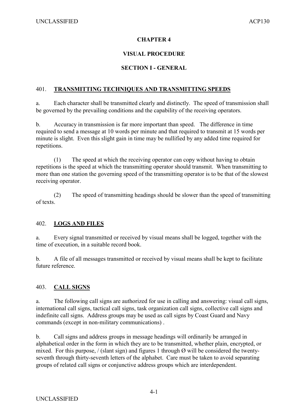## **CHAPTER 4**

# **VISUAL PROCEDURE**

# **SECTION I - GENERAL**

### 401. **TRANSMITTING TECHNIQUES AND TRANSMITTING SPEEDS**

a. Each character shall be transmitted clearly and distinctly. The speed of transmission shall be governed by the prevailing conditions and the capability of the receiving operators.

b. Accuracy in transmission is far more important than speed. The difference in time required to send a message at 10 words per minute and that required to transmit at 15 words per minute is slight. Even this slight gain in time may be nullified by any added time required for repetitions.

(1) The speed at which the receiving operator can copy without having to obtain repetitions is the speed at which the transmitting operator should transmit. When transmitting to more than one station the governing speed of the transmitting operator is to be that of the slowest receiving operator.

(2) The speed of transmitting headings should be slower than the speed of transmitting of texts.

# 402. **LOGS AND FILES**

a. Every signal transmitted or received by visual means shall be logged, together with the time of execution, in a suitable record book.

b. A file of all messages transmitted or received by visual means shall be kept to facilitate future reference.

## 403. **CALL SIGNS**

a. The following call signs are authorized for use in calling and answering: visual call signs, international call signs, tactical call signs, task organization call signs, collective call signs and indefinite call signs. Address groups may be used as call signs by Coast Guard and Navy commands (except in non-military communications) .

b. Call signs and address groups in message headings will ordinarily be arranged in alphabetical order in the form in which they are to be transmitted, whether plain, encrypted, or mixed. For this purpose,  $/$  (slant sign) and figures 1 through  $\emptyset$  will be considered the twentyseventh through thirty-seventh letters of the alphabet. Care must be taken to avoid separating groups of related call signs or conjunctive address groups which are interdependent.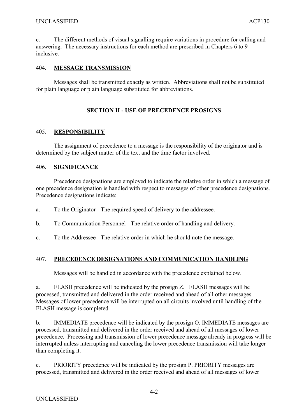#### UNCLASSIFIED ACP130

c. The different methods of visual signalling require variations in procedure for calling and answering. The necessary instructions for each method are prescribed in Chapters 6 to 9 inclusive.

# 404. **MESSAGE TRANSMISSION**

Messages shall be transmitted exactly as written. Abbreviations shall not be substituted for plain language or plain language substituted for abbreviations.

# **SECTION II - USE OF PRECEDENCE PROSIGNS**

## 405. **RESPONSIBILITY**

The assignment of precedence to a message is the responsibility of the originator and is determined by the subject matter of the text and the time factor involved.

### 406. **SIGNIFICANCE**

Precedence designations are employed to indicate the relative order in which a message of one precedence designation is handled with respect to messages of other precedence designations. Precedence designations indicate:

- a. To the Originator The required speed of delivery to the addressee.
- b. To Communication Personnel The relative order of handling and delivery.
- c. To the Addressee The relative order in which he should note the message.

## 407. **PRECEDENCE DESIGNATIONS AND COMMUNICATION HANDLING**

Messages will be handled in accordance with the precedence explained below.

a. FLASH precedence will be indicated by the prosign Z. FLASH messages will be processed, transmitted and delivered in the order received and ahead of all other messages. Messages of lower precedence will be interrupted on all circuits involved until handling of the FLASH message is completed.

b. IMMEDIATE precedence will be indicated by the prosign O. IMMEDIATE messages are processed, transmitted and delivered in the order received and ahead of all messages of lower precedence. Processing and transmission of lower precedence message already in progress will be interrupted unless interrupting and canceling the lower precedence transmission will take longer than completing it.

c. PRIORITY precedence will be indicated by the prosign P. PRIORITY messages are processed, transmitted and delivered in the order received and ahead of all messages of lower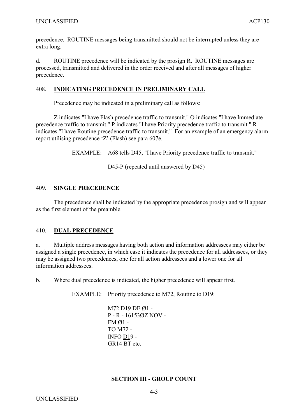precedence. ROUTINE messages being transmitted should not be interrupted unless they are extra long.

d. ROUTINE precedence will be indicated by the prosign R. ROUTINE messages are processed, transmitted and delivered in the order received and after all messages of higher precedence.

# 408. **INDICATING PRECEDENCE IN PRELIMINARY CALL**

Precedence may be indicated in a preliminary call as follows:

Z indicates "I have Flash precedence traffic to transmit." O indicates "I have Immediate precedence traffic to transmit." P indicates "I have Priority precedence traffic to transmit." R indicates "I have Routine precedence traffic to transmit." For an example of an emergency alarm report utilising precedence 'Z' (Flash) see para 607e.

EXAMPLE: A68 tells D45, "I have Priority precedence traffic to transmit."

D45-P (repeated until answered by D45)

## 409. **SINGLE PRECEDENCE**

The precedence shall be indicated by the appropriate precedence prosign and will appear as the first element of the preamble.

## 410. **DUAL PRECEDENCE**

a. Multiple address messages having both action and information addressees may either be assigned a single precedence, in which case it indicates the precedence for all addressees, or they may be assigned two precedences, one for all action addressees and a lower one for all information addressees.

b. Where dual precedence is indicated, the higher precedence will appear first.

EXAMPLE: Priority precedence to M72, Routine to D19:

M72 D19 DE Ø1 - P - R - 16153ØZ NOV -  $FM \Omega1 -$ TO M72 - INFO D19 - GR14 BT etc.

## **SECTION III - GROUP COUNT**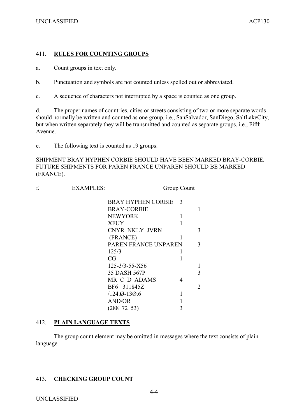#### 411. **RULES FOR COUNTING GROUPS**

- a. Count groups in text only.
- b. Punctuation and symbols are not counted unless spelled out or abbreviated.

c. A sequence of characters not interrupted by a space is counted as one group.

d. The proper names of countries, cities or streets consisting of two or more separate words should normally be written and counted as one group, i.e., SanSalvador, SanDiego, SaltLakeCity, but when written separately they will be transmitted and counted as separate groups, i.e., Fifth Avenue.

e. The following text is counted as 19 groups:

SHIPMENT BRAY HYPHEN CORBIE SHOULD HAVE BEEN MARKED BRAY-CORBIE. FUTURE SHIPMENTS FOR PAREN FRANCE UNPAREN SHOULD BE MARKED (FRANCE).

| f. | <b>EXAMPLES:</b> |                           | Group Count   |   |
|----|------------------|---------------------------|---------------|---|
|    |                  | <b>BRAY HYPHEN CORBIE</b> | $\mathcal{E}$ |   |
|    |                  | <b>BRAY-CORBIE</b>        |               | 1 |
|    |                  | <b>NEWYORK</b>            |               |   |
|    |                  | <b>XFUY</b>               |               |   |
|    |                  | <b>CNYR NKLY JVRN</b>     |               | 3 |
|    |                  | (FRANCE)                  |               |   |
|    |                  | PAREN FRANCE UNPAREN      |               | 3 |
|    |                  | 125/3                     |               |   |
|    |                  | CG                        |               |   |
|    |                  | $125 - 3/3 - 55 - X56$    |               |   |
|    |                  | 35 DASH 567P              |               | 3 |
|    |                  | MR C D ADAMS              | 4             |   |
|    |                  | BF6 311845Z               |               | 2 |
|    |                  | $/124.0 - 130.6$          |               |   |
|    |                  | <b>AND/OR</b>             |               |   |
|    |                  | (288 72 53)               | 3             |   |
|    |                  |                           |               |   |

#### 412. **PLAIN LANGUAGE TEXTS**

The group count element may be omitted in messages where the text consists of plain language.

### 413. **CHECKING GROUP COUNT**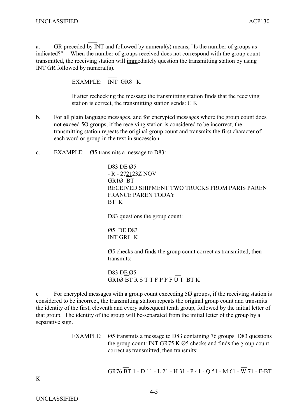a. GR preceded by INT and followed by numeral(s) means, "Is the number of groups as indicated?" When the number of groups received does not correspond with the group count transmitted, the receiving station will immediately question the transmitting station by using INT GR followed by numeral(s).

EXAMPLE: INT GR8 K

 $\overline{\phantom{a}}$ 

 $\mathcal{L}=\mathcal{L}$ 

If after rechecking the message the transmitting station finds that the receiving station is correct, the transmitting station sends: C K

- b. For all plain language messages, and for encrypted messages where the group count does not exceed 5Ø groups, if the receiving station is considered to be incorrect, the transmitting station repeats the original group count and transmits the first character of each word or group in the text in succession.
- c. EXAMPLE: Ø5 transmits a message to D83:

D83 DE Ø5 - R - 272123Z NOV GR1Ø BT RECEIVED SHIPMENT TWO TRUCKS FROM PARIS PAREN FRANCE PAREN TODAY BT K

D83 questions the group count:

## Ø5 DE D83 INT GRll K

Ø5 checks and finds the group count correct as transmitted, then transmits:

D83 DE Ø5 GR1Ø BT R S T T F P P F U T BT K

c For encrypted messages with a group count exceeding  $5\varnothing$  groups, if the receiving station is considered to be incorrect, the transmitting station repeats the original group count and transmits the identity of the first, eleventh and every subsequent tenth group, followed by the initial letter of that group. The identity of the group will be-separated from the initial letter of the group by a separative sign.

> EXAMPLE:  $\varnothing$ 5 transmits a message to D83 containing 76 groups. D83 questions the group count: INT GR75 K Ø5 checks and finds the group count correct as transmitted, then transmits:

> > $\mathcal{L}_\mathcal{L}$  , where  $\mathcal{L}_\mathcal{L}$  and  $\mathcal{L}_\mathcal{L}$  and  $\mathcal{L}_\mathcal{L}$  and  $\mathcal{L}_\mathcal{L}$

 $GR76 \overline{BT}$  1 - D 11 - L 21 - H 31 - P 41 - Q 51 - M 61 -  $\overline{W}$  71 - F-BT

K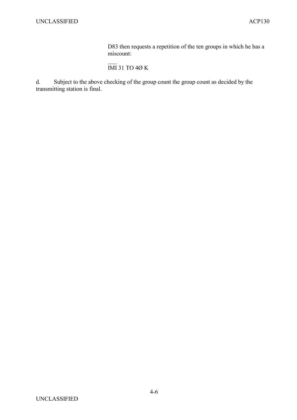D83 then requests a repetition of the ten groups in which he has a miscount:

### $\overline{\phantom{a}}$ IMI 31 TO 4Ø K

d. Subject to the above checking of the group count the group count as decided by the transmitting station is final.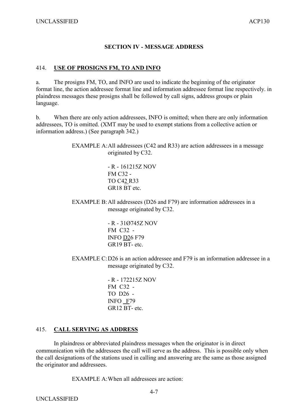### **SECTION IV - MESSAGE ADDRESS**

### 414. **USE OF PROSIGNS FM, TO AND INFO**

a. The prosigns FM, TO, and INFO are used to indicate the beginning of the originator format line, the action addressee format line and information addressee format line respectively. in plaindress messages these prosigns shall be followed by call signs, address groups or plain language.

b. When there are only action addressees, INFO is omitted; when there are only information addressees, TO is omitted. (XMT may be used to exempt stations from a collective action or information address.) (See paragraph 342.)

> EXAMPLE A:All addressees (C42 and R33) are action addressees in a message originated by C32.

> > - R - 161215Z NOV FM C32 - TO C42 R33 GR18 BT etc.

EXAMPLE B:All addressees (D26 and F79) are information addressees in a message originated by C32.

> - R - 31Ø745Z NOV FM C32 - INFO D26 F79 GR19 BT- etc.

- EXAMPLE C:D26 is an action addressee and F79 is an information addressee in a message originated by C32.
	- R 172215Z NOV FM C32 - TO D26 - INFO F79 GR12 BT- etc.

## 415. **CALL SERVING AS ADDRESS**

In plaindress or abbreviated plaindress messages when the originator is in direct communication with the addressees the call will serve as the address. This is possible only when the call designations of the stations used in calling and answering are the same as those assigned the originator and addressees.

EXAMPLE A:When all addressees are action: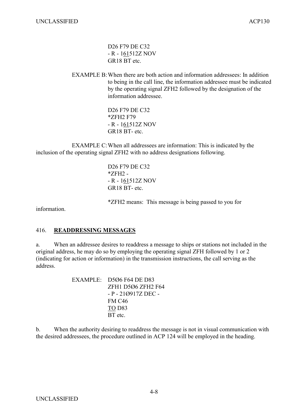D26 F79 DE C32 - R - 161512Z NOV GR18 BT etc.

EXAMPLE B:When there are both action and information addressees: In addition to being in the call line, the information addressee must be indicated by the operating signal ZFH2 followed by the designation of the information addressee.

> D26 F79 DE C32 \*ZFH2 F79 - R - 161512Z NOV GR18 BT- etc.

EXAMPLE C:When all addressees are information: This is indicated by the inclusion of the operating signal ZFH2 with no address designations following.

> D26 F79 DE C32  $*ZFH2 -$ - R - 161512Z NOV GR18 BT- etc.

\*ZFH2 means: This message is being passed to you for

information.

#### 416. **READDRESSING MESSAGES**

a. When an addressee desires to readdress a message to ships or stations not included in the original address, he may do so by employing the operating signal ZFH followed by 1 or 2 (indicating for action or information) in the transmission instructions, the call serving as the address.

> EXAMPLE: D5Ø6 F64 DE D83 ZFH1 D5Ø6 ZFH2 F64 - P - 21Ø917Z DEC - FM C46 TO D83 BT etc.

b. When the authority desiring to readdress the message is not in visual communication with the desired addressees, the procedure outlined in ACP 124 will be employed in the heading.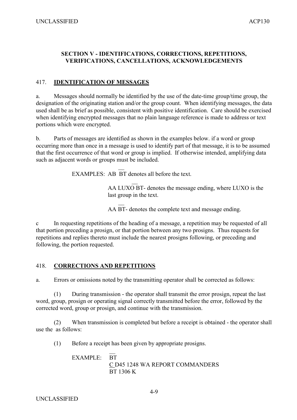# **SECTION V - IDENTIFICATIONS, CORRECTIONS, REPETITIONS, VERIFICATIONS, CANCELLATIONS, ACKNOWLEDGEMENTS**

## 417. **IDENTIFICATION OF MESSAGES**

a. Messages should normally be identified by the use of the date-time group/time group, the designation of the originating station and/or the group count. When identifying messages, the data used shall be as brief as possible, consistent with positive identification. Care should be exercised when identifying encrypted messages that no plain language reference is made to address or text portions which were encrypted.

b. Parts of messages are identified as shown in the examples below. if a word or group occurring more than once in a message is used to identify part of that message, it is to be assumed that the first occurrence of that word or group is implied. If otherwise intended, amplifying data such as adjacent words or groups must be included.

> EXAMPLES: AB  $\overline{BT}$  denotes all before the text.  $\overline{\phantom{a}}$

 $\mathcal{L}$ 

 $\mathcal{L}$ 

AA LUXO BT- denotes the message ending, where LUXO is the last group in the text.

AA BT- denotes the complete text and message ending.

c In requesting repetitions of the heading of a message, a repetition may be requested of all that portion preceding a prosign, or that portion between any two prosigns. Thus requests for repetitions and replies thereto must include the nearest prosigns following, or preceding and following, the portion requested.

## 418. **CORRECTIONS AND REPETITIONS**

a. Errors or omissions noted by the transmitting operator shall be corrected as follows:

(1) During transmission - the operator shall transmit the error prosign, repeat the last word, group, prosign or operating signal correctly transmitted before the error, followed by the corrected word, group or prosign, and continue with the transmission.

(2) When transmission is completed but before a receipt is obtained - the operator shall use the as follows:

(1) Before a receipt has been given by appropriate prosigns.

 $\overline{\phantom{a}}$ 

EXAMPLE: BT C D45 1248 WA REPORT COMMANDERS BT 1306 K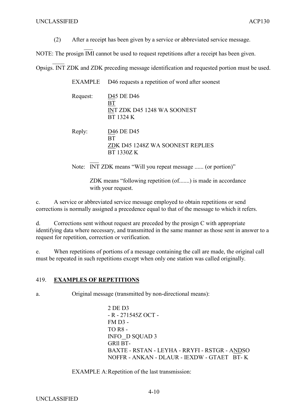$\mathcal{L}=\mathcal{L}$ 

 $\mathcal{L}=\mathcal{L}$ 

(2) After a receipt has been given by a service or abbreviated service message.

NOTE: The prosign IMI cannot be used to request repetitions after a receipt has been given.

Opsigs. INT ZDK and ZDK preceding message identification and requested portion must be used.

| <b>EXAMPLE</b> | D46 requests a repetition of word after soonest                                             |
|----------------|---------------------------------------------------------------------------------------------|
| Request:       | D <sub>45</sub> DE D <sub>46</sub><br>ВT<br>INT ZDK D45 1248 WA SOONEST<br><b>BT 1324 K</b> |
| Reply:         | D <sub>46</sub> DE D <sub>45</sub><br>RT<br>ZDK D45 1248Z WA SOONEST REPLIES<br>BT 1330Z K  |

Note: INT ZDK means "Will you repeat message ...... (or portion)"

ZDK means "following repetition (of.......) is made in accordance with your request.

c. A service or abbreviated service message employed to obtain repetitions or send corrections is normally assigned a precedence equal to that of the message to which it refers.

d. Corrections sent without request are preceded by the prosign C with appropriate identifying data where necessary, and transmitted in the same manner as those sent in answer to a request for repetition, correction or verification.

e. When repetitions of portions of a message containing the call are made, the original call must be repeated in such repetitions except when only one station was called originally.

#### 419. **EXAMPLES OF REPETITIONS**

a. Original message (transmitted by non-directional means):

2 DE D3 - R - 271545Z OCT - FM D3 - TO R8 - INFO D SQUAD 3 GRll BT-BAXTE - RSTAN - LEYHA - RRYFI - RSTGR - ANDSO NOFFR - ANKAN - DLAUR - IEXDW - GTAET BT- K

EXAMPLE A:Repetition of the last transmission: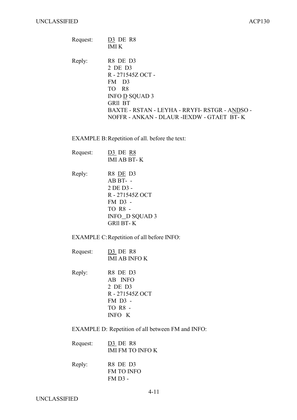| Request: | D3 DE R8<br><b>IMI</b> K                                                                                                                        |
|----------|-------------------------------------------------------------------------------------------------------------------------------------------------|
| Reply:   | R <sub>8</sub> D <sub>E</sub> D <sub>3</sub><br>2 DE D3<br>R - 271545Z OCT -<br>FM D3<br>- R8<br>TO.<br><b>INFO D SQUAD 3</b><br><b>GRII BT</b> |
|          | BAXTE - RSTAN - LEYHA - RRYFI- RSTGR - ANDSO -<br>NOFFR - ANKAN - DLAUR - IEXDW - GTAET BT-K                                                    |

EXAMPLE B:Repetition of all. before the text:

| Request: | D3 DE R8<br><b>IMI AB BT-K</b>                                                                                       |
|----------|----------------------------------------------------------------------------------------------------------------------|
| Reply:   | R8 DE D3<br>$ABBT$ - -<br>2 DE D3 -<br>R - 271545Z OCT<br>$FM$ D3 -<br>TO R8 -<br>INFO D SQUAD 3<br><b>GRII BT-K</b> |

EXAMPLE C:Repetition of all before INFO:

Request: <u>D3</u> DE R8 IMI AB INFO K

Reply: R8 DE D3 AB INFO 2 DE D3 R - 271545Z OCT FM D3 - TO R8 - INFO K

EXAMPLE D: Repetition of all between FM and INFO:

| Request: | D3 DE R8<br><b>IMI FM TO INFO K</b>       |
|----------|-------------------------------------------|
| Reply:   | R8 DE D3<br><b>FM TO INFO</b><br>$FMD3 -$ |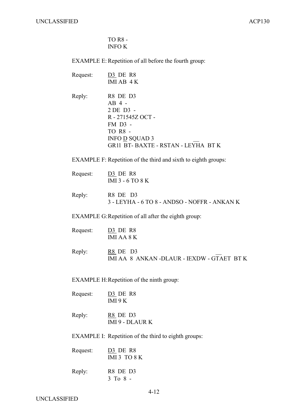# TO R8 - INFO K

EXAMPLE E: Repetition of all before the fourth group:

| Request: | <b>D3</b> DE R8<br>IMI AB 4 K                                                                                                                   |
|----------|-------------------------------------------------------------------------------------------------------------------------------------------------|
| Reply:   | R8 DE D3<br>AB 4 -<br>2 DE D3 -<br>R - 271545Z OCT -<br>FM D3 -<br>TO R8 -<br><b>INFO D SQUAD 3</b><br><b>GR11 BT-BAXTE - RSTAN - LEYHA BTK</b> |
|          | <b>EXAMPLE F:</b> Repetition of the third and sixth to eighth groups:                                                                           |
| Request: | <b>D3</b> DE R8<br>IMI 3 - 6 TO 8 K                                                                                                             |
| Reply:   | R8 DE D3<br>3 - LEYHA - 6 TO 8 - ANDSO - NOFFR - ANKAN K                                                                                        |
|          | EXAMPLE G: Repetition of all after the eighth group:                                                                                            |
| Request: | D3 DE R8<br><b>IMI AA 8 K</b>                                                                                                                   |
| Reply:   | R8 DE D3<br>IMI AA 8 ANKAN -DLAUR - IEXDW - GTAET BTK                                                                                           |
|          | EXAMPLE H: Repetition of the ninth group:                                                                                                       |
| Request: | <b>D3</b> DE R8<br>IMI 9 K                                                                                                                      |
| Reply:   | R8 DE D3<br><b>IMI 9 - DLAUR K</b>                                                                                                              |
|          | EXAMPLE I: Repetition of the third to eighth groups:                                                                                            |
| Request: | <b>D3</b> DE R8<br>IMI 3 TO 8 K                                                                                                                 |
| Reply:   | R8 DE D3<br>3 To 8 -                                                                                                                            |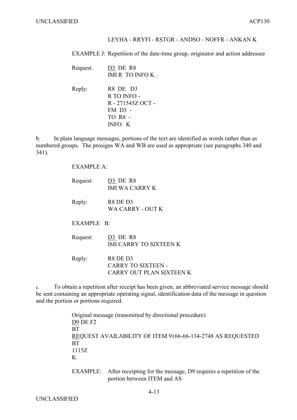#### LEYHA - RRYFI - RSTGR - ANDSO - NOFFR - ANKAN K

EXAMPLE J: Repetition of the date-time group, originator and action addressee

| Request: | D <sub>3</sub> D <sub>E</sub> R <sub>8</sub> |  |
|----------|----------------------------------------------|--|
|          | <b>IMI R TO INFO K</b>                       |  |

Reply: R8 DE D3 R TO INFO - R - 271545Z OCT -  $FM$  D<sub>3</sub> -TO R8 - INFO K

b. In plain language messages, portions of the text are identified as words rather than as numbered groups. The prosigns WA and WB are used as appropriate (see paragraphs 340 and 341).

EXAMPLE A:

| Request:          | D3 DE R8<br><b>IMI WA CARRY K</b>                                 |
|-------------------|-------------------------------------------------------------------|
| Reply:            | R8 DE D3<br>WA CARRY - OUT K                                      |
| <b>EXAMPLE B:</b> |                                                                   |
| Request:          | D3 DE R8<br><b>IMI CARRY TO SIXTEEN K</b>                         |
| Reply:            | R8 DE D3<br><b>CARRY TO SIXTEEN -</b><br>CARRY OUT PLAN SIXTEEN K |

c. To obtain a repetition after receipt has been given, an abbreviated service message should be sent containing an appropriate operating signal, identification data of the message in question and the portion or portions required.

> Original message (transmitted by directional procedure) D9 DE F2 **BT** REQUEST AVAILABILITY OF ITEM 9166-66-134-2748 AS REQUESTED **BT** 1115Z K

> EXAMPLE: After receipting for the message, D9 requires a repetition of the portion between ITEM and AS

UNCLASSIFIED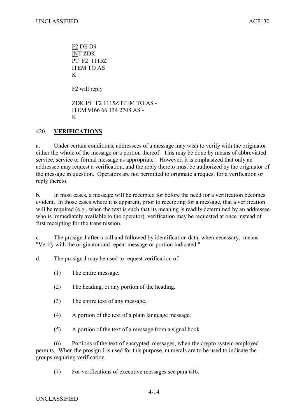F2 DE D9 INT ZDK PT F2 1115Z ITEM TO AS K F2 will reply  $\sim$ ZDK PT F2 1115Z ITEM TO AS - ITEM 9166 66 134 2748 AS - K

### 420. **VERIFICATIONS**

a. Under certain conditions, addressees of a message may wish to verify with the originator either the whole of the message or a portion thereof. This may be done by means of abbreviated service, service or formal message as appropriate. However, it is emphasized that only an addressee may request a verification, and the reply thereto must be authorized by the originator of the message in question. Operators are not permitted to originate a request for a verification or reply thereto.

b. In most cases, a message will be receipted for before the need for a verification becomes evident. In those cases where it is apparent, prior to receipting for a message, that a verification will be required (e.g., when the text is such that its meaning is readily determined by an addressee who is immediately available to the operator), verification may be requested at once instead of first receipting for the transmission.

c. The prosign J after a call and followed by identification data, when necessary, means "Verify with the originator and repeat message or portion indicated."

d. The prosign J may be used to request verification of:

- (1) The entire message.
- (2) The heading, or any portion of the heading.
- (3) The entire text of any message.
- (4) A portion of the text of a plain language message.
- (5) A portion of the text of a message from a signal book

(6) Portions of the text of encrypted messages, when the crypto system employed permits. When the prosign J is used for this purpose, numerals are to be used to indicate the groups requiring verification.

(7) For verifications of executive messages see para 616.

#### UNCLASSIFIED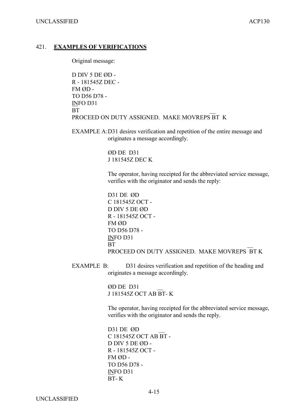### 421. **EXAMPLES OF VERIFICATIONS**

Original message:

D DIV 5 DE ØD - R - 181545Z DEC - FM ØD - TO D56 D78 - INFO D31  $BT$   $\qquad \qquad \qquad \qquad$ PROCEED ON DUTY ASSIGNED. MAKE MOVREPS BT K

EXAMPLE A:D31 desires verification and repetition of the entire message and originates a message accordingly.

> ØD DE D31 J 181545Z DEC K

The operator, having receipted for the abbreviated service message, verifies with the originator and sends the reply:

D31 DE ØD C 181545Z OCT - D DIV 5 DE ØD R - 181545Z OCT - FM ØD TO D56 D78 - INFO D31  $BT$   $\qquad \qquad \qquad \qquad$ PROCEED ON DUTY ASSIGNED. MAKE MOVREPS BT K

EXAMPLE B: D31 desires verification and repetition of the heading and originates a message accordingly.

> ØD DE D31 \_\_ J 181545Z OCT AB BT- K

The operator, having receipted for the abbreviated service message, verifies with the originator and sends the reply.

D31 DE ØD \_\_ C 181545Z OCT AB BT - D DIV 5 DE ØD - R - 181545Z OCT - FM ØD - TO D56 D78 - INFO D31 BT- K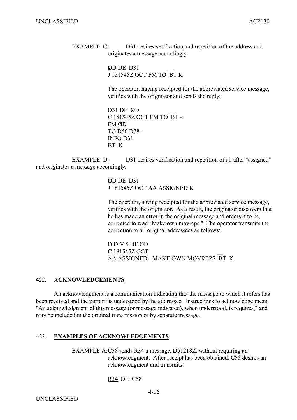EXAMPLE C: D31 desires verification and repetition of the address and originates a message accordingly.

> ØD DE D31 \_\_ J 181545Z OCT FM TO BT K

The operator, having receipted for the abbreviated service message, verifies with the originator and sends the reply:

D31 DE ØD C 181545Z OCT FM TO BT - FM ØD TO D56 D78 - INFO D31 BT K

EXAMPLE D: D31 desires verification and repetition of all after "assigned" and originates a message accordingly.

> ØD DE D31 J 181545Z OCT AA ASSIGNED K

The operator, having receipted for the abbreviated service message, verifies with the originator. As a result, the originator discovers that he has made an error in the original message and orders it to be corrected to read "Make own movreps." The operator transmits the correction to all original addressees as follows:

D DIV 5 DE ØD C 181545Z OCT AA ASSIGNED - MAKE OWN MOVREPS BT K

#### 422. **ACKNOWLEDGEMENTS**

An acknowledgment is a communication indicating that the message to which it refers has been received and the purport is understood by the addressee. Instructions to acknowledge mean "An acknowledgment of this message (or message indicated), when understood, is requires," and may be included in the original transmission or by separate message.

### 423. **EXAMPLES OF ACKNOWLEDGEMENTS**

EXAMPLE A:C58 sends R34 a message, Ø51218Z, without requiring an acknowledgment. After receipt has been obtained, C58 desires an acknowledgment and transmits:

R34 DE C58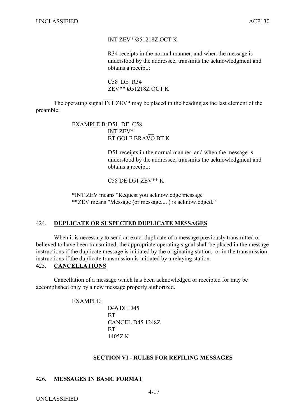### INT ZEV\* Ø51218Z OCT K

R34 receipts in the normal manner, and when the message is understood by the addressee, transmits the acknowledgment and obtains a receipt.:

C58 DE R34 ZEV\*\* Ø51218Z OCT K

The operating signal INT ZEV\* may be placed in the heading as the last element of the preamble:

### EXAMPLE B:D51 DE C58 INT ZEV\* BT GOLF BRAVO BT K

 $\mathcal{L}=\mathcal{L}$ 

D51 receipts in the normal manner, and when the message is understood by the addressee, transmits the acknowledgment and obtains a receipt.:

### C58 DE D51 ZEV\*\* K

\*INT ZEV means "Request you acknowledge message \*\*ZEV means "Message (or message.... ) is acknowledged."

### 424. **DUPLICATE OR SUSPECTED DUPLICATE MESSAGES**

When it is necessary to send an exact duplicate of a message previously transmitted or believed to have been transmitted, the appropriate operating signal shall be placed in the message instructions if the duplicate message is initiated by the originating station, or in the transmission instructions if the duplicate transmission is initiated by a relaying station.

### 425. **CANCELLATIONS**

Cancellation of a message which has been acknowledged or receipted for may be accomplished only by a new message properly authorized.

EXAMPLE:

D46 DE D45 **BT** CANCEL D45 1248Z **BT** 1405Z K

#### **SECTION VI - RULES FOR REFILING MESSAGES**

#### 426. **MESSAGES IN BASIC FORMAT**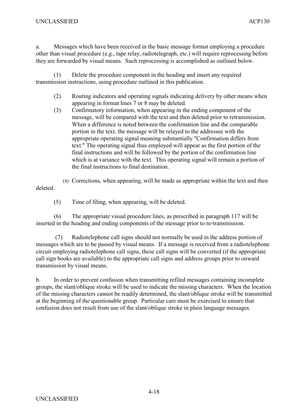a. Messages which have been received in the basic message format employing a procedure other than visual procedure (e.g., tape relay, radiotelegraph, etc.) will require reprocessing before they are forwarded by visual means. Such reprocessing is accomplished as outlined below.

(1) Delete the procedure component in the heading and insert any required transmission instructions, using procedure outlined in this publication.

- (2) Routing indicators and operating signals indicating delivery by other means when appearing in format lines 7 or 8 may be deleted.
- (3) Confirmatory information, when appearing in the ending component of the message, will be compared with the text and then deleted prior to retransmission. When a difference is noted between the confirmation line and the comparable portion in the text, the message will be relayed to the addressee with the appropriate operating signal meaning substantially "Confirmation differs from text." The operating signal thus employed will appear as the first portion of the final instructions and will be followed by the portion of the confirmation line which is at variance with the text. This operating signal will remain a portion of the final instructions to final destination.
- (4) Corrections, when appearing, will be made as appropriate within the text and then deleted.
	- (5) Time of filing, when appearing, will be deleted.

(6) The appropriate visual procedure lines, as prescribed in paragraph 117 will be inserted in the heading and ending components of the message prior to re-transmission.

 (7) Radiotelephone call signs should not normally be used in the address portion of messages which are to be passed by visual means. If a message is received from a radiotelephone circuit employing radiotelephone call signs, these call signs will be converted (if the appropriate call sign books are available) to the appropriate call signs and address groups prior to onward transmission by visual means.

b. In order to prevent confusion when transmitting refiled messages containing incomplete groups, the slant/oblique stroke will be used to indicate the missing characters. When the location of the missing characters cannot be readily determined, the slant/oblique stroke will be transmitted at the beginning of the questionable group. Particular care must be exercised to ensure that confusion does not result from use of the slant/oblique stroke in plain language messages.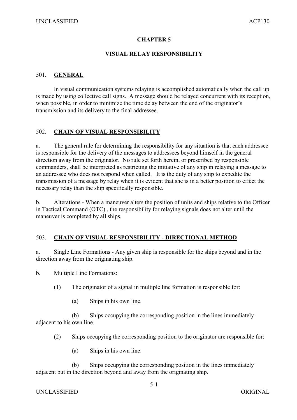### **CHAPTER 5**

### **VISUAL RELAY RESPONSIBILITY**

#### 501. **GENERAL**

In visual communication systems relaying is accomplished automatically when the call up is made by using collective call signs. A message should be relayed concurrent with its reception, when possible, in order to minimize the time delay between the end of the originator's transmission and its delivery to the final addressee.

### 502. **CHAIN OF VISUAL RESPONSIBILITY**

a. The general rule for determining the responsibility for any situation is that each addressee is responsible for the delivery of the messages to addressees beyond himself in the general direction away from the originator. No rule set forth herein, or prescribed by responsible commanders, shall be interpreted as restricting the initiative of any ship in relaying a message to an addressee who does not respond when called. It is the duty of any ship to expedite the transmission of a message by relay when it is evident that she is in a better position to effect the necessary relay than the ship specifically responsible.

b. Alterations - When a maneuver alters the position of units and ships relative to the Officer in Tactical Command (OTC) , the responsibility for relaying signals does not alter until the maneuver is completed by all ships.

### 503. **CHAIN OF VISUAL RESPONSIBILITY - DIRECTIONAL METHOD**

a. Single Line Formations - Any given ship is responsible for the ships beyond and in the direction away from the originating ship.

b. Multiple Line Formations:

- (1) The originator of a signal in multiple line formation is responsible for:
	- (a) Ships in his own line.

(b) Ships occupying the corresponding position in the lines immediately adjacent to his own line.

- (2) Ships occupying the corresponding position to the originator are responsible for:
	- (a) Ships in his own line.

(b) Ships occupying the corresponding position in the lines immediately adjacent but in the direction beyond and away from the originating ship.

#### UNCLASSIFIED ORIGINAL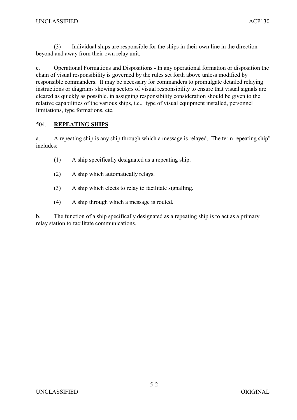(3) Individual ships are responsible for the ships in their own line in the direction beyond and away from their own relay unit.

c. Operational Formations and Dispositions - In any operational formation or disposition the chain of visual responsibility is governed by the rules set forth above unless modified by responsible commanders. It may be necessary for commanders to promulgate detailed relaying instructions or diagrams showing sectors of visual responsibility to ensure that visual signals are cleared as quickly as possible. in assigning responsibility consideration should be given to the relative capabilities of the various ships, i.e., type of visual equipment installed, personnel limitations, type formations, etc.

# 504. **REPEATING SHIPS**

a. A repeating ship is any ship through which a message is relayed, The term repeating ship" includes:

- (1) A ship specifically designated as a repeating ship.
- (2) A ship which automatically relays.
- (3) A ship which elects to relay to facilitate signalling.
- (4) A ship through which a message is routed.

b. The function of a ship specifically designated as a repeating ship is to act as a primary relay station to facilitate communications.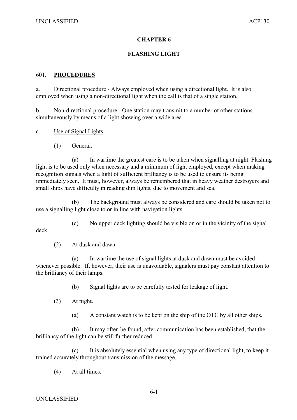### **CHAPTER 6**

# **FLASHING LIGHT**

### 601. **PROCEDURES**

a. Directional procedure - Always employed when using a directional light. It is also employed when using a non-directional light when the call is that of a single station.

b. Non-directional procedure - One station may transmit to a number of other stations simultaneously by means of a light showing over a wide area.

c. Use of Signal Lights

(1) General.

(a) In wartime the greatest care is to be taken when signalling at night. Flashing light is to be used only when necessary and a minimum of light employed, except when making recognition signals when a light of sufficient brilliancy is to be used to ensure its being immediately seen. It must, however, always be remembered that in heavy weather destroyers and small ships have difficulty in reading dim lights, due to movement and sea.

(b) The background must always be considered and care should be taken not to use a signalling light close to or in line with navigation lights.

(c) No upper deck lighting should be visible on or in the vicinity of the signal

deck.

(2) At dusk and dawn.

(a) In wartime the use of signal lights at dusk and dawn must be avoided whenever possible. If, however, their use is unavoidable, signalers must pay constant attention to the brilliancy of their lamps.

(b) Signal lights are to be carefully tested for leakage of light.

(3) At night.

(a) A constant watch is to be kept on the ship of the OTC by all other ships.

(b) It may often be found, after communication has been established, that the brilliancy of the light can be still further reduced.

(c) It is absolutely essential when using any type of directional light, to keep it trained accurately throughout transmission of the message.

(4) At all times.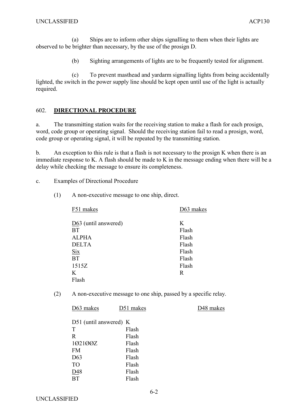(a) Ships are to inform other ships signalling to them when their lights are observed to be brighter than necessary, by the use of the prosign D.

(b) Sighting arrangements of lights are to be frequently tested for alignment.

(c) To prevent masthead and yardarm signalling lights from being accidentally lighted, the switch in the power supply line should be kept open until use of the light is actually required.

### 602. **DIRECTIONAL PROCEDURE**

a. The transmitting station waits for the receiving station to make a flash for each prosign, word, code group or operating signal. Should the receiving station fail to read a prosign, word, code group or operating signal, it will be repeated by the transmitting station.

b. An exception to this rule is that a flash is not necessary to the prosign K when there is an immediate response to K. A flash should be made to K in the message ending when there will be a delay while checking the message to ensure its completeness.

c. Examples of Directional Procedure

(1) A non-executive message to one ship, direct.

| F51 makes            | D63 makes |
|----------------------|-----------|
| D63 (until answered) | K         |
| ВT                   | Flash     |
| ALPHA                | Flash     |
| <b>DELTA</b>         | Flash     |
| <u>Six</u>           | Flash     |
| BT                   | Flash     |
| 1515Z                | Flash     |
| K<br>Flash           | R         |
|                      |           |

(2) A non-executive message to one ship, passed by a specific relay.

| D63 makes                | D51 makes | D48 makes |
|--------------------------|-----------|-----------|
| D51 (until answered) $K$ |           |           |
| T                        | Flash     |           |
| R                        | Flash     |           |
| 102100Z                  | Flash     |           |
| <b>FM</b>                | Flash     |           |
| D <sub>63</sub>          | Flash     |           |
| <b>TO</b>                | Flash     |           |
| D48                      | Flash     |           |
| BT                       | Flash     |           |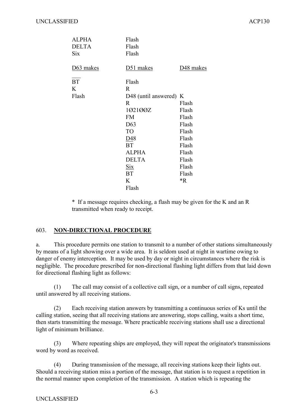| <b>ALPHA</b>      | Flash                  |           |
|-------------------|------------------------|-----------|
| <b>DELTA</b>      | Flash                  |           |
| Six               | Flash                  |           |
| D63 makes         | D51 makes              | D48 makes |
| <b>BT</b>         | Flash                  |           |
| $K_{\mathcal{I}}$ | $\mathbf{R}$           |           |
| Flash             | D48 (until answered) K |           |
|                   | $\mathbf{R}$           | Flash     |
|                   | 102100Z                | Flash     |
|                   | <b>FM</b>              | Flash     |
|                   | D <sub>63</sub>        | Flash     |
|                   | <b>TO</b>              | Flash     |
|                   | D48                    | Flash     |
|                   | <b>BT</b>              | Flash     |
|                   | <b>ALPHA</b>           | Flash     |
|                   | <b>DELTA</b>           | Flash     |
|                   | <u>Six</u>             | Flash     |
|                   | <b>BT</b>              | Flash     |
|                   | K                      | *R        |
|                   | Flash                  |           |

\* If a message requires checking, a flash may be given for the K and an R transmitted when ready to receipt.

### 603. **NON-DIRECTIONAL PROCEDURE**

a. This procedure permits one station to transmit to a number of other stations simultaneously by means of a light showing over a wide area. It is seldom used at night in wartime owing to danger of enemy interception. It may be used by day or night in circumstances where the risk is negligible. The procedure prescribed for non-directional flashing light differs from that laid down for directional flashing light as follows:

(1) The call may consist of a collective call sign, or a number of call signs, repeated until answered by all receiving stations.

(2) Each receiving station answers by transmitting a continuous series of Ks until the calling station, seeing that all receiving stations are answering, stops calling, waits a short time, then starts transmitting the message. Where practicable receiving stations shall use a directional light of minimum brilliance.

(3) Where repeating ships are employed, they will repeat the originator's transmissions word by word as received.

(4) During transmission of the message, all receiving stations keep their lights out. Should a receiving station miss a portion of the message, that station is to request a repetition in the normal manner upon completion of the transmission. A station which is repeating the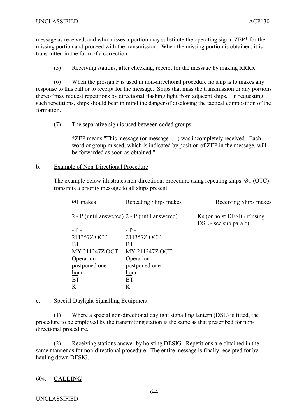message as received, and who misses a portion may substitute the operating signal ZEP\* for the missing portion and proceed with the transmission. When the missing portion is obtained, it is transmitted in the form of a correction.

(5) Receiving stations, after checking, receipt for the message by making RRRR.

(6) When the prosign F is used in non-directional procedure no ship is to makes any response to this call or to receipt for the message. Ships that miss the transmission or any portions thereof may request repetitions by directional flashing light from adjacent ships. In requesting such repetitions, ships should bear in mind the danger of disclosing the tactical composition of the formation.

(7) The separative sign is used between coded groups.

\*ZEP means "This message (or message .... ) was incompletely received. Each word or group missed, which is indicated by position of ZEP in the message, will be forwarded as soon as obtained."

b. Example of Non-Directional Procedure

The example below illustrates non-directional procedure using repeating ships. Ø1 (OTC) transmits a priority message to all ships present.

| Ø1 makes              | Repeating Ships makes                         | Receiving Ships makes                                |
|-----------------------|-----------------------------------------------|------------------------------------------------------|
|                       | 2 - P (until answered) 2 - P (until answered) | Ks (or hoist DESIG if using<br>DSL - see sub para c) |
| $-$ P $-$             | $-$ P $-$                                     |                                                      |
| 211357Z OCT           | 211357Z OCT                                   |                                                      |
| <b>BT</b>             | <b>BT</b>                                     |                                                      |
| <b>MY 211247Z OCT</b> | <b>MY 211247Z OCT</b>                         |                                                      |
| Operation             | Operation                                     |                                                      |
| postponed one         | postponed one                                 |                                                      |
| hour                  | hour                                          |                                                      |
| <b>BT</b>             | <b>BT</b>                                     |                                                      |
| K                     |                                               |                                                      |

#### c. Special Daylight Signalling Equipment

(1) Where a special non-directional daylight signalling lantern (DSL) is fitted, the procedure to be employed by the transmitting station is the same as that prescribed for nondirectional procedure.

(2) Receiving stations answer by hoisting DESIG. Repetitions are obtained in the same manner as for non-directional procedure. The entire message is finally receipted for by hauling down DESIG.

#### 604. **CALLING**

#### UNCLASSIFIED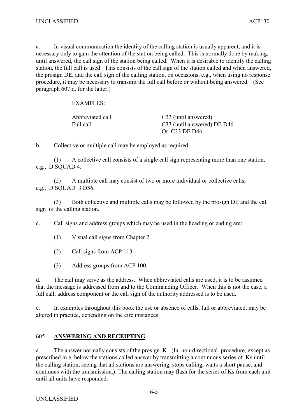a. In visual communication the identity of the calling station is usually apparent, and it is necessary only to gain the attention of the station being called. This is normally done by making, until answered, the call sign of the station being called. When it is desirable to identify the calling station, the full call is used. This consists of the call sign of the station called and when answered, the prosign DE, and the call sign of the calling station. on occasions, e.g., when using no response procedure, it may be necessary to transmit the full call before or without being answered. (See paragraph 607.d. for the latter.)

#### EXAMPLES:

| Abbreviated call | C33 (until answered)        |
|------------------|-----------------------------|
| Full call        | C33 (until answered) DE D46 |
|                  | Or C33 DE D46               |

b. Collective or multiple call may be employed as required.

(1) A collective call consists of a single call sign representing more than one station, e.g., D SQUAD 4.

(2) A multiple call may consist of two or more individual or collective calls, e.g., D SQUAD 3 D56.

(3) Both collective and multiple calls may be followed by the prosign DE and the call sign of the calling station.

c. Call signs and address groups which may be used in the heading or ending are:

- (1) Visual call signs from Chapter 2.
- (2) Call signs from ACP 113.
- (3) Address groups from ACP 100.

d. The call may serve as the address. When abbreviated calls are used, it is to be assumed that the message is addressed from and to the Commanding Officer. When this is not the case, a full call, address component or the call sign of the authority addressed is to be used.

e. In examples throughout this book the use or absence of calls, full or abbreviated, may be altered in practice, depending on the circumstances.

### 605. **ANSWERING AND RECEIPTING**

a. The answer normally consists of the prosign K. (In non-directional procedure, except as prescribed in e. below the stations called answer by transmitting a continuous series of Ks until the calling station, seeing that all stations are answering, stops calling, waits a short pause, and continues with the transmission.) The calling station may flash for the series of Ks from each unit until all units have responded.

#### UNCLASSIFIED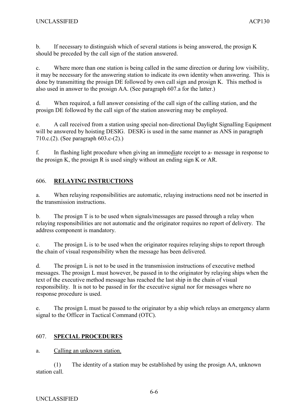b. If necessary to distinguish which of several stations is being answered, the prosign K should be preceded by the call sign of the station answered.

c. Where more than one station is being called in the same direction or during low visibility, it may be necessary for the answering station to indicate its own identity when answering. This is done by transmitting the prosign DE followed by own call sign and prosign K. This method is also used in answer to the prosign AA. (See paragraph 607.a for the latter.)

d. When required, a full answer consisting of the call sign of the calling station, and the prosign DE followed by the call sign of the station answering may be employed.

e. A call received from a station using special non-directional Daylight Signalling Equipment will be answered by hoisting DESIG. DESIG is used in the same manner as ANS in paragraph 710.c.(2). (See paragraph 603.c-(2).)

f. In flashing light procedure when giving an immediate receipt to a- message in response to the prosign K, the prosign R is used singly without an ending sign K or AR.

# 606. **RELAYING INSTRUCTIONS**

a. When relaying responsibilities are automatic, relaying instructions need not be inserted in the transmission instructions.

b. The prosign T is to be used when signals/messages are passed through a relay when relaying responsibilities are not automatic and the originator requires no report of delivery. The address component is mandatory.

c. The prosign L is to be used when the originator requires relaying ships to report through the chain of visual responsibility when the message has been delivered.

d. The prosign L is not to be used in the transmission instructions of executive method messages. The prosign L must however, be passed in to the originator by relaying ships when the text of the executive method message has reached the last ship in the chain of visual responsibility. It is not to be passed in for the executive signal nor for messages where no response procedure is used.

e. The prosign L must be passed to the originator by a ship which relays an emergency alarm signal to the Officer in Tactical Command (OTC).

# 607. **SPECIAL PROCEDURES**

a. Calling an unknown station.

(1) The identity of a station may be established by using the prosign AA, unknown station call.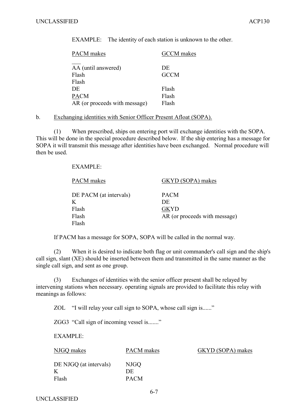EXAMPLE: The identity of each station is unknown to the other.

| <b>PACM</b> makes             | <b>GCCM</b> makes |
|-------------------------------|-------------------|
| AA (until answered)<br>Flash  | DE<br><b>GCCM</b> |
| Flash                         |                   |
| DE                            | Flash             |
| <b>PACM</b>                   | Flash             |
| AR (or proceeds with message) | Flash             |

#### b. Exchanging identities with Senior Officer Present Afloat (SOPA).

(1) When prescribed, ships on entering port will exchange identities with the SOPA. This will be done in the special procedure described below. If the ship entering has a message for SOPA it will transmit this message after identities have been exchanged. Normal procedure will then be used.

EXAMPLE:

| <b>PACM</b> makes      | GKYD (SOPA) makes             |
|------------------------|-------------------------------|
| DE PACM (at intervals) | <b>PACM</b>                   |
| K                      | DE                            |
| Flash                  | <b>GKYD</b>                   |
| Flash                  | AR (or proceeds with message) |
| Flash                  |                               |

If PACM has a message for SOPA, SOPA will be called in the normal way.

(2) When it is desired to indicate both flag or unit commander's call sign and the ship's call sign, slant (XE) should be inserted between them and transmitted in the same manner as the single call sign, and sent as one group.

(3) Exchanges of identities with the senior officer present shall be relayed by intervening stations when necessary. operating signals are provided to facilitate this relay with meanings as follows:

ZOL "I will relay your call sign to SOPA, whose call sign is......"

ZGG3 "Call sign of incoming vessel is......."

EXAMPLE:

| NJGQ makes                  | <b>PACM</b> makes | GKYD (SOPA) makes |
|-----------------------------|-------------------|-------------------|
| DE NJGQ (at intervals)<br>K | NJGQ<br>DE        |                   |
| Flash                       | <b>PACM</b>       |                   |

UNCLASSIFIED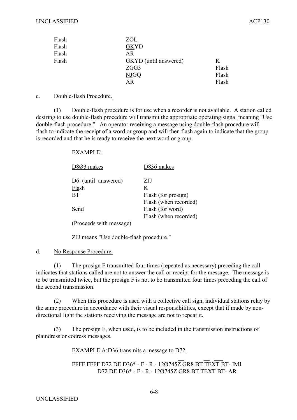| Flash | <b>ZOL</b>            |       |
|-------|-----------------------|-------|
| Flash | <b>GKYD</b>           |       |
| Flash | AR                    |       |
| Flash | GKYD (until answered) | K     |
|       | ZGG3                  | Flash |
|       | <b>NJGQ</b>           | Flash |
|       | AR                    | Flash |

#### c. Double-flash Procedure.

(1) Double-flash procedure is for use when a recorder is not available. A station called desiring to use double-flash procedure will transmit the appropriate operating signal meaning "Use double-flash procedure." An operator receiving a message using double-flash procedure will flash to indicate the receipt of a word or group and will then flash again to indicate that the group is recorded and that he is ready to receive the next word or group.

#### EXAMPLE:

| D803 makes              | D836 makes            |
|-------------------------|-----------------------|
| D6 (until answered)     | ZJJ                   |
| Flash                   | K                     |
| <b>BT</b>               | Flash (for prosign)   |
|                         | Flash (when recorded) |
| Send                    | Flash (for word)      |
|                         | Flash (when recorded) |
| (Proceeds with message) |                       |

ZJJ means "Use double-flash procedure."

#### d. No Response Procedure.

(1) The prosign F transmitted four times (repeated as necessary) preceding the call indicates that stations called are not to answer the call or receipt for the message. The message is to be transmitted twice, but the prosign F is not to be transmitted four times preceding the call of the second transmission.

(2) When this procedure is used with a collective call sign, individual stations relay by the same procedure in accordance with their visual responsibilities, except that if made by nondirectional light the stations receiving the message are not to repeat it.

(3) The prosign F, when used, is to be included in the transmission instructions of plaindress or codress messages.

EXAMPLE A:D36 transmits a message to D72.

FFFF FFFF D72 DE D36\* - F - R - 12Ø745Z GR8 BT TEXT BT- IMI D72 DE D36\* - F - R - 12Ø745Z GR8 BT TEXT BT- AR

 $\frac{1}{2}$  ,  $\frac{1}{2}$  ,  $\frac{1}{2}$  ,  $\frac{1}{2}$  ,  $\frac{1}{2}$  ,  $\frac{1}{2}$  ,  $\frac{1}{2}$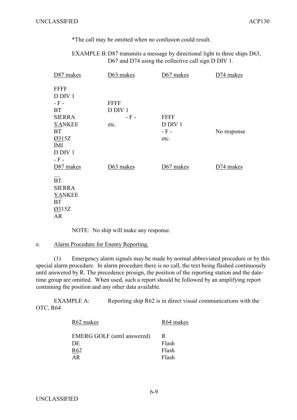\*The call may be omitted when no confusion could result.

EXAMPLE B:D87 transmits a message by directional light to three ships D63, D67 and D74 using the collective call sign D DIV 1.

| D87 makes     | D63 makes | D67 makes   | D74 makes   |
|---------------|-----------|-------------|-------------|
| <b>FFFF</b>   |           |             |             |
| D DIV 1       |           |             |             |
| - $F$ -       | FFFF      |             |             |
| <b>BT</b>     | D DIV 1   |             |             |
| <b>SIERRA</b> | $-F -$    | <b>FFFF</b> |             |
| <b>YANKEE</b> | etc.      | D DIV 1     |             |
| <b>BT</b>     |           | $-F -$      | No response |
| <b>Ø315Z</b>  |           | etc.        |             |
| <b>IMI</b>    |           |             |             |
| D DIV 1       |           |             |             |
| $-F -$        |           |             |             |
| D87 makes     | D63 makes | D67 makes   | D74 makes   |
| <b>BT</b>     |           |             |             |
| <b>SIERRA</b> |           |             |             |
| <b>YANKEE</b> |           |             |             |
| <b>BT</b>     |           |             |             |
| Q315Z         |           |             |             |
| AR            |           |             |             |

NOTE: No ship will make any response.

### e. Alarm Procedure for Enemy Reporting.

(1) Emergency alarm signals may be made by normal abbreviated procedure or by this special alarm procedure. In alarm procedure there is no call, the text being flashed continuously until answered by R. The precedence prosign, the position of the reporting station and the datetime group are omitted. When used, such a report should be followed by an amplifying report containing the position and any other data available.

EXAMPLE A: Reporting ship R62 is in direct visual communications with the OTC, R64

| R62 makes                          | R64 makes |
|------------------------------------|-----------|
| <b>EMERG GOLF</b> (until answered) | R         |
| DE                                 | Flash     |
| R <sub>62</sub>                    | Flash     |
| ΔR                                 | Flash     |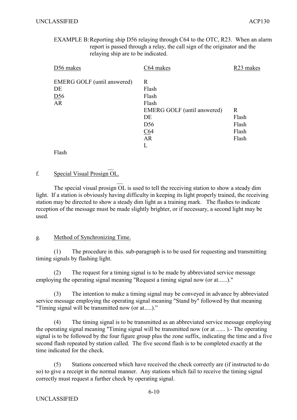EXAMPLE B: Reporting ship D56 relaying through C64 to the OTC, R23. When an alarm report is passed through a relay, the call sign of the originator and the relaying ship are to be indicated.

| D56 makes                                                                           | C64 makes                                                                                                       | R <sub>23</sub> makes                            |
|-------------------------------------------------------------------------------------|-----------------------------------------------------------------------------------------------------------------|--------------------------------------------------|
| <b>EMERG GOLF</b> (until answered)<br>DE<br>$\underline{\mathsf{D5}}6$<br><b>AR</b> | R<br>Flash<br>Flash<br>Flash<br><b>EMERG GOLF</b> (until answered)<br>DE<br>D <sub>56</sub><br>C64<br><b>AR</b> | $\mathbb{R}$<br>Flash<br>Flash<br>Flash<br>Flash |

Flash

### f. Special Visual Prosign OL.

 $\mathcal{L}=\mathcal{L}$ 

 $\mathcal{L}$ 

The special visual prosign OL is used to tell the receiving station to show a steady dim light. If a station is obviously having difficulty in keeping its light properly trained, the receiving station may be directed to show a steady dim light as a training mark. The flashes to indicate reception of the message must be made slightly brighter, or if necessary, a second light may be used.

### g. Method of Synchronizing Time.

(1) The procedure in this. sub-paragraph is to be used for requesting and transmitting timing signals by flashing light.

(2) The request for a timing signal is to be made by abbreviated service message employing the operating signal meaning "Request a timing signal now (or at......)."

(3) The intention to make a timing signal may be conveyed in advance by abbreviated service message employing the operating signal meaning "Stand by" followed by that meaning "Timing signal will be transmitted now (or at.....)."

(4) The timing signal is to be transmitted as an abbreviated service message employing the operating signal meaning "Timing signal will be transmitted now (or at ...... ).- The operating signal is to be followed by the four figure group plus the zone suffix, indicating the time and a five second flash repeated by station called. The five second flash is to be completed exactly at the time indicated for the check.

(5) Stations concerned which have received the check correctly are (if instructed to do so) to give a receipt in the normal manner. Any stations which fail to receive the timing signal correctly must request a further check by operating signal.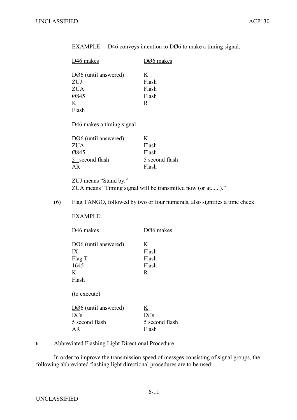EXAMPLE: D46 conveys intention to DØ6 to make a timing signal.

| D <sub>46</sub> makes     | DØ6 makes |
|---------------------------|-----------|
|                           |           |
| DØ6 (until answered)      | K         |
| ZUJ                       | Flash     |
| <b>ZUA</b>                | Flash     |
| Ø845                      | Flash     |
| K                         | R         |
| Flash                     |           |
|                           |           |
| D46 makes a timing signal |           |

| DØ6 (until answered) | K.             |
|----------------------|----------------|
| ZUA                  | Flash          |
| Ø845                 | Flash          |
| 5 second flash       | 5 second flash |
| AR                   | Flash          |

ZUJ means "Stand by." ZUA means "Timing signal will be transmitted now (or at......)."

(6) Flag TANGO, followed by two or four numerals, also signifies a time check.

EXAMPLE:

| D46 makes                                                                | DØ6 makes                            |
|--------------------------------------------------------------------------|--------------------------------------|
| $\underline{DQ6}$ (until answered)<br>IX<br>Flag T<br>1645<br>K<br>Flash | K<br>Flash<br>Flash<br>Flash<br>R.   |
| (to execute)                                                             |                                      |
| DØ6 (until answered)<br>IX's<br>5 second flash<br>AR.                    | K<br>IX's<br>5 second flash<br>Flash |
|                                                                          |                                      |

### h. Abbreviated Flashing Light Directional Procedure

In order to improve the transmission speed of messges consisting of signal groups, the following abbreviated flashing light directional procedures are to be used: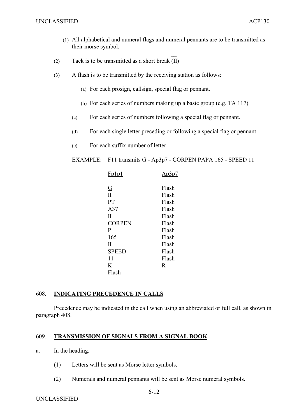(1) All alphabetical and numeral flags and numeral pennants are to be transmitted as their morse symbol.

 $\mathcal{L}=\mathcal{L}$ 

- (2) Tack is to be transmitted as a short break (II)
- (3) A flash is to be transmitted by the receiving station as follows:
	- (a) For each prosign, callsign, special flag or pennant.
	- (b) For each series of numbers making up a basic group (e.g. TA 117)
	- (c) For each series of numbers following a special flag or pennant.
	- (d) For each single letter preceding or following a special flag or pennant.
	- (e) For each suffix number of letter.

EXAMPLE: F11 transmits G - Ap3p7 - CORPEN PAPA 165 - SPEED 11

| Fp1p1                  | Ap $3p7$ |
|------------------------|----------|
| G                      | Flash    |
| $\mathop{\mathrm{II}}$ | Flash    |
| PT                     | Flash    |
| A37                    | Flash    |
| П                      | Flash    |
| <b>CORPEN</b>          | Flash    |
| P                      | Flash    |
| 165                    | Flash    |
| П                      | Flash    |
| <b>SPEED</b>           | Flash    |
| 11                     | Flash    |
| K                      | R.       |
| Flash                  |          |

#### 608. **INDICATING PRECEDENCE IN CALLS**

Precedence may be indicated in the call when using an abbreviated or full call, as shown in paragraph 408.

### 609. **TRANSMISSION OF SIGNALS FROM A SIGNAL BOOK**

- a. In the heading.
	- (1) Letters will be sent as Morse letter symbols.
	- (2) Numerals and numeral pennants will be sent as Morse numeral symbols.

#### UNCLASSIFIED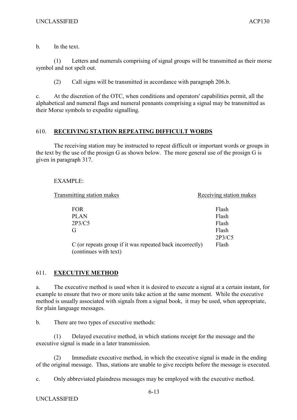b. In the text.

(1) Letters and numerals comprising of signal groups will be transmitted as their morse symbol and not spelt out.

(2) Call signs will be transmitted in accordance with paragraph 206.b.

c. At the discretion of the OTC, when conditions and operators' capabilities permit, all the alphabetical and numeral flags and numeral pennants comprising a signal may be transmitted as their Morse symbols to expedite signalling.

### 610. **RECEIVING STATION REPEATING DIFFICULT WORDS**

The receiving station may be instructed to repeat difficult or important words or groups in the text by the use of the prosign G as shown below. The more general use of the prosign G is given in paragraph 317.

### EXAMPLE:

Transmitting station makes Receiving station makes FOR Flash PLAN Flash 2P3/C5 Flash G Flash 2P3/C5 C (or repeats group if it was repeated back incorrectly) Flash (continues with text)

# 611. **EXECUTIVE METHOD**

a. The executive method is used when it is desired to execute a signal at a certain instant, for example to ensure that two or more units take action at the same moment. While the executive method is usually associated with signals from a signal book, it may be used, when appropriate, for plain language messages.

b. There are two types of executive methods:

(1) Delayed executive method, in which stations receipt for the message and the executive signal is made in a later transmission.

(2) Immediate executive method, in which the executive signal is made in the ending of the original message. Thus, stations are unable to give receipts before the message is executed.

c. Only abbreviated plaindress messages may be employed with the executive method.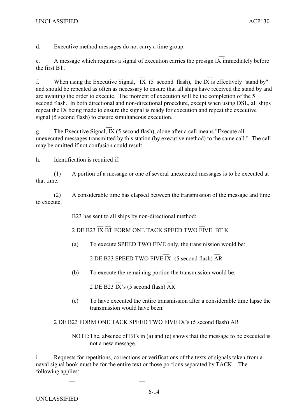d. Executive method messages do not carry a time group.

 $\mathcal{L}_\text{max}$  and  $\mathcal{L}_\text{max}$  are the set of the set of the set of the set of the set of the set of the set of the set of the set of the set of the set of the set of the set of the set of the set of the set of the set o

e. A message which requires a signal of execution carries the prosign IX immediately before the first BT.

 $\frac{1}{2}$  ,  $\frac{1}{2}$  ,  $\frac{1}{2}$  ,  $\frac{1}{2}$  ,  $\frac{1}{2}$  ,  $\frac{1}{2}$  ,  $\frac{1}{2}$  ,  $\frac{1}{2}$  ,  $\frac{1}{2}$ f. When using the Executive Signal,  $\overline{IX}$  (5 second flash), the IX is effectively "stand by" and should be repeated as often as necessary to ensure that all ships have received the stand by and are awaiting the order to execute. The moment of execution will be the completion of the 5 second flash. In both directional and non-directional procedure, except when using DSL, all ships repeat the IX being made to ensure the signal is ready for execution and repeat the executive signal (5 second flash) to ensure simultaneous execution.

 $\mathcal{L}=\mathcal{L}$ g. The Executive Signal, IX (5 second flash), alone after a call means "Execute all unexecuted messages transmitted by this station (by executive method) to the same call." The call may be omitted if not confusion could result.

h. Identification is required if:

(1) A portion of a message or one of several unexecuted messages is to be executed at that time.

(2) A considerable time has elapsed between the transmission of the message and time to execute.

B23 has sent to all ships by non-directional method:

 $\frac{1}{2}$  ,  $\frac{1}{2}$  ,  $\frac{1}{2}$  ,  $\frac{1}{2}$  ,  $\frac{1}{2}$  ,  $\frac{1}{2}$  ,  $\frac{1}{2}$  ,  $\frac{1}{2}$  ,  $\frac{1}{2}$  ,  $\frac{1}{2}$ 2 DE B23 IX BT FORM ONE TACK SPEED TWO FIVE BT K

(a) To execute SPEED TWO FIVE only, the transmission would be:

2 DE B23 SPEED TWO FIVE IX- (5 second flash) AR

(b) To execute the remaining portion the transmission would be:

 $\frac{1}{2}$  ,  $\frac{1}{2}$  ,  $\frac{1}{2}$  ,  $\frac{1}{2}$  ,  $\frac{1}{2}$  ,  $\frac{1}{2}$  ,  $\frac{1}{2}$ 2 DE B23 IX's (5 second flash) AR

 $\mathcal{L}=\mathcal{L}^{\mathcal{L}}$ 

 $\frac{1}{2}$  ,  $\frac{1}{2}$  ,  $\frac{1}{2}$  ,  $\frac{1}{2}$  ,  $\frac{1}{2}$  ,  $\frac{1}{2}$  ,  $\frac{1}{2}$  ,  $\frac{1}{2}$  ,  $\frac{1}{2}$ 

(c) To have executed the entire transmission after a considerable time lapse the transmission would have been:

 $\frac{1}{2}$  ,  $\frac{1}{2}$  ,  $\frac{1}{2}$  ,  $\frac{1}{2}$  ,  $\frac{1}{2}$  ,  $\frac{1}{2}$  ,  $\frac{1}{2}$  ,  $\frac{1}{2}$  ,  $\frac{1}{2}$ 

 $\frac{1}{2}$  , which is a set of  $\frac{1}{2}$ 2 DE B23 FORM ONE TACK SPEED TWO FIVE  $1X$ 's (5 second flash) AR

NOTE: The, absence of BTs  $\overline{in(a)}$  and (c) shows that the message to be executed is not a new message.

i. Requests for repetitions, corrections or verifications of the texts of signals taken from a naval signal book must be for the entire text or those portions separated by TACK. The following applies: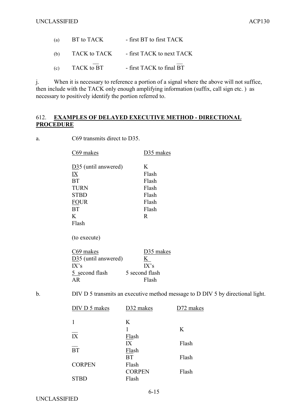- (a) BT to TACK first BT to first TACK
- (b) TACK to TACK first TACK to next TACK
- $\frac{1}{2}$  ,  $\frac{1}{2}$  ,  $\frac{1}{2}$  ,  $\frac{1}{2}$  ,  $\frac{1}{2}$  ,  $\frac{1}{2}$  ,  $\frac{1}{2}$  ,  $\frac{1}{2}$  ,  $\frac{1}{2}$  ,  $\frac{1}{2}$ (c) TACK to BT - first TACK to final BT

j. When it is necessary to reference a portion of a signal where the above will not suffice, then include with the TACK only enough amplifying information (suffix, call sign etc.) as necessary to positively identify the portion referred to.

#### 612. **EXAMPLES OF DELAYED EXECUTIVE METHOD - DIRECTIONAL PROCEDURE**

| a. | C69 transmits direct to D35. |  |  |
|----|------------------------------|--|--|
|    |                              |  |  |

|               | C69 makes                                                                                                                | D <sub>35</sub> makes                                                                |                                                                                |  |
|---------------|--------------------------------------------------------------------------------------------------------------------------|--------------------------------------------------------------------------------------|--------------------------------------------------------------------------------|--|
|               | $D35$ (until answered)<br><u>IX</u><br><b>BT</b><br><b>TURN</b><br><b>STBD</b><br><b>FOUR</b><br><b>BT</b><br>K<br>Flash | K<br>Flash<br>Flash<br>Flash<br>Flash<br>Flash<br>Flash<br>$\mathbf R$               |                                                                                |  |
|               | (to execute)                                                                                                             |                                                                                      |                                                                                |  |
|               | C69 makes<br>$D35$ (until answered)<br>IX's<br>5 second flash<br>AR                                                      | D <sub>35</sub> makes<br>$\underline{\mathbf{K}}$<br>IX's<br>5 second flash<br>Flash |                                                                                |  |
| $\mathbf b$ . |                                                                                                                          |                                                                                      | DIV D 5 transmits an executive method message to D DIV 5 by directional light. |  |
|               | DIV D 5 makes                                                                                                            | D <sub>32</sub> makes                                                                | D72 makes                                                                      |  |
|               | $\mathbf{1}$<br>IX                                                                                                       | K<br>$\mathbf{1}$<br><b>Flash</b>                                                    | K                                                                              |  |
|               | <b>BT</b>                                                                                                                | IX<br><b>Flash</b>                                                                   | Flash                                                                          |  |
|               | <b>CORPEN</b>                                                                                                            | <b>BT</b><br>Flash                                                                   | Flash                                                                          |  |
|               | <b>STBD</b>                                                                                                              | <b>CORPEN</b><br>Flash                                                               | Flash                                                                          |  |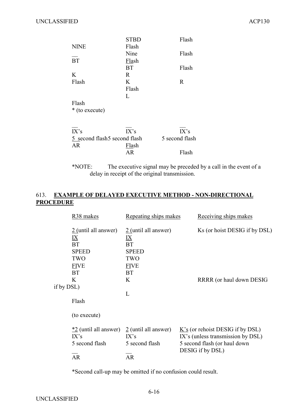|                              | <b>STBD</b> | Flash          |
|------------------------------|-------------|----------------|
| <b>NINE</b>                  | Flash       |                |
|                              | Nine        | Flash          |
| <b>BT</b>                    | Flash       |                |
|                              | <b>BT</b>   | Flash          |
| K                            | R           |                |
| Flash                        | K           | $\mathbf R$    |
|                              | Flash       |                |
|                              | L           |                |
| Flash                        |             |                |
| * (to execute)               |             |                |
| IX's                         | IX's        | IX's           |
| 5 second flash5 second flash |             | 5 second flash |
| <b>AR</b>                    | Flash       |                |
|                              | AR          | Flash          |
|                              |             |                |

\*NOTE: The executive signal may be preceded by a call in the event of a delay in receipt of the original transmission.

# 613. **EXAMPLE OF DELAYED EXECUTIVE METHOD - NON-DIRECTIONAL PROCEDURE**

|            | R <sub>38</sub> makes                                                | Repeating ships makes                                          | Receiving ships makes                                                                                 |
|------------|----------------------------------------------------------------------|----------------------------------------------------------------|-------------------------------------------------------------------------------------------------------|
|            | 2 (until all answer)<br>IX<br><b>BT</b>                              | 2 (until all answer)<br>$\underline{\mathbf{IX}}$<br><b>BT</b> | Ks (or hoist DESIG if by DSL)                                                                         |
|            | <b>SPEED</b>                                                         | <b>SPEED</b>                                                   |                                                                                                       |
|            | <b>TWO</b>                                                           | TWO                                                            |                                                                                                       |
|            | <b>FIVE</b>                                                          | <b>FIVE</b>                                                    |                                                                                                       |
|            | <b>BT</b>                                                            | <b>BT</b>                                                      |                                                                                                       |
|            | K                                                                    | K                                                              | RRRR (or haul down DESIG                                                                              |
| if by DSL) |                                                                      |                                                                |                                                                                                       |
|            | Flash                                                                | L                                                              |                                                                                                       |
|            | (to execute)                                                         |                                                                |                                                                                                       |
|            | *2 (until all answer) 2 (until all answer)<br>IX's<br>5 second flash | IX's<br>5 second flash                                         | K's (or rehoist DESIG if by DSL)<br>IX's (unless transmission by DSL)<br>5 second flash (or haul down |
|            |                                                                      |                                                                | DESIG if by DSL)                                                                                      |
|            | AR                                                                   | <b>AR</b>                                                      |                                                                                                       |

\*Second call-up may be omitted if no confusion could result.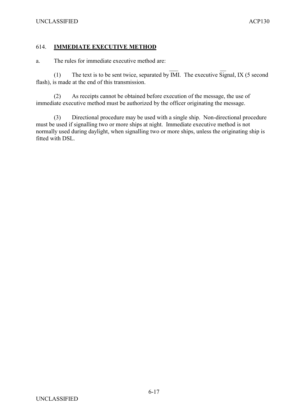# 614. **IMMEDIATE EXECUTIVE METHOD**

a. The rules for immediate executive method are:

 $\frac{1}{2}$  ,  $\frac{1}{2}$  ,  $\frac{1}{2}$  ,  $\frac{1}{2}$  ,  $\frac{1}{2}$  ,  $\frac{1}{2}$  ,  $\frac{1}{2}$  ,  $\frac{1}{2}$  ,  $\frac{1}{2}$ (1) The text is to be sent twice, separated by IMI. The executive Signal, IX (5 second flash), is made at the end of this transmission.

(2) As receipts cannot be obtained before execution of the message, the use of immediate executive method must be authorized by the officer originating the message.

(3) Directional procedure may be used with a single ship. Non-directional procedure must be used if signalling two or more ships at night. Immediate executive method is not normally used during daylight, when signalling two or more ships, unless the originating ship is fitted with DSL.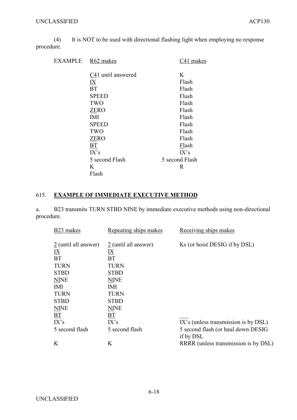(4) It is NOT to be used with directional flashing light when employing no response procedure.

| EXAMPLE | R62 makes          | C41 makes      |
|---------|--------------------|----------------|
|         | C41 until answered | K              |
|         | <u>IX</u>          | Flash          |
|         | <b>BT</b>          | Flash          |
|         | <b>SPEED</b>       | Flash          |
|         | <b>TWO</b>         | Flash          |
|         | <b>ZERO</b>        | Flash          |
|         | IMI                | Flash          |
|         | <b>SPEED</b>       | Flash          |
|         | <b>TWO</b>         | Flash          |
|         | ZERO               | Flash          |
|         | BT                 | Flash          |
|         | IX's               | IX's           |
|         | 5 second Flash     | 5 second Flash |
|         | K                  | R              |
|         | Flash              |                |

# 615. **EXAMPLE OF IMMEDIATE EXECUTIVE METHOD**

a. B23 transmits TURN STBD NINE by immediate executive methods using non-directional procedure.

| B23 makes                 | Repeating ships makes  | Receiving ships makes                           |
|---------------------------|------------------------|-------------------------------------------------|
| $2$ (until all answer)    | $2$ (until all answer) | Ks (or hoist DESIG if by DSL)                   |
| $\underline{\mathbf{IX}}$ | <u>IX</u>              |                                                 |
| <b>BT</b>                 | ВT                     |                                                 |
| <b>TURN</b>               | <b>TURN</b>            |                                                 |
| <b>STBD</b>               | <b>STBD</b>            |                                                 |
| <b>NINE</b>               | <b>NINE</b>            |                                                 |
| IMI                       | IMI                    |                                                 |
| <b>TURN</b>               | <b>TURN</b>            |                                                 |
| <b>STBD</b>               | <b>STBD</b>            |                                                 |
| <b>NINE</b>               | <b>NINE</b>            |                                                 |
| BT                        | BT                     |                                                 |
| IX's                      | IX's                   | IX's (unless transmission is by DSL)            |
| 5 second flash            | 5 second flash         | 5 second flash (or haul down DESIG<br>if by DSL |
| K                         | K                      | RRRR (unless transmission is by DSL)            |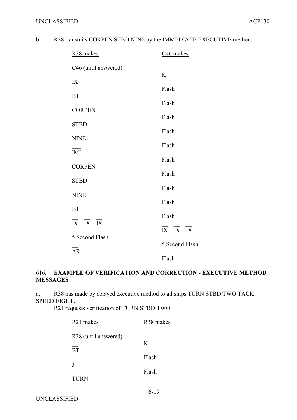b. R38 transmits CORPEN STBD NINE by the IMMEDIATE EXECUTIVE method.

| R <sub>38</sub> makes                           | C <sub>46</sub> makes                           |  |  |
|-------------------------------------------------|-------------------------------------------------|--|--|
| C46 (until answered)                            | K                                               |  |  |
| $\overline{\mathbf{I}}$ X                       | Flash                                           |  |  |
| <b>BT</b>                                       | Flash                                           |  |  |
| <b>CORPEN</b><br><b>STBD</b>                    | Flash                                           |  |  |
| <b>NINE</b>                                     | Flash                                           |  |  |
| <b>IMI</b>                                      | Flash                                           |  |  |
| <b>CORPEN</b>                                   | Flash                                           |  |  |
| <b>STBD</b>                                     | Flash<br>Flash                                  |  |  |
| <b>NINE</b>                                     | Flash                                           |  |  |
| <b>BT</b>                                       | Flash                                           |  |  |
| $\overline{IX}$ $\overline{IX}$ $\overline{IX}$ | $\overline{IX}$ $\overline{IX}$ $\overline{IX}$ |  |  |
| 5 Second Flash<br><b>AR</b>                     | 5 Second Flash                                  |  |  |
|                                                 | Flash                                           |  |  |

# 616. **EXAMPLE OF VERIFICATION AND CORRECTION - EXECUTIVE METHOD MESSAGES**

a. R38 has made by delayed executive method to all ships TURN STBD TWO TACK SPEED EIGHT.

R21 requests verification of TURN STBD TWO

| R <sub>21</sub> makes | R <sub>38</sub> makes |
|-----------------------|-----------------------|
| R38 (until answered)  |                       |
| <b>BT</b>             | K                     |
|                       | Flash                 |
| J                     | Flash                 |
| <b>TURN</b>           |                       |
|                       |                       |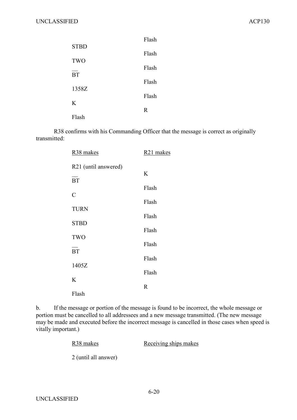|             | Flash |
|-------------|-------|
| <b>STBD</b> | Flash |
| <b>TWO</b>  | Flash |
| <b>BT</b>   |       |
| 1358Z       | Flash |
|             | Flash |
| K           | R     |
| Flash       |       |

R38 confirms with his Commanding Officer that the message is correct as originally transmitted:

| R <sub>38</sub> makes | R <sub>21</sub> makes |  |
|-----------------------|-----------------------|--|
| R21 (until answered)  | K                     |  |
| <b>BT</b>             | Flash                 |  |
| $\overline{C}$        | Flash                 |  |
| <b>TURN</b>           | Flash                 |  |
| <b>STBD</b>           | Flash                 |  |
| <b>TWO</b>            | Flash                 |  |
| <b>BT</b>             | Flash                 |  |
| 1405Z                 | Flash                 |  |
| K                     | $\mathbf R$           |  |
| Flash                 |                       |  |

b. If the message or portion of the message is found to be incorrect, the whole message or portion must be cancelled to all addressees and a new message transmitted. (The new message may be made and executed before the incorrect message is cancelled in those cases when speed is vitally important.)

R38 makes Receiving ships makes

2 (until all answer)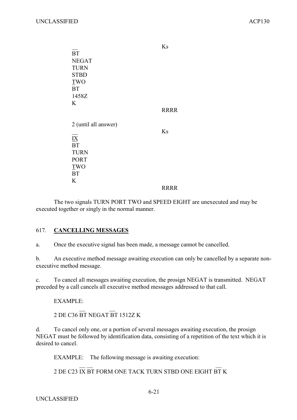|                         | Ks          |
|-------------------------|-------------|
| <b>BT</b>               |             |
| <b>NEGAT</b>            |             |
| <b>TURN</b>             |             |
| <b>STBD</b>             |             |
| <b>TWO</b>              |             |
| <b>BT</b>               |             |
| 1458Z                   |             |
| K                       |             |
|                         | <b>RRRR</b> |
|                         |             |
| 2 (until all answer)    |             |
|                         | Ks          |
| $\underline{\text{IX}}$ |             |
| <b>BT</b>               |             |
| <b>TURN</b>             |             |
| <b>PORT</b>             |             |
| <b>TWO</b>              |             |
| <b>BT</b>               |             |
| K                       |             |
|                         | RRRR        |

The two signals TURN PORT TWO and SPEED EIGHT are unexecuted and may be executed together or singly in the normal manner.

### 617. **CANCELLING MESSAGES**

a. Once the executive signal has been made, a message cannot be cancelled.

b. An executive method message awaiting execution can only be cancelled by a separate nonexecutive method message.

c. To cancel all messages awaiting execution, the prosign NEGAT is transmitted. NEGAT preceded by a call cancels all executive method messages addressed to that call.

EXAMPLE:

 $2$  DE C36 BT NEGAT BT 1512Z K

 $\frac{1}{2}$  , where  $\frac{1}{2}$ 

d. To cancel only one, or a portion of several messages awaiting execution, the prosign NEGAT must be followed by identification data, consisting of a repetition of the text which it is desired to cancel.

EXAMPLE: The following message is awaiting execution:

2 DE C23 IX BT FORM ONE TACK TURN STBD ONE EIGHT BT K

 $\frac{1}{2}$  , which is a set of the set of the set of the set of the set of the set of the set of the set of the set of the set of the set of the set of the set of the set of the set of the set of the set of the set of the

UNCLASSIFIED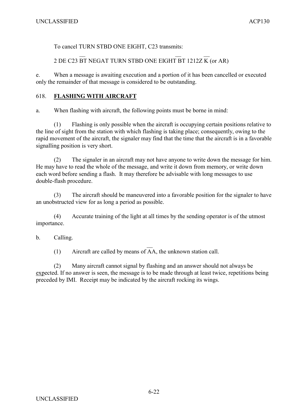# To cancel TURN STBD ONE EIGHT, C23 transmits:

### $\mathcal{L}_\mathcal{L}$  , where  $\mathcal{L}_\mathcal{L}$  and  $\mathcal{L}_\mathcal{L}$  and  $\mathcal{L}_\mathcal{L}$ 2 DE C23 BT NEGAT TURN STBD ONE EIGHT BT 1212Z K (or AR)

e. When a message is awaiting execution and a portion of it has been cancelled or executed only the remainder of that message is considered to be outstanding.

### 618. **FLASHING WITH AIRCRAFT**

a. When flashing with aircraft, the following points must be borne in mind:

(1) Flashing is only possible when the aircraft is occupying certain positions relative to the line of sight from the station with which flashing is taking place; consequently, owing to the rapid movement of the aircraft, the signaler may find that the time that the aircraft is in a favorable signalling position is very short.

(2) The signaler in an aircraft may not have anyone to write down the message for him. He may have to read the whole of the message, and write it down from memory, or write down each word before sending a flash. It may therefore be advisable with long messages to use double-flash procedure.

(3) The aircraft should be maneuvered into a favorable position for the signaler to have an unobstructed view for as long a period as possible.

(4) Accurate training of the light at all times by the sending operator is of the utmost importance.

### b. Calling.

 $\mathcal{L}=\mathcal{L}$ (1) Aircraft are called by means of AA, the unknown station call.

(2) Many aircraft cannot signal by flashing and an answer should not always be expected. If no answer is seen, the message is to be made through at least twice, repetitions being preceded by IMI. Receipt may be indicated by the aircraft rocking its wings.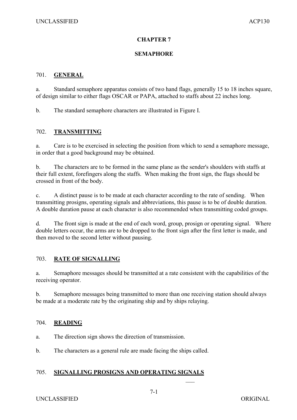# **CHAPTER 7**

### **SEMAPHORE**

### 701. **GENERAL**

a. Standard semaphore apparatus consists of two hand flags, generally 15 to 18 inches square, of design similar to either flags OSCAR or PAPA, attached to staffs about 22 inches long.

b. The standard semaphore characters are illustrated in Figure I.

### 702. **TRANSMITTING**

a. Care is to be exercised in selecting the position from which to send a semaphore message, in order that a good background may be obtained.

b. The characters are to be formed in the same plane as the sender's shoulders with staffs at their full extent, forefingers along the staffs. When making the front sign, the flags should be crossed in front of the body.

c. A distinct pause is to be made at each character according to the rate of sending. When transmitting prosigns, operating signals and abbreviations, this pause is to be of double duration. A double duration pause at each character is also recommended when transmitting coded groups.

d. The front sign is made at the end of each word, group, prosign or operating signal. Where double letters occur, the arms are to be dropped to the front sign after the first letter is made, and then moved to the second letter without pausing.

### 703. **RATE OF SIGNALLING**

a. Semaphore messages should be transmitted at a rate consistent with the capabilities of the receiving operator.

b. Semaphore messages being transmitted to more than one receiving station should always be made at a moderate rate by the originating ship and by ships relaying.

### 704. **READING**

a. The direction sign shows the direction of transmission.

b. The characters as a general rule are made facing the ships called.

### 705. **SIGNALLING PROSIGNS AND OPERATING SIGNALS**

 $\mathcal{L}$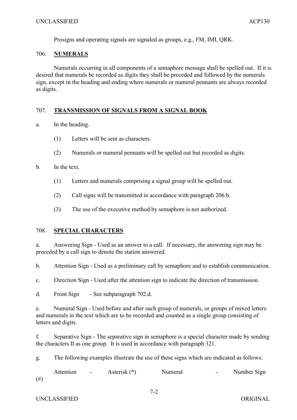Prosigns and operating signals are signaled as groups, e.g., FM, IMI, QRK.

# 706. **NUMERALS**

Numerals occurring in all components of a semaphore message shall be spelled out. If it is desired that numerals be recorded as digits they shall be preceded and followed by the numerals sign, except in the heading and ending where numerals or numeral pennants are always recorded as digits.

# 707. **TRANSMISSION OF SIGNALS FROM A SIGNAL BOOK**

- a. In the heading.
	- (1) Letters will be sent as characters.
	- (2) Numerals or numeral pennants will be spelled out but recorded as digits.
- b. In the text.
	- (1) Letters and numerals comprising a signal group will be spelled out.
	- (2) Call signs will be transmitted in accordance with paragraph 206.b.
	- (3) The use of the executive method by semaphore is not authorized.

### 708. **SPECIAL CHARACTERS**

a. Answering Sign - Used as an answer to a call. If necessary, the answering sign may be preceded by a call sign to denote the station answered.

b. Attention Sign - Used as a preliminary call by semaphore and to establish communication.

c. Direction Sign - Used after the attention sign to indicate the direction of transmission.

d. Front Sign - See subparagraph 702.d.

e. Numeral Sign - Used before and after each group of numerals, or groups of mixed letters and numerals in the text which are to be recorded and counted as a single group consisting of letters and digits.

f. Separative Sign - The separative sign in semaphore is a special character made by sending the characters II as one group. It is used in accordance with paragraph 321.

g. The following examples illustrate the use of these signs which are indicated as follows:

Attention - Asterisk (\*) Numeral - Number Sign (#)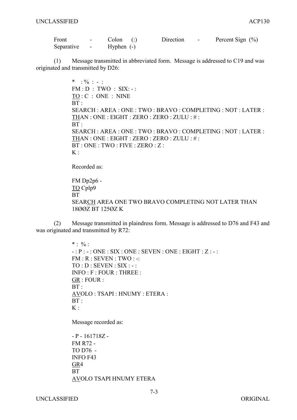| Front      | $\sim$ 100 $\sim$ | $\text{Colon}$ (:) | Direction | $\sim$ | Percent Sign $(\% )$ |
|------------|-------------------|--------------------|-----------|--------|----------------------|
| Separative | $\sim$            | Hyphen $(-)$       |           |        |                      |

(1) Message transmitted in abbreviated form. Message is addressed to C19 and was originated and transmitted by D26:

> \*  $: 9/0 : -$ FM : D : TWO : SIX: - : TO : C : ONE : NINE  $BT:$ SEARCH : AREA : ONE : TWO : BRAVO : COMPLETING : NOT : LATER : THAN : ONE : EIGHT : ZERO : ZERO : ZULU : # :  $BT:$ SEARCH : AREA : ONE : TWO : BRAVO : COMPLETING : NOT : LATER : THAN : ONE : EIGHT : ZERO : ZERO : ZULU : # : BT : ONE : TWO : FIVE : ZERO : Z :  $K:$

Recorded as:

FM Dp2p6 - TO Cplp9 BT SEARCH AREA ONE TWO BRAVO COMPLETING NOT LATER THAN 18ØØZ BT 125ØZ K

(2) Message transmitted in plaindress form. Message is addressed to D76 and F43 and was originated and transmitted by R72:

> $* : 9/0 :$ - : P : - : ONE : SIX : ONE : SEVEN : ONE : EIGHT : Z : - : FM : R : SEVEN : TWO : -:  $TO \cdot D \cdot SEVEN \cdot SIX \cdot - \cdot$ INFO : F : FOUR : THREE : GR : FOUR :  $BT:$ AVOLO : TSAPI : HNUMY : ETERA :  $BT:$  $K:$

Message recorded as:

- P - 161718Z - FM R72 - TO D76 - INFO F43 GR4 BT AVOLO TSAPI HNUMY ETERA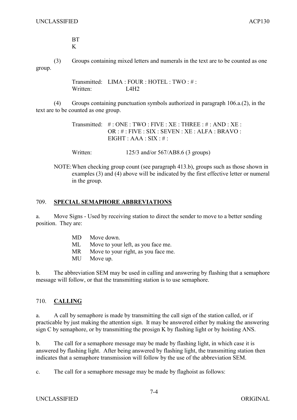**BT** K

(3) Groups containing mixed letters and numerals in the text are to be counted as one group.

> Transmitted: LIMA · FOUR · HOTEL · TWO · # · Written: L<sub>4H2</sub>

(4) Groups containing punctuation symbols authorized in paragraph 106.a.(2), in the text are to be counted as one group.

> Transmitted: # : ONE : TWO : FIVE : XE : THREE : # : AND : XE : OR : # : FIVE : SIX : SEVEN : XE : ALFA : BRAVO :  $EIGHT \cdot AAA \cdot SIX \cdot # \cdot$

Written: 125/3 and/or 567/AB8.6 (3 groups)

NOTE:When checking group count (see paragraph 413.b), groups such as those shown in examples (3) and (4) above will be indicated by the first effective letter or numeral in the group.

# 709. **SPECIAL SEMAPHORE ABBREVIATIONS**

a. Move Signs - Used by receiving station to direct the sender to move to a better sending position. They are:

- MD Move down.
- ML Move to your left, as you face me.
- MR Move to your right, as you face me.
- MU Move up.

b. The abbreviation SEM may be used in calling and answering by flashing that a semaphore message will follow, or that the transmitting station is to use semaphore.

# 710. **CALLING**

a. A call by semaphore is made by transmitting the call sign of the station called, or if practicable by just making the attention sign. It may be answered either by making the answering sign C by semaphore, or by transmitting the prosign K by flashing light or by hoisting ANS.

b. The call for a semaphore message may be made by flashing light, in which case it is answered by flashing light. After being answered by flashing light, the transmitting station then indicates that a semaphore transmission will follow by the use of the abbreviation SEM.

c. The call for a semaphore message may be made by flaghoist as follows: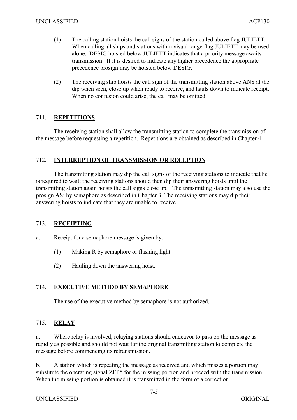- (1) The calling station hoists the call signs of the station called above flag JULIETT. When calling all ships and stations within visual range flag JULIETT may be used alone. DESIG hoisted below JULIETT indicates that a priority message awaits transmission. If it is desired to indicate any higher precedence the appropriate precedence prosign may be hoisted below DESIG.
- (2) The receiving ship hoists the call sign of the transmitting station above ANS at the dip when seen, close up when ready to receive, and hauls down to indicate receipt. When no confusion could arise, the call may be omitted.

# 711. **REPETITIONS**

The receiving station shall allow the transmitting station to complete the transmission of the message before requesting a repetition. Repetitions are obtained as described in Chapter 4.

### 712. **INTERRUPTION OF TRANSMISSION OR RECEPTION**

The transmitting station may dip the call signs of the receiving stations to indicate that he is required to wait; the receiving stations should then dip their answering hoists until the transmitting station again hoists the call signs close up. The transmitting station may also use the prosign AS; by semaphore as described in Chapter 3. The receiving stations may dip their answering hoists to indicate that they are unable to receive.

### 713. **RECEIPTING**

- a. Receipt for a semaphore message is given by:
	- (1) Making R by semaphore or flashing light.
	- (2) Hauling down the answering hoist.

# 714. **EXECUTIVE METHOD BY SEMAPHORE**

The use of the executive method by semaphore is not authorized.

# 715. **RELAY**

a. Where relay is involved, relaying stations should endeavor to pass on the message as rapidly as possible and should not wait for the original transmitting station to complete the message before commencing its retransmission.

b. A station which is repeating the message as received and which misses a portion may substitute the operating signal ZEP\* for the missing portion and proceed with the transmission. When the missing portion is obtained it is transmitted in the form of a correction.

### UNCLASSIFIED ORIGINAL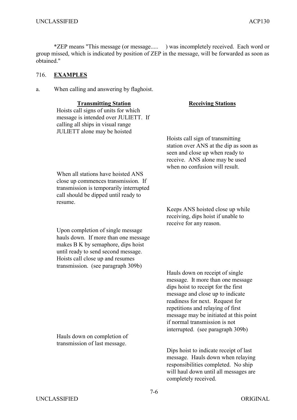\*ZEP means "This message (or message..... ) was incompletely received. Each word or group missed, which is indicated by position of ZEP in the message, will be forwarded as soon as obtained."

# 716. **EXAMPLES**

a. When calling and answering by flaghoist.

| <b>Transmitting Station</b><br>Hoists call signs of units for which<br>message is intended over JULIETT. If<br>calling all ships in visual range<br>JULIETT alone may be hoisted                                                 | <b>Receiving Stations</b>                                                                                                                                                                                                                                                                                                               |
|----------------------------------------------------------------------------------------------------------------------------------------------------------------------------------------------------------------------------------|-----------------------------------------------------------------------------------------------------------------------------------------------------------------------------------------------------------------------------------------------------------------------------------------------------------------------------------------|
|                                                                                                                                                                                                                                  | Hoists call sign of transmitting<br>station over ANS at the dip as soon as<br>seen and close up when ready to<br>receive. ANS alone may be used<br>when no confusion will result.                                                                                                                                                       |
| When all stations have hoisted ANS<br>close up commences transmission. If<br>transmission is temporarily interrupted<br>call should be dipped until ready to<br>resume.                                                          |                                                                                                                                                                                                                                                                                                                                         |
|                                                                                                                                                                                                                                  | Keeps ANS hoisted close up while<br>receiving, dips hoist if unable to<br>receive for any reason.                                                                                                                                                                                                                                       |
| Upon completion of single message<br>hauls down. If more than one message<br>makes B K by semaphore, dips hoist<br>until ready to send second message.<br>Hoists call close up and resumes<br>transmission. (see paragraph 309b) |                                                                                                                                                                                                                                                                                                                                         |
|                                                                                                                                                                                                                                  | Hauls down on receipt of single<br>message. It more than one message<br>dips hoist to receipt for the first<br>message and close up to indicate<br>readiness for next. Request for<br>repetitions and relaying of first<br>message may be initiated at this point<br>if normal transmission is not<br>interrupted. (see paragraph 309b) |
| Hauls down on completion of<br>transmission of last message.                                                                                                                                                                     |                                                                                                                                                                                                                                                                                                                                         |
|                                                                                                                                                                                                                                  | Dips hoist to indicate receipt of last<br>message. Hauls down when relaying<br>responsibilities completed. No ship<br>will haul down until all messages are<br>completely received.                                                                                                                                                     |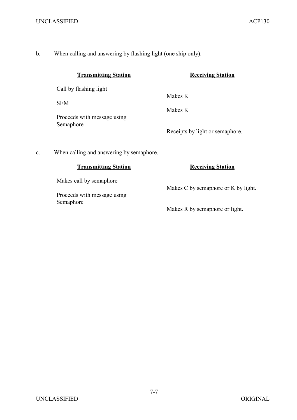b. When calling and answering by flashing light (one ship only).

|                  | <b>Transmitting Station</b>              | <b>Receiving Station</b>            |
|------------------|------------------------------------------|-------------------------------------|
|                  | Call by flashing light<br><b>SEM</b>     | Makes K                             |
|                  | Proceeds with message using<br>Semaphore | Makes K                             |
| $\overline{c}$ . | When calling and answering by semaphore. | Receipts by light or semaphore.     |
|                  | <b>Transmitting Station</b>              | <b>Receiving Station</b>            |
|                  | Makes call by semaphore                  | Makes C by semaphore or K by light. |
|                  | Proceeds with message using<br>Semaphore | Makes R by semaphore or light.      |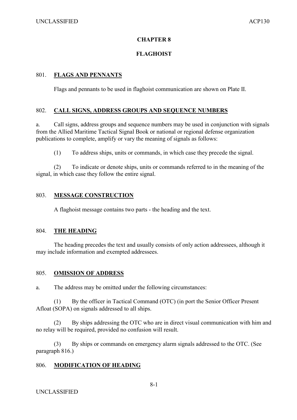## **CHAPTER 8**

# **FLAGHOIST**

## 801. **FLAGS AND PENNANTS**

Flags and pennants to be used in flaghoist communication are shown on Plate II.

## 802. **CALL SIGNS, ADDRESS GROUPS AND SEQUENCE NUMBERS**

a. Call signs, address groups and sequence numbers may be used in conjunction with signals from the Allied Maritime Tactical Signal Book or national or regional defense organization publications to complete, amplify or vary the meaning of signals as follows:

(1) To address ships, units or commands, in which case they precede the signal.

(2) To indicate or denote ships, units or commands referred to in the meaning of the signal, in which case they follow the entire signal.

## 803. **MESSAGE CONSTRUCTION**

A flaghoist message contains two parts - the heading and the text.

## 804. **THE HEADING**

The heading precedes the text and usually consists of only action addressees, although it may include information and exempted addressees.

## 805. **OMISSION OF ADDRESS**

a. The address may be omitted under the following circumstances:

(1) By the officer in Tactical Command (OTC) (in port the Senior Officer Present Afloat (SOPA) on signals addressed to all ships.

(2) By ships addressing the OTC who are in direct visual communication with him and no relay will be required, provided no confusion will result.

(3) By ships or commands on emergency alarm signals addressed to the OTC. (See paragraph 816.)

# 806. **MODIFICATION OF HEADING**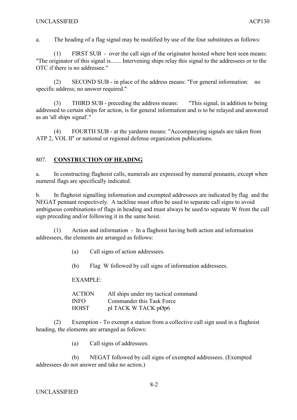a. The heading of a flag signal may be modified by use of the four substitutes as follows:

(1) FIRST SUB - over the call sign of the originator hoisted where best seen means: "The originator of this signal is....... Intervening ships relay this signal to the addressees or to the OTC if there is no addressee."

(2) SECOND SUB - in place of the address means: "For general information: no specific address; no answer required."

(3) THIRD SUB - preceding the address means: "This signal, in addition to being addressed to certain ships for action, is for general information and is to be relayed and answered as an 'all ships signal'."

(4) FOURTH SUB - at the yardarm means: "Accompanying signals are taken from ATP 2, VOL II" or national or regional defense organization publications.

#### 807. **CONSTRUCTION OF HEADING**

a. In constructing flaghoist calls, numerals are expressed by numeral pennants, except when numeral flags are specifically indicated.

b. In flaghoist signalling information and exempted addressees are indicated by flag and the NEGAT pennant respectively. A tackline must often be used to separate call signs to avoid ambiguous combinations of flags in heading and must always be used to separate W from the call sign preceding and/or following it in the same hoist.

(1) Action and information - In a flaghoist having both action and information addressees, the elements are arranged as follows:

(a) Call signs of action addressees.

(b) Flag W followed by call signs of information addressees.

EXAMPLE:

| <b>ACTION</b> | All ships under my tactical command |
|---------------|-------------------------------------|
| INFO          | Commander this Task Force           |
| <b>HOIST</b>  | pl TACK W TACK pØp6                 |

(2) Exemption - To exempt a station from a collective call sign used in a flaghoist heading, the elements are arranged as follows:

(a) Call signs of addressees.

(b) NEGAT followed by call signs of exempted addressees. (Exempted addressees do not answer and take no action.)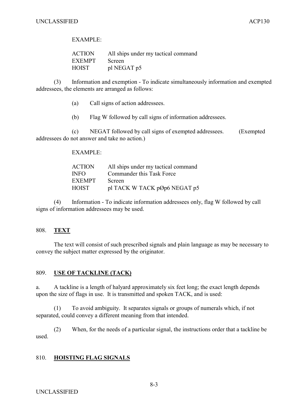#### EXAMPLE:

ACTION All ships under my tactical command EXEMPT Screen HOIST pl NEGAT p5

(3) Information and exemption - To indicate simultaneously information and exempted addressees, the elements are arranged as follows:

- (a) Call signs of action addressees.
- (b) Flag W followed by call signs of information addressees.

(c) NEGAT followed by call signs of exempted addressees. (Exempted addressees do not answer and take no action.)

#### EXAMPLE:

| <b>ACTION</b> | All ships under my tactical command |
|---------------|-------------------------------------|
| <b>INFO</b>   | Commander this Task Force           |
| EXEMPT        | Screen                              |
| HOIST         | pl TACK W TACK pØp6 NEGAT p5        |

(4) Information - To indicate information addressees only, flag W followed by call signs of information addressees may be used.

#### 808. **TEXT**

The text will consist of such prescribed signals and plain language as may be necessary to convey the subject matter expressed by the originator.

#### 809. **USE OF TACKLINE (TACK)**

a. A tackline is a length of halyard approximately six feet long; the exact length depends upon the size of flags in use. It is transmitted and spoken TACK, and is used:

(1) To avoid ambiguity. It separates signals or groups of numerals which, if not separated, could convey a different meaning from that intended.

(2) When, for the needs of a particular signal, the instructions order that a tackline be used.

#### 810. **HOISTING FLAG SIGNALS**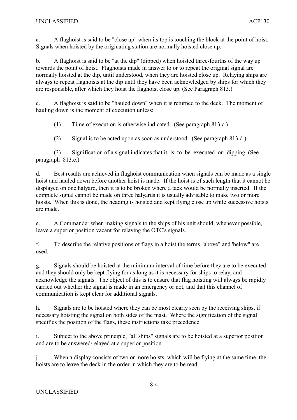a. A flaghoist is said to be "close up" when its top is touching the block at the point of hoist. Signals when hoisted by the originating station are normally hoisted close up.

b. A flaghoist is said to be "at the dip" (dipped) when hoisted three-fourths of the way up towards the point of hoist. Flaghoists made in answer to or to repeat the original signal are normally hoisted at the dip, until understood, when they are hoisted close up. Relaying ships are always to repeat flaghoists at the dip until they have been acknowledged by ships for which they are responsible, after which they hoist the flaghoist close up. (See Paragraph 813.)

c. A flaghoist is said to be "hauled down" when it is returned to the deck. The moment of hauling down is the moment of execution unless:

(1) Time of execution is otherwise indicated. (See paragraph 813.c.)

(2) Signal is to be acted upon as soon as understood. (See paragraph 813.d.)

(3) Signification of a signal indicates that it is to be executed on dipping. (See paragraph 813.e.)

d. Best results are achieved in flaghoist communication when signals can be made as a single hoist and hauled down before another hoist is made. If the hoist is of such length that it cannot be displayed on one halyard, then it is to be broken where a tack would be normally inserted. If the complete signal cannot be made on three halyards it is usually advisable to make two or more hoists. When this is done, the heading is hoisted and kept flying close up while successive hoists are made.

e. A Commander when making signals to the ships of his unit should, whenever possible, leave a superior position vacant for relaying the OTC's signals.

f. To describe the relative positions of flags in a hoist the terms "above" and 'below" are used.

g. Signals should be hoisted at the minimum interval of time before they are to be executed and they should only be kept flying for as long as it is necessary for ships to relay, and acknowledge the signals. The object of this is to ensure that flag hoisting will always be rapidly carried out whether the signal is made in an emergency or not, and that this channel of communication is kept clear for additional signals.

h. Signals are to be hoisted where they can be most clearly seen by the receiving ships, if necessary hoisting the signal on both sides of the mast. Where the signification of the signal specifies the position of the flags, these instructions take precedence.

i. Subject to the above principle, "all ships" signals are to be hoisted at a superior position and are to be answered/relayed at a superior position.

j. When a display consists of two or more hoists, which will be flying at the same time, the hoists are to leave the deck in the order in which they are to be read.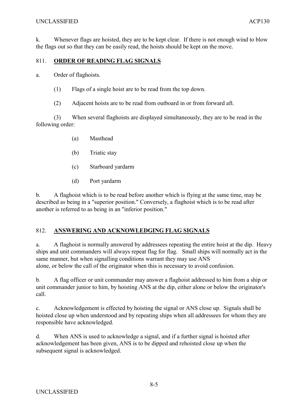#### UNCLASSIFIED ACP130

k. Whenever flags are hoisted, they are to be kept clear. If there is not enough wind to blow the flags out so that they can be easily read, the hoists should be kept on the move.

#### 811. **ORDER OF READING FLAG SIGNALS**

- a. Order of flaghoists.
	- (1) Flags of a single hoist are to be read from the top down.
	- (2) Adjacent hoists are to be read from outboard in or from forward aft.

(3) When several flaghoists are displayed simultaneously, they are to be read in the following order:

- (a) Masthead
- (b) Triatic stay
- (c) Starboard yardarm
- (d) Port yardarm

b. A flaghoist which is to be read before another which is flying at the same time, may be described as being in a "superior position." Conversely, a flaghoist which is to be read after another is referred to as being in an "inferior position."

## 812. **ANSWERING AND ACKNOWLEDGING FLAG SIGNALS**

a. A flaghoist is normally answered by addressees repeating the entire hoist at the dip. Heavy ships and unit commanders will always repeat flag for flag. Small ships will normally act in the same manner, but when signalling conditions warrant they may use ANS alone, or below the call of the originator when this is necessary to avoid confusion.

b. A flag officer or unit commander may answer a flaghoist addressed to him from a ship or unit commander junior to him, by hoisting ANS at the dip, either alone or below the originator's call.

c. Acknowledgement is effected by hoisting the signal or ANS close up. Signals shall be hoisted close up when understood and by repeating ships when all addressees for whom they are responsible have acknowledged.

d. When ANS is used to acknowledge a signal, and if a further signal is hoisted after acknowledgement has been given, ANS is to be dipped and rehoisted close up when the subsequent signal is acknowledged.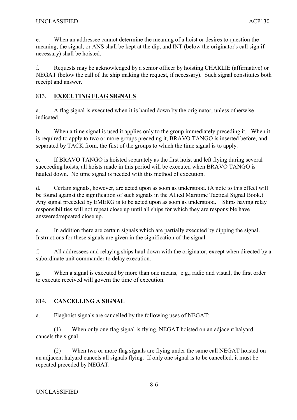e. When an addressee cannot determine the meaning of a hoist or desires to question the meaning, the signal, or ANS shall be kept at the dip, and INT (below the originator's call sign if necessary) shall be hoisted.

f. Requests may be acknowledged by a senior officer by hoisting CHARLIE (affirmative) or NEGAT (below the call of the ship making the request, if necessary). Such signal constitutes both receipt and answer.

# 813. **EXECUTING FLAG SIGNALS**

a. A flag signal is executed when it is hauled down by the originator, unless otherwise indicated.

b. When a time signal is used it applies only to the group immediately preceding it. When it is required to apply to two or more groups preceding it, BRAVO TANGO is inserted before, and separated by TACK from, the first of the groups to which the time signal is to apply.

c. If BRAVO TANGO is hoisted separately as the first hoist and left flying during several succeeding hoists, all hoists made in this period will be executed when BRAVO TANGO is hauled down. No time signal is needed with this method of execution.

d. Certain signals, however, are acted upon as soon as understood. (A note to this effect will be found against the signification of such signals in the Allied Maritime Tactical Signal Book.) Any signal preceded by EMERG is to be acted upon as soon as understood. Ships having relay responsibilities will not repeat close up until all ships for which they are responsible have answered/repeated close up.

e. In addition there are certain signals which are partially executed by dipping the signal. Instructions for these signals are given in the signification of the signal.

f. All addressees and relaying ships haul down with the originator, except when directed by a subordinate unit commander to delay execution.

g. When a signal is executed by more than one means, e.g., radio and visual, the first order to execute received will govern the time of execution.

# 814. **CANCELLING A SIGNAL**

a. Flaghoist signals are cancelled by the following uses of NEGAT:

(1) When only one flag signal is flying, NEGAT hoisted on an adjacent halyard cancels the signal.

(2) When two or more flag signals are flying under the same call NEGAT hoisted on an adjacent halyard cancels all signals flying. If only one signal is to be cancelled, it must be repeated preceded by NEGAT.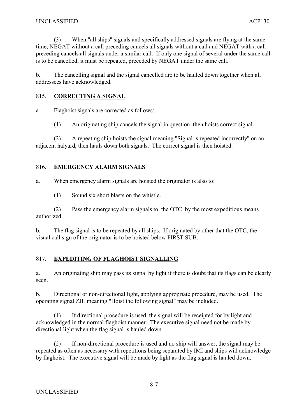(3) When "all ships" signals and specifically addressed signals are flying at the same time, NEGAT without a call preceding cancels all signals without a call and NEGAT with a call preceding cancels all signals under a similar call. If only one signal of several under the same call is to be cancelled, it must be repeated, preceded by NEGAT under the same call.

b. The cancelling signal and the signal cancelled are to be hauled down together when all addressees have acknowledged.

# 815. **CORRECTING A SIGNAL**

a. Flaghoist signals are corrected as follows:

(1) An originating ship cancels the signal in question, then hoists correct signal.

(2) A repeating ship hoists the signal meaning "Signal is repeated incorrectly" on an adjacent halyard, then hauls down both signals. The correct signal is then hoisted.

# 816. **EMERGENCY ALARM SIGNALS**

a. When emergency alarm signals are hoisted the originator is also to:

(1) Sound six short blasts on the whistle.

(2) Pass the emergency alarm signals to the OTC by the most expeditious means authorized.

b. The flag signal is to be repeated by all ships. If originated by other that the OTC, the visual call sign of the originator is to be hoisted below FIRST SUB.

# 817. **EXPEDITING OF FLAGHOIST SIGNALLING**

a. An originating ship may pass its signal by light if there is doubt that its flags can be clearly seen.

b. Directional or non-directional light, applying appropriate procedure, may be used. The operating signal ZJL meaning "Hoist the following signal" may be included.

(1) If directional procedure is used, the signal will be receipted for by light and acknowledged in the normal flaghoist manner. The executive signal need not be made by directional light when the flag signal is hauled down.

(2) If non-directional procedure is used and no ship will answer, the signal may be repeated as often as necessary with repetitions being separated by IMI and ships will acknowledge by flaghoist. The executive signal will be made by light as the flag signal is hauled down.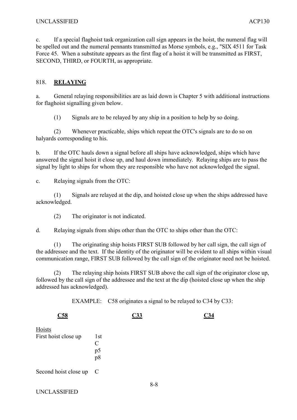c. If a special flaghoist task organization call sign appears in the hoist, the numeral flag will be spelled out and the numeral pennants transmitted as Morse symbols, e.g., "SIX 4511 for Task Force 45. When a substitute appears as the first flag of a hoist it will be transmitted as FIRST, SECOND, THIRD, or FOURTH, as appropriate.

## 818. **RELAYING**

UNCLASSIFIED

a. General relaying responsibilities are as laid down is Chapter 5 with additional instructions for flaghoist signalling given below.

(1) Signals are to be relayed by any ship in a position to help by so doing.

(2) Whenever practicable, ships which repeat the OTC's signals are to do so on halyards corresponding to his.

b. If the OTC hauls down a signal before all ships have acknowledged, ships which have answered the signal hoist it close up, and haul down immediately. Relaying ships are to pass the signal by light to ships for whom they are responsible who have not acknowledged the signal.

c. Relaying signals from the OTC:

(1) Signals are relayed at the dip, and hoisted close up when the ships addressed have acknowledged.

(2) The originator is not indicated.

d. Relaying signals from ships other than the OTC to ships other than the OTC:

(1) The originating ship hoists FIRST SUB followed by her call sign, the call sign of the addressee and the text. If the identity of the originator will be evident to all ships within visual communication range, FIRST SUB followed by the call sign of the originator need not be hoisted.

(2) The relaying ship hoists FIRST SUB above the call sign of the originator close up, followed by the call sign of the addressee and the text at the dip (hoisted close up when the ship addressed has acknowledged).

EXAMPLE: C58 originates a signal to be relayed to C34 by C33:

| C58                   |                                              | C <sub>33</sub> |  |
|-----------------------|----------------------------------------------|-----------------|--|
| Hoists                |                                              |                 |  |
| First hoist close up  | 1st<br>$\mathcal{C}$<br>p <sub>5</sub><br>p8 |                 |  |
| Second hoist close up | $\mathbb{C}$                                 |                 |  |
|                       |                                              | $8 - 8$         |  |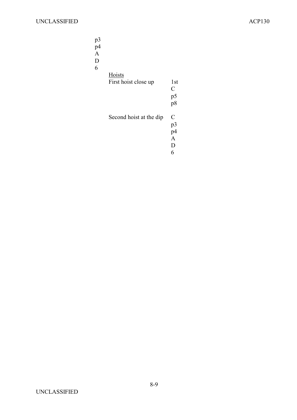| p <sub>3</sub><br>p4<br>$\mathbf{A}$<br>D<br>6 | Hoists                  |                                                  |
|------------------------------------------------|-------------------------|--------------------------------------------------|
|                                                | First hoist close up    | 1st<br>C<br>p <sub>5</sub><br>p8                 |
|                                                | Second hoist at the dip | C<br>p <sub>3</sub><br>p4<br>$\mathsf{A}$<br>ו ו |

6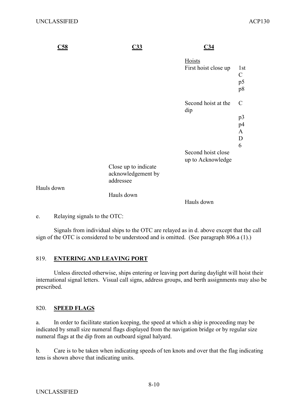| C58        | C33                                                     | $\underline{\text{C34}}$                |                                                               |
|------------|---------------------------------------------------------|-----------------------------------------|---------------------------------------------------------------|
|            |                                                         | Hoists<br>First hoist close up          | 1st<br>$\mathcal{C}$<br>p5<br>p8                              |
|            |                                                         | Second hoist at the<br>dip              | $\mathcal{C}$<br>p3<br>p4<br>$\mathbf{A}$<br>$\mathbf D$<br>6 |
| Hauls down | Close up to indicate<br>acknowledgement by<br>addressee | Second hoist close<br>up to Acknowledge |                                                               |
|            | Hauls down                                              | Hauls down                              |                                                               |

e. Relaying signals to the OTC:

Signals from individual ships to the OTC are relayed as in d. above except that the call sign of the OTC is considered to be understood and is omitted. (See paragraph 806.a (1).)

#### 819. **ENTERING AND LEAVING PORT**

Unless directed otherwise, ships entering or leaving port during daylight will hoist their international signal letters. Visual call signs, address groups, and berth assignments may also be prescribed.

## 820. **SPEED FLAGS**

a. In order to facilitate station keeping, the speed at which a ship is proceeding may be indicated by small size numeral flags displayed from the navigation bridge or by regular size numeral flags at the dip from an outboard signal halyard.

b. Care is to be taken when indicating speeds of ten knots and over that the flag indicating tens is shown above that indicating units.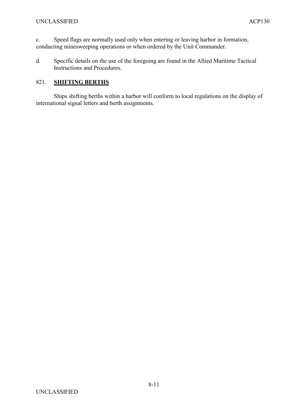c. Speed flags are normally used only when entering or leaving harbor in formation, conducting minesweeping operations or when ordered by the Unit Commander.

d. Specific details on the use of the foregoing are found in the Allied Maritime Tactical Instructions and Procedures.

# 821. **SHIFTING BERTHS**

Ships shifting berths within a harbor will conform to local regulations on the display of international signal letters and berth assignments.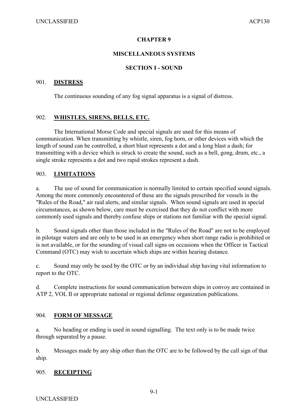## **CHAPTER 9**

## **MISCELLANEOUS SYSTEMS**

## **SECTION I - SOUND**

#### 901. **DISTRESS**

The continuous sounding of any fog signal apparatus is a signal of distress.

#### 902. **WHISTLES, SIRENS, BELLS, ETC.**

The International Morse Code and special signals are used for this means of communication. When transmitting by whistle, siren, fog horn, or other devices with which the length of sound can be controlled, a short blast represents a dot and a long blast a dash; for transmitting with a device which is struck to create the sound, such as a bell, gong, drum, etc., a single stroke represents a dot and two rapid strokes represent a dash.

## 903. **LIMITATIONS**

a. The use of sound for communication is normally limited to certain specified sound signals. Among the more commonly encountered of these are the signals prescribed for vessels in the "Rules of the Road," air raid alerts, and similar signals. When sound signals are used in special circumstances, as shown below, care must be exercised that they do not conflict with more commonly used signals and thereby confuse ships or stations not familiar with the special signal.

b. Sound signals other than those included in the "Rules of the Road" are not to be employed in pilotage waters and are only to be used in an emergency when short range radio is prohibited or is not available, or for the sounding of visual call signs on occasions when the Officer in Tactical Command (OTC) may wish to ascertain which ships are within hearing distance.

c. Sound may only be used by the OTC or by an individual ship having vital information to report to the OTC.

d. Complete instructions for sound communication between ships in convoy are contained in ATP 2, VOL II or appropriate national or regional defense organization publications.

#### 904. **FORM OF MESSAGE**

a. No heading or ending is used in sound signalling. The text only is to be made twice through separated by a pause.

b. Messages made by any ship other than the OTC are to be followed by the call sign of that ship.

## 905. **RECEIPTING**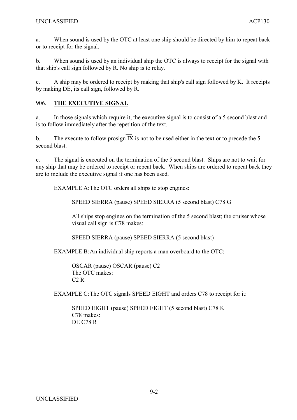a. When sound is used by the OTC at least one ship should be directed by him to repeat back or to receipt for the signal.

b. When sound is used by an individual ship the OTC is always to receipt for the signal with that ship's call sign followed by R. No ship is to relay.

c. A ship may be ordered to receipt by making that ship's call sign followed by K. It receipts by making DE, its call sign, followed by R.

## 906. **THE EXECUTIVE SIGNAL**

a. In those signals which require it, the executive signal is to consist of a 5 second blast and is to follow immediately after the repetition of the text.

 $\mathcal{L}=\mathcal{L}$ b. The execute to follow prosign IX is not to be used either in the text or to precede the 5 second blast.

c. The signal is executed on the termination of the 5 second blast. Ships are not to wait for any ship that may be ordered to receipt or repeat back. When ships are ordered to repeat back they are to include the executive signal if one has been used.

EXAMPLE A:The OTC orders all ships to stop engines:

SPEED SIERRA (pause) SPEED SIERRA (5 second blast) C78 G

All ships stop engines on the termination of the 5 second blast; the cruiser whose visual call sign is C78 makes:

SPEED SIERRA (pause) SPEED SIERRA (5 second blast)

EXAMPLE B:An individual ship reports a man overboard to the OTC:

OSCAR (pause) OSCAR (pause) C2 The OTC makes: C2 R

EXAMPLE C:The OTC signals SPEED EIGHT and orders C78 to receipt for it:

SPEED EIGHT (pause) SPEED EIGHT (5 second blast) C78 K C78 makes: DE C78 R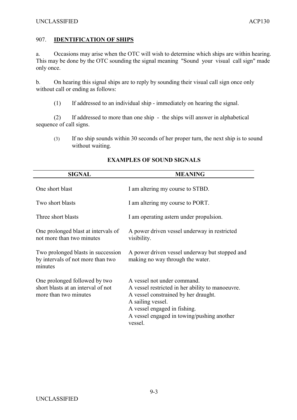## 907. **IDENTIFICATION OF SHIPS**

a. Occasions may arise when the OTC will wish to determine which ships are within hearing. This may be done by the OTC sounding the signal meaning "Sound your visual call sign" made only once.

b. On hearing this signal ships are to reply by sounding their visual call sign once only without call or ending as follows:

(1) If addressed to an individual ship - immediately on hearing the signal.

(2) If addressed to more than one ship - the ships will answer in alphabetical sequence of call signs.

(3) If no ship sounds within 30 seconds of her proper turn, the next ship is to sound without waiting.

| <b>SIGNAL</b>                                                                                | <b>MEANING</b>                                                                                                                                                                                                                        |
|----------------------------------------------------------------------------------------------|---------------------------------------------------------------------------------------------------------------------------------------------------------------------------------------------------------------------------------------|
| One short blast                                                                              | I am altering my course to STBD.                                                                                                                                                                                                      |
| Two short blasts                                                                             | I am altering my course to PORT.                                                                                                                                                                                                      |
| Three short blasts                                                                           | I am operating astern under propulsion.                                                                                                                                                                                               |
| One prolonged blast at intervals of<br>not more than two minutes                             | A power driven vessel underway in restricted<br>visibility.                                                                                                                                                                           |
| Two prolonged blasts in succession<br>by intervals of not more than two<br>minutes           | A power driven vessel underway but stopped and<br>making no way through the water.                                                                                                                                                    |
| One prolonged followed by two<br>short blasts at an interval of not<br>more than two minutes | A vessel not under command.<br>A vessel restricted in her ability to manoeuvre.<br>A vessel constrained by her draught.<br>A sailing vessel.<br>A vessel engaged in fishing.<br>A vessel engaged in towing/pushing another<br>vessel. |

## **EXAMPLES OF SOUND SIGNALS**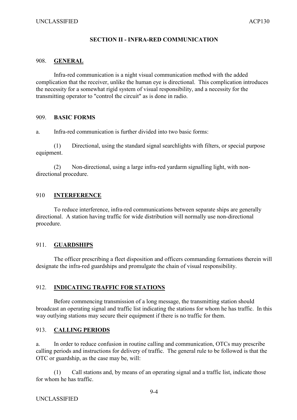## **SECTION II - INFRA-RED COMMUNICATION**

## 908. **GENERAL**

Infra-red communication is a night visual communication method with the added complication that the receiver, unlike the human eye is directional. This complication introduces the necessity for a somewhat rigid system of visual responsibility, and a necessity for the transmitting operator to "control the circuit" as is done in radio.

#### 909. **BASIC FORMS**

a. Infra-red communication is further divided into two basic forms:

(1) Directional, using the standard signal searchlights with filters, or special purpose equipment.

(2) Non-directional, using a large infra-red yardarm signalling light, with nondirectional procedure.

## 910 **INTERFERENCE**

To reduce interference, infra-red communications between separate ships are generally directional. A station having traffic for wide distribution will normally use non-directional procedure.

## 911. **GUARDSHIPS**

The officer prescribing a fleet disposition and officers commanding formations therein will designate the infra-red guardships and promulgate the chain of visual responsibility.

## 912. **INDICATING TRAFFIC FOR STATIONS**

Before commencing transmission of a long message, the transmitting station should broadcast an operating signal and traffic list indicating the stations for whom he has traffic. In this way outlying stations may secure their equipment if there is no traffic for them.

## 913. **CALLING PERIODS**

a. In order to reduce confusion in routine calling and communication, OTCs may prescribe calling periods and instructions for delivery of traffic. The general rule to be followed is that the OTC or guardship, as the case may be, will:

(1) Call stations and, by means of an operating signal and a traffic list, indicate those for whom he has traffic.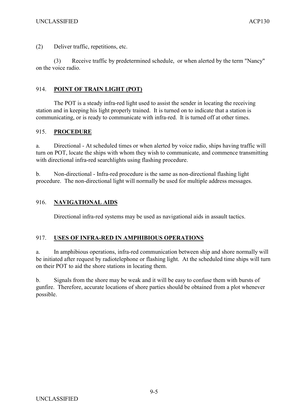(2) Deliver traffic, repetitions, etc.

(3) Receive traffic by predetermined schedule, or when alerted by the term "Nancy" on the voice radio.

## 914. **POINT OF TRAIN LIGHT (POT)**

The POT is a steady infra-red light used to assist the sender in locating the receiving station and in keeping his light properly trained. It is turned on to indicate that a station is communicating, or is ready to communicate with infra-red. It is turned off at other times.

#### 915. **PROCEDURE**

a. Directional - At scheduled times or when alerted by voice radio, ships having traffic will turn on POT, locate the ships with whom they wish to communicate, and commence transmitting with directional infra-red searchlights using flashing procedure.

b. Non-directional - Infra-red procedure is the same as non-directional flashing light procedure. The non-directional light will normally be used for multiple address messages.

## 916. **NAVIGATIONAL AIDS**

Directional infra-red systems may be used as navigational aids in assault tactics.

## 917. **USES OF INFRA-RED IN AMPHIBIOUS OPERATIONS**

a. In amphibious operations, infra-red communication between ship and shore normally will be initiated after request by radiotelephone or flashing light. At the scheduled time ships will turn on their POT to aid the shore stations in locating them.

b. Signals from the shore may be weak and it will be easy to confuse them with bursts of gunfire. Therefore, accurate locations of shore parties should be obtained from a plot whenever possible.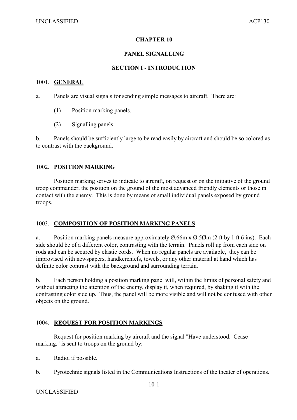#### **CHAPTER 10**

#### **PANEL SIGNALLING**

## **SECTION I - INTRODUCTION**

## 1001. **GENERAL**

a. Panels are visual signals for sending simple messages to aircraft. There are:

- (1) Position marking panels.
- (2) Signalling panels.

b. Panels should be sufficiently large to be read easily by aircraft and should be so colored as to contrast with the background.

#### 1002. **POSITION MARKING**

Position marking serves to indicate to aircraft, on request or on the initiative of the ground troop commander, the position on the ground of the most advanced friendly elements or those in contact with the enemy. This is done by means of small individual panels exposed by ground troops.

## 1003. **COMPOSITION OF POSITION MARKING PANELS**

a. Position marking panels measure approximately  $\varnothing$ .66m x  $\varnothing$ .50m (2 ft by 1 ft 6 ins). Each side should be of a different color, contrasting with the terrain. Panels roll up from each side on rods and can be secured by elastic cords. When no regular panels are available, they can be improvised with newspapers, handkerchiefs, towels, or any other material at hand which has definite color contrast with the background and surrounding terrain.

b. Each person holding a position marking panel will, within the limits of personal safety and without attracting the attention of the enemy, display it, when required, by shaking it with the contrasting color side up. Thus, the panel will be more visible and will not be confused with other objects on the ground.

#### 1004. **REQUEST FOR POSITION MARKINGS**

Request for position marking by aircraft and the signal "Have understood. Cease marking." is sent to troops on the ground by:

a. Radio, if possible.

b. Pyrotechnic signals listed in the Communications Instructions of the theater of operations.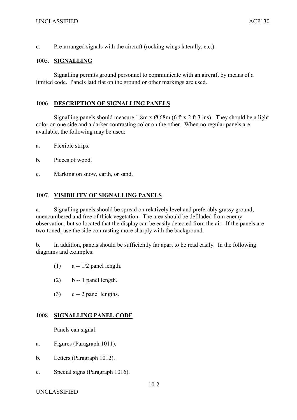c. Pre-arranged signals with the aircraft (rocking wings laterally, etc.).

#### 1005. **SIGNALLING**

Signalling permits ground personnel to communicate with an aircraft by means of a limited code. Panels laid flat on the ground or other markings are used.

#### 1006. **DESCRIPTION OF SIGNALLING PANELS**

Signalling panels should measure 1.8m x  $\varnothing$ .68m (6 ft x 2 ft 3 ins). They should be a light color on one side and a darker contrasting color on the other. When no regular panels are available, the following may be used:

- a. Flexible strips.
- b. Pieces of wood.
- c. Marking on snow, earth, or sand.

## 1007. **VISIBILITY OF SIGNALLING PANELS**

a. Signalling panels should be spread on relatively level and preferably grassy ground, unencumbered and free of thick vegetation. The area should be defiladed from enemy observation, but so located that the display can be easily detected from the air. If the panels are two-toned, use the side contrasting more sharply with the background.

b. In addition, panels should be sufficiently far apart to be read easily. In the following diagrams and examples:

- (1)  $a 1/2$  panel length.
- $(2)$  b -- 1 panel length.
- $(c 2)$  panel lengths.

## 1008. **SIGNALLING PANEL CODE**

Panels can signal:

- a. Figures (Paragraph 1011).
- b. Letters (Paragraph 1012).
- c. Special signs (Paragraph 1016).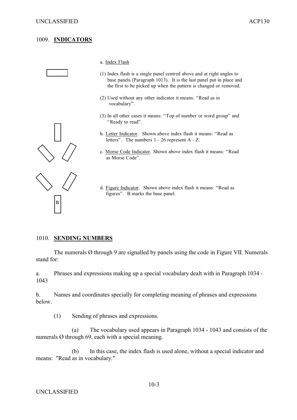a. Index Flash

- (1) Index flash is a single panel centred above and at right angles to base panels (Paragraph 1013). It is the last panel put in place and the first to be picked up when the pattern is changed or removed.
- (2) Used without any other indicator it means: "Read as in vocabulary".
- (3) In all other cases it means: "Top of number or word group" and "Ready to read".
- b. Letter Indicator. Shown above index flash it means: "Read as letters". The numbers 1 - 26 represent A - Z.
- c. Morse Code Indicator. Shown above index flash it means: "Read as Morse Code".
- d. Figure Indicator. Shown above index flash it means: "Read as figures". B marks the base panel.

#### 1010. **SENDING NUMBERS**

The numerals Ø through 9 are signalled by panels using the code in Figure VII. Numerals stand for:

a. Phrases and expressions making up a special vocabulary dealt with in Paragraph 1034 - 1043

b. Names and coordinates specially for completing meaning of phrases and expressions below.

(1) Sending of phrases and expressions.

(a) The vocabulary used appears in Paragraph 1034 - 1043 and consists of the numerals Ø through 69, each with a special meaning.

(b) In this case, the index flash is used alone, without a special indicator and means: "Read as in vocabulary."



B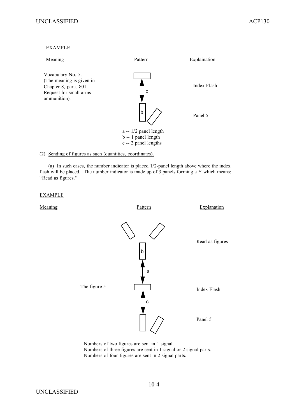#### EXAMPLE



#### (2) Sending of figures as such (quantities, coordinates).

 (a) In such cases, the number indicator is placed 1/2-panel length above where the index flash will be placed. The number indicator is made up of 3 panels forming a Y which means: "Read as figures."

#### EXAMPLE



Numbers of two figures are sent in 1 signal. Numbers of three figures are sent in 1 signal or 2 signal parts. Numbers of four figures are sent in 2 signal parts.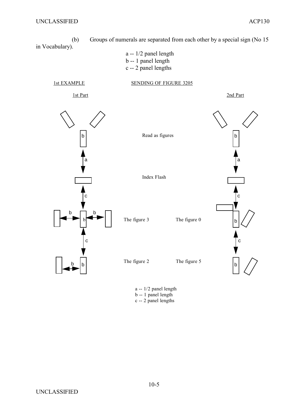(b) Groups of numerals are separated from each other by a special sign (No 15 in Vocabulary).

a -- 1/2 panel length b -- 1 panel length c -- 2 panel lengths



a -- 1/2 panel length b -- 1 panel length c -- 2 panel lengths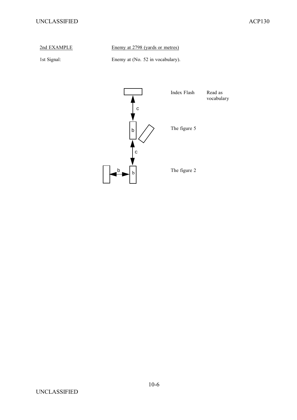2nd EXAMPLE Enemy at 2798 (yards or metres)

1st Signal: Enemy at (No. 52 in vocabulary).

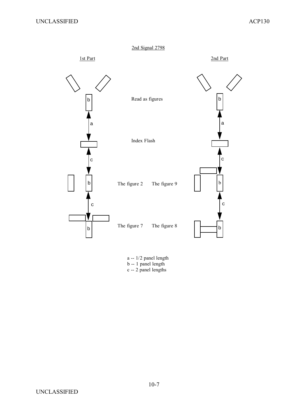2nd Signal 2798



- a -- 1/2 panel length
- b -- 1 panel length
- $c 2$  panel lengths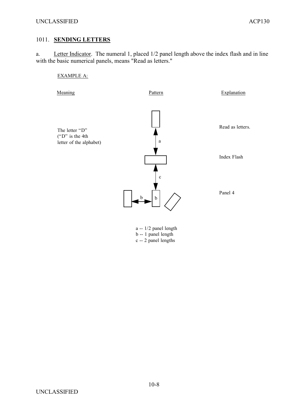#### 1011. **SENDING LETTERS**

a. Letter Indicator. The numeral 1, placed 1/2 panel length above the index flash and in line with the basic numerical panels, means "Read as letters."

#### EXAMPLE A:

Meaning Meaning Pattern Pattern Explanation

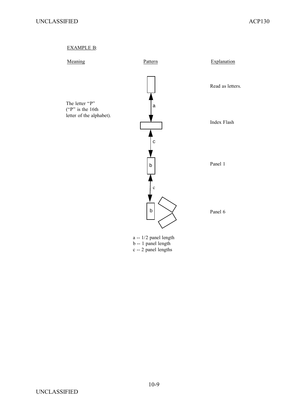#### EXAMPLE B:



c -- 2 panel lengths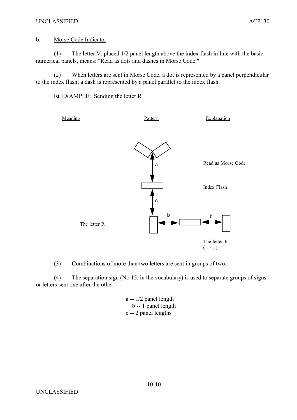#### UNCLASSIFIED ACP130

#### b. Morse Code Indicator

(1) The letter V, placed 1/2 panel length above the index flash in line with the basic numerical panels, means: "Read as dots and dashes in Morse Code."

(2) When letters are sent in Morse Code, a dot is represented by a panel perpendicular to the index flash; a dash is represented by a panel parallel to the index flash.

lst EXAMPLE: Sending the letter R



(3) Combinations of more than two letters are sent in groups of two.

(4) The separation sign (No 15. in the vocabulary) is used to separate groups of signs or letters sent one after the other.

> a -- 1/2 panel length b -- 1 panel length c -- 2 panel lengths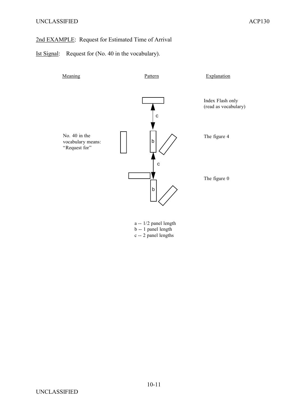## 2nd EXAMPLE: Request for Estimated Time of Arrival

Ist Signal: Request for (No. 40 in the vocabulary).

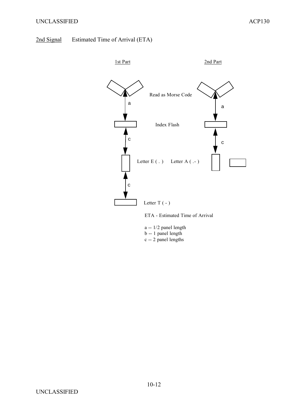# 2nd Signal Estimated Time of Arrival (ETA)



ETA - Estimated Time of Arrival

a -- 1/2 panel length

b -- 1 panel length

c -- 2 panel lengths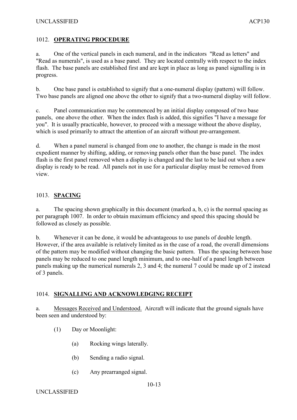## 1012. **OPERATING PROCEDURE**

a. One of the vertical panels in each numeral, and in the indicators "Read as letters" and "Read as numerals", is used as a base panel. They are located centrally with respect to the index flash. The base panels are established first and are kept in place as long as panel signalling is in progress.

b. One base panel is established to signify that a one-numeral display (pattern) will follow. Two base panels are aligned one above the other to signify that a two-numeral display will follow.

c. Panel communication may be commenced by an initial display composed of two base panels, one above the other. When the index flash is added, this signifies "I have a message for you". It is usually practicable, however, to proceed with a message without the above display, which is used primarily to attract the attention of an aircraft without pre-arrangement.

d. When a panel numeral is changed from one to another, the change is made in the most expedient manner by shifting, adding, or removing panels other than the base panel. The index flash is the first panel removed when a display is changed and the last to be laid out when a new display is ready to be read. All panels not in use for a particular display must be removed from view.

## 1013. **SPACING**

a. The spacing shown graphically in this document (marked a, b, c) is the normal spacing as per paragraph 1007. In order to obtain maximum efficiency and speed this spacing should be followed as closely as possible.

b. Whenever it can be done, it would be advantageous to use panels of double length. However, if the area available is relatively limited as in the case of a road, the overall dimensions of the pattern may be modified without changing the basic pattern. Thus the spacing between base panels may be reduced to one panel length minimum, and to one-half of a panel length between panels making up the numerical numerals 2, 3 and 4; the numeral 7 could be made up of 2 instead of 3 panels.

# 1014. **SIGNALLING AND ACKNOWLEDGING RECEIPT**

a. Messages Received and Understood. Aircraft will indicate that the ground signals have been seen and understood by:

- (1) Day or Moonlight:
	- (a) Rocking wings laterally.
	- (b) Sending a radio signal.
	- (c) Any prearranged signal.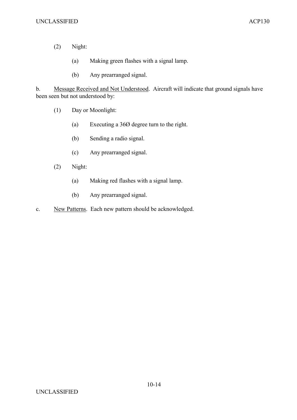- (2) Night:
	- (a) Making green flashes with a signal lamp.
	- (b) Any prearranged signal.

b. Message Received and Not Understood. Aircraft will indicate that ground signals have been seen but not understood by:

- (1) Day or Moonlight:
	- (a) Executing a 36Ø degree turn to the right.
	- (b) Sending a radio signal.
	- (c) Any prearranged signal.
- (2) Night:
	- (a) Making red flashes with a signal lamp.
	- (b) Any prearranged signal.
- c. New Patterns. Each new pattern should be acknowledged.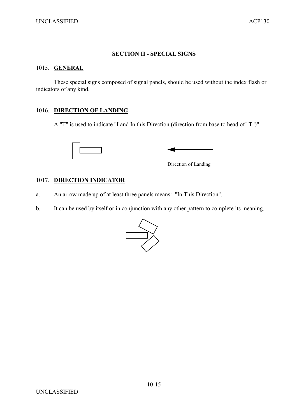## **SECTION II - SPECIAL SIGNS**

#### 1015. **GENERAL**

These special signs composed of signal panels, should be used without the index flash or indicators of any kind.

# 1016. **DIRECTION OF LANDING**

A "T" is used to indicate "Land In this Direction (direction from base to head of "T")".



# 1017. **DIRECTION INDICATOR**

a. An arrow made up of at least three panels means: "In This Direction".

b. It can be used by itself or in conjunction with any other pattern to complete its meaning.

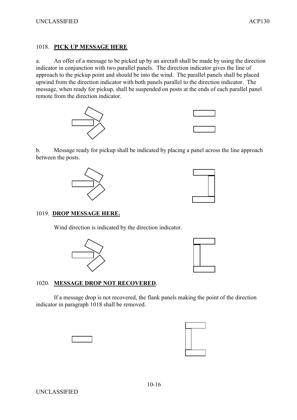#### UNCLASSIFIED ACP130

## 1018. **PICK UP MESSAGE HERE**

a. An offer of a message to be picked up by an aircraft shall be made by using the direction indicator in conjunction with two parallel panels. The direction indicator gives the line of approach to the pickup point and should be into the wind. The parallel panels shall be placed upwind from the direction indicator with both panels parallel to the direction indicator. The message, when ready for pickup, shall be suspended on posts at the ends of each parallel panel remote from the direction indicator.



b. Message ready for pickup shall be indicated by placing a panel across the line approach between the posts.



## 1019. **DROP MESSAGE HERE.**

Wind direction is indicated by the direction indicator.





## 1020. **MESSAGE DROP NOT RECOVERED**.

If a message drop is not recovered, the flank panels making the point of the direction indicator in paragraph 1018 shall be removed.

10-16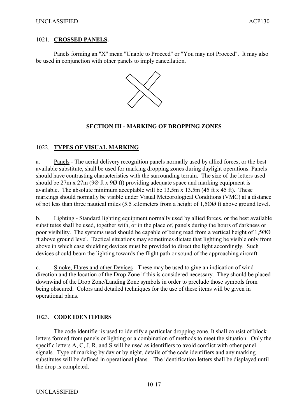#### UNCLASSIFIED ACP130

#### 1021. **CROSSED PANELS.**

Panels forming an "X" mean "Unable to Proceed" or "You may not Proceed". It may also be used in conjunction with other panels to imply cancellation.



#### **SECTION III - MARKING OF DROPPING ZONES**

#### 1022. **TYPES OF VISUAL MARKING**

a. Panels - The aerial delivery recognition panels normally used by allied forces, or the best available substitute, shall be used for marking dropping zones during daylight operations. Panels should have contrasting characteristics with the surrounding terrain. The size of the letters used should be 27m x 27m (9Ø ft x 9Ø ft) providing adequate space and marking equipment is available. The absolute minimum acceptable will be 13.5m x 13.5m (45 ft x 45 ft). These markings should normally be visible under Visual Meteorological Conditions (VMC) at a distance of not less than three nautical miles (5.5 kilometers from a height of 1,5ØØ ft above ground level.

b. Lighting - Standard lighting equipment normally used by allied forces, or the best available substitutes shall be used, together with, or in the place of, panels during the hours of darkness or poor visibility. The systems used should be capable of being read from a vertical height of 1,5ØØ ft above ground level. Tactical situations may sometimes dictate that lighting be visible only from above in which case shielding devices must be provided to direct the light accordingly. Such devices should beam the lighting towards the flight path or sound of the approaching aircraft.

c. Smoke, Flares and other Devices - These may be used to give an indication of wind direction and the location of the Drop Zone if this is considered necessary. They should be placed downwind of the Drop Zone/Landing Zone symbols in order to preclude those symbols from being obscured. Colors and detailed techniques for the use of these items will be given in operational plans.

#### 1023. **CODE IDENTIFIERS**

The code identifier is used to identify a particular dropping zone. It shall consist of block letters formed from panels or lighting or a combination of methods to meet the situation. Only the specific letters A, C, J, R, and S will be used as identifiers to avoid conflict with other panel signals. Type of marking by day or by night, details of the code identifiers and any marking substitutes will be defined in operational plans. The identification letters shall be displayed until the drop is completed.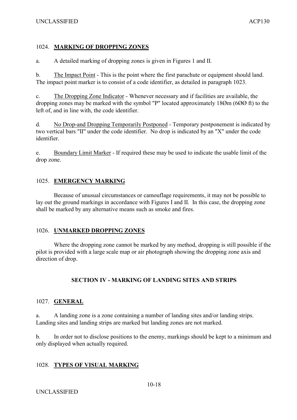## 1024. **MARKING OF DROPPING ZONES**

a. A detailed marking of dropping zones is given in Figures 1 and II.

b. The Impact Point - This is the point where the first parachute or equipment should land. The impact point marker is to consist of a code identifier, as detailed in paragraph 1023.

c. The Dropping Zone Indicator - Whenever necessary and if facilities are available, the dropping zones may be marked with the symbol "P" located approximately 18Øm (6ØØ ft) to the left of, and in line with, the code identifier.

d. No Drop-and Dropping Temporarily Postponed - Temporary postponement is indicated by two vertical bars "II" under the code identifier. No drop is indicated by an "X" under the code identifier.

e. Boundary Limit Marker - If required these may be used to indicate the usable limit of the drop zone.

## 1025. **EMERGENCY MARKING**

Because of unusual circumstances or camouflage requirements, it may not be possible to lay out the ground markings in accordance with Figures I and II. In this case, the dropping zone shall be marked by any alternative means such as smoke and fires.

## 1026. **UNMARKED DROPPING ZONES**

Where the dropping zone cannot be marked by any method, dropping is still possible if the pilot is provided with a large scale map or air photograph showing the dropping zone axis and direction of drop.

# **SECTION IV - MARKING OF LANDING SITES AND STRIPS**

## 1027. **GENERAL**

a. A landing zone is a zone containing a number of landing sites and/or landing strips. Landing sites and landing strips are marked but landing zones are not marked.

b. In order not to disclose positions to the enemy, markings should be kept to a minimum and only displayed when actually required.

## 1028. **TYPES OF VISUAL MARKING**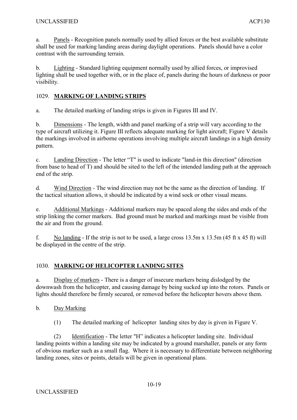a. Panels - Recognition panels normally used by allied forces or the best available substitute shall be used for marking landing areas during daylight operations. Panels should have a color contrast with the surrounding terrain.

b. Lighting - Standard lighting equipment normally used by allied forces, or improvised lighting shall be used together with, or in the place of, panels during the hours of darkness or poor visibility.

# 1029. **MARKING OF LANDING STRIPS**

a. The detailed marking of landing strips is given in Figures III and IV.

b. Dimensions - The length, width and panel marking of a strip will vary according to the type of aircraft utilizing it. Figure III reflects adequate marking for light aircraft; Figure V details the markings involved in airborne operations involving multiple aircraft landings in a high density pattern.

c. Landing Direction - The letter "T" is used to indicate "land-in this direction" (direction from base to head of T) and should be sited to the left of the intended landing path at the approach end of the strip.

d. Wind Direction - The wind direction may not be the same as the direction of landing. If the tactical situation allows, it should be indicated by a wind sock or other visual means.

e. Additional Markings - Additional markers may be spaced along the sides and ends of the strip linking the corner markers. Bad ground must be marked and markings must be visible from the air and from the ground.

f. No landing - If the strip is not to be used, a large cross  $13.5m \times 13.5m$  (45 ft x 45 ft) will be displayed in the centre of the strip.

# 1030. **MARKING OF HELICOPTER LANDING SITES**

a. Display of markers - There is a danger of insecure markers being dislodged by the downwash from the helicopter, and causing damage by being sucked up into the rotors. Panels or lights should therefore be firmly secured, or removed before the helicopter hovers above them.

# b. Day Marking

(1) The detailed marking of helicopter landing sites by day is given in Figure V.

(2) Identification - The letter "H" indicates a helicopter landing site. Individual landing points within a landing site may be indicated by a ground marshaller, panels or any form of obvious marker such as a small flag. Where it is necessary to differentiate between neighboring landing zones, sites or points, details will be given in operational plans.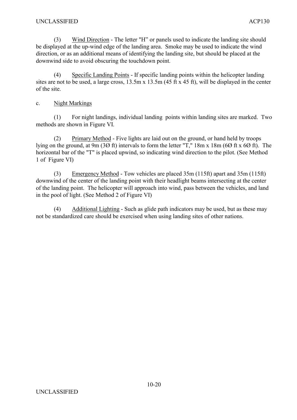(3) Wind Direction - The letter "H" or panels used to indicate the landing site should be displayed at the up-wind edge of the landing area. Smoke may be used to indicate the wind direction, or as an additional means of identifying the landing site, but should be placed at the downwind side to avoid obscuring the touchdown point.

(4) Specific Landing Points - If specific landing points within the helicopter landing sites are not to be used, a large cross, 13.5m x 13.5m (45 ft x 45 ft), will be displayed in the center of the site.

#### c. Night Markings

(1) For night landings, individual landing points within landing sites are marked. Two methods are shown in Figure VI.

(2) Primary Method - Five lights are laid out on the ground, or hand held by troops lying on the ground, at 9m (3Ø ft) intervals to form the letter "T," 18m x 18m (6Ø ft x 6Ø ft). The horizontal bar of the "T" is placed upwind, so indicating wind direction to the pilot. (See Method 1 of Figure VI)

(3) Emergency Method - Tow vehicles are placed 35m (115ft) apart and 35m (115ft) downwind of the center of the landing point with their headlight beams intersecting at the center of the landing point. The helicopter will approach into wind, pass between the vehicles, and land in the pool of light. (See Method 2 of Figure VI)

(4) Additional Lighting - Such as glide path indicators may be used, but as these may not be standardized care should be exercised when using landing sites of other nations.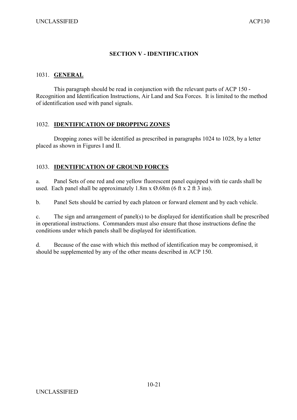## **SECTION V - IDENTIFICATION**

#### 1031. **GENERAL**

This paragraph should be read in conjunction with the relevant parts of ACP 150 - Recognition and Identification Instructions, Air Land and Sea Forces. It is limited to the method of identification used with panel signals.

#### 1032. **IDENTIFICATION OF DROPPING ZONES**

Dropping zones will be identified as prescribed in paragraphs 1024 to 1028, by a letter placed as shown in Figures I and II.

## 1033. **IDENTIFICATION OF GROUND FORCES**

a. Panel Sets of one red and one yellow fluorescent panel equipped with tie cards shall be used. Each panel shall be approximately  $1.8m \times \mathcal{O}.68m$  (6 ft x 2 ft 3 ins).

b. Panel Sets should be carried by each platoon or forward element and by each vehicle.

c. The sign and arrangement of panel(s) to be displayed for identification shall be prescribed in operational instructions. Commanders must also ensure that those instructions define the conditions under which panels shall be displayed for identification.

d. Because of the ease with which this method of identification may be compromised, it should be supplemented by any of the other means described in ACP 150.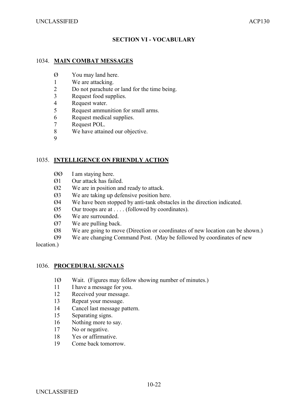#### **SECTION VI - VOCABULARY**

#### 1034. **MAIN COMBAT MESSAGES**

- Ø You may land here.
- 1 We are attacking.
- 2 Do not parachute or land for the time being.
- 3 Request food supplies.
- 4 Request water.
- 5 Request ammunition for small arms.
- 6 Request medical supplies.
- 7 Request POL.
- 8 We have attained our objective.
- 9

## 1035. **INTELLIGENCE ON FRIENDLY ACTION**

- ØØ I am staying here.
- Ø1 Our attack has failed.
- Ø2 We are in position and ready to attack.
- Ø3 We are taking up defensive position here.
- Ø4 We have been stopped by anti-tank obstacles in the direction indicated.
- Ø5 Our troops are at . . . . (followed by coordinates).
- Ø6 We are surrounded.
- Ø7 We are pulling back.
- Ø8 We are going to move (Direction or coordinates of new location can be shown.)
- Ø9 We are changing Command Post. (May be followed by coordinates of new

location.)

## 1036. **PROCEDURAL SIGNALS**

- 1Ø Wait. (Figures may follow showing number of minutes.)
- 11 I have a message for you.
- 12 Received your message.
- 13 Repeat your message.
- 14 Cancel last message pattern.
- 15 Separating signs.
- 16 Nothing more to say.
- 17 No or negative.
- 18 Yes or affirmative.
- 19 Come back tomorrow.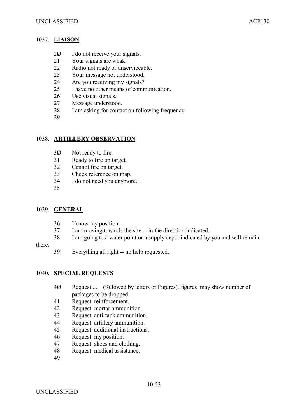## 1037. **LIAISON**

- 2Ø I do not receive your signals.
- 21 Your signals are weak.
- 22 Radio not ready or unserviceable.
- 23 Your message not understood.
- 24 Are you receiving my signals?
- 25 I have no other means of communication.
- 26 Use visual signals.
- 27 Message understood.
- 28 I am asking for contact on following frequency.
- 29

## 1038. **ARTILLERY OBSERVATION**

- 3Ø Not ready to fire.
- 31 Ready to fire on target.
- 32 Cannot fire on target.
- 33 Check reference on map.
- 34 I do not need you anymore.
- 35

#### 1039. **GENERAL**

- 36 I know my position.
- 37 I am moving towards the site -- in the direction indicated.
- 38 I am going to a water point or a supply depot indicated by you and will remain

#### there.

39 Everything all right -- no help requested.

#### 1040. **SPECIAL REQUESTS**

- 4Ø Request .... (followed by letters or Figures).Figures may show number of packages to be dropped.
- 41 Request reinforcement.
- 42 Request mortar ammunition.
- 43 Request anti-tank ammunition.
- 44 Request artillery ammunition.
- 45 Request additional instructions.
- 46 Request my position.
- 47 Request shoes and clothing.
- 48 Request medical assistance.
- 49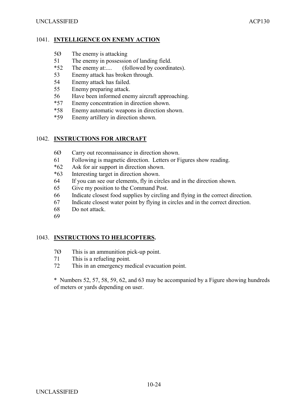#### 1041. **INTELLIGENCE ON ENEMY ACTION**

- 5Ø The enemy is attacking
- 51 The enemy in possession of landing field.
- \*52 The enemy at:.... (followed by coordinates).
- 53 Enemy attack has broken through.
- 54 Enemy attack has failed.
- 55 Enemy preparing attack.
- 56 Have been informed enemy aircraft approaching.
- \*57 Enemy concentration in direction shown.
- \*58 Enemy automatic weapons in direction shown.
- \*59 Enemy artillery in direction shown.

## 1042. **INSTRUCTIONS FOR AIRCRAFT**

- 6Ø Carry out reconnaissance in direction shown.
- 61 Following is magnetic direction. Letters or Figures show reading.
- \*62 Ask for air support in direction shown.
- \*63 Interesting target in direction shown.
- 64 If you can see our elements, fly in circles and in the direction shown.
- 65 Give my position to the Command Post.
- 66 Indicate closest food supplies by circling and flying in the correct direction.
- 67 Indicate closest water point by flying in circles and in the correct direction.
- 68 Do not attack.
- 69

## 1043. **INSTRUCTIONS TO HELICOPTERS.**

- 7Ø This is an ammunition pick-up point.
- 71 This is a refueling point.
- 72 This in an emergency medical evacuation point.

\* Numbers 52, 57, 58, 59, 62, and 63 may be accompanied by a Figure showing hundreds of meters or yards depending on user.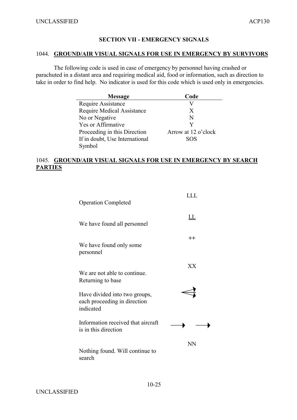## **SECTION VII - EMERGENCY SIGNALS**

#### 1044. **GROUND/AIR VISUAL SIGNALS FOR USE IN EMERGENCY BY SURVIVORS**

The following code is used in case of emergency by personnel having crashed or parachuted in a distant area and requiring medical aid, food or information, such as direction to take in order to find help. No indicator is used for this code which is used only in emergencies.

| <b>Message</b>                    | Code                |
|-----------------------------------|---------------------|
| Require Assistance                | V                   |
| <b>Require Medical Assistance</b> | X                   |
| No or Negative                    | N                   |
| Yes or Affirmative                | Y                   |
| Proceeding in this Direction      | Arrow at 12 o'clock |
| If in doubt, Use International    | <b>SOS</b>          |
| Symbol                            |                     |

## 1045. **GROUND/AIR VISUAL SIGNALS FOR USE IN EMERGENCY BY SEARCH PARTIES**

| <b>Operation Completed</b>                                                         | LLL.             |
|------------------------------------------------------------------------------------|------------------|
| We have found all personnel                                                        | LL               |
| We have found only some<br>personnel                                               | $^{\mathrm{++}}$ |
| We are not able to continue.<br>Returning to base<br>Have divided into two groups, | XX               |
| each proceeding in direction<br>indicated                                          |                  |
| Information received that aircraft<br>is in this direction                         |                  |
| Nothing found. Will continue to<br>search                                          | NN               |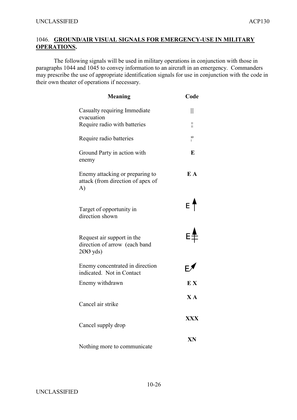## 1046. **GROUND/AIR VISUAL SIGNALS FOR EMERGENCY-USE IN MILITARY OPERATIONS.**

The following signals will be used in military operations in conjunction with those in paragraphs 1044 and 1045 to convey information to an aircraft in an emergency. Commanders may prescribe the use of appropriate identification signals for use in conjunction with the code in their own theater of operations if necessary.

| <b>Meaning</b>                                                                       | Code                 |
|--------------------------------------------------------------------------------------|----------------------|
| Casualty requiring Immediate<br>evacuation                                           | $\parallel$          |
| Require radio with batteries                                                         | Ш<br>$\overline{11}$ |
| Require radio batteries                                                              | 10                   |
| Ground Party in action with<br>enemy                                                 | E                    |
| Enemy attacking or preparing to<br>attack (from direction of apex of<br>$\mathbf{A}$ | E A                  |
| Target of opportunity in<br>direction shown                                          | E                    |
| Request air support in the<br>direction of arrow (each band<br>200 yds)              |                      |
| Enemy concentrated in direction<br>indicated. Not in Contact                         | FЛ                   |
| Enemy withdrawn                                                                      | EX                   |
| Cancel air strike                                                                    | X A                  |
| Cancel supply drop                                                                   | <b>XXX</b>           |
| Nothing more to communicate                                                          | XN                   |

UNCLASSIFIED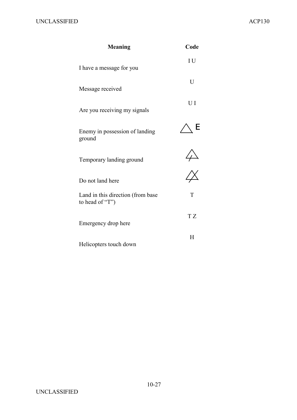| <b>Meaning</b>                                       | Code           |
|------------------------------------------------------|----------------|
| I have a message for you                             | I U            |
| Message received                                     | U              |
| Are you receiving my signals                         | UI             |
| Enemy in possession of landing<br>ground             |                |
| Temporary landing ground                             | $\overline{ }$ |
| Do not land here                                     |                |
| Land in this direction (from base<br>to head of "T") | T              |
| Emergency drop here                                  | T Z            |
| Helicopters touch down                               | H              |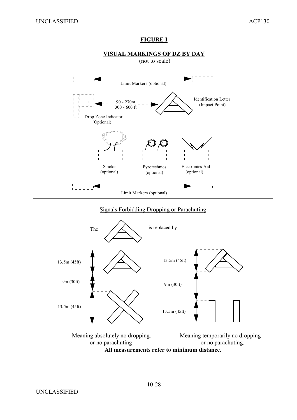## **FIGURE I**



#### Signals Forbidding Dropping or Parachuting



**All measurements refer to minimum distance.**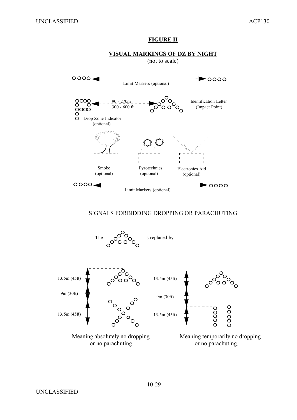#### **FIGURE II**



#### SIGNALS FORBIDDING DROPPING OR PARACHUTING



UNCLASSIFIED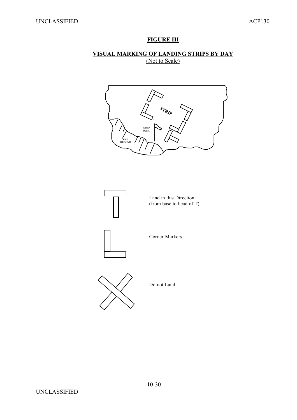## **FIGURE III**

## **VISUAL MARKING OF LANDING STRIPS BY DAY** (Not to Scale)



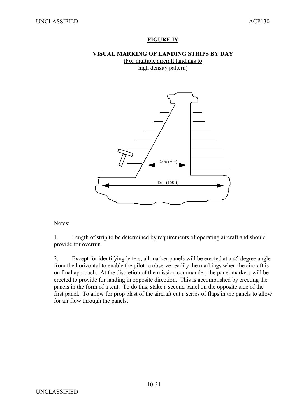## **FIGURE IV**

## **VISUAL MARKING OF LANDING STRIPS BY DAY**

(For multiple aircraft landings to high density pattern)



Notes:

1. Length of strip to be determined by requirements of operating aircraft and should provide for overrun.

2. Except for identifying letters, all marker panels will be erected at a 45 degree angle from the horizontal to enable the pilot to observe readily the markings when the aircraft is on final approach. At the discretion of the mission commander, the panel markers will be erected to provide for landing in opposite direction. This is accomplished by erecting the panels in the form of a tent. To do this, stake a second panel on the opposite side of the first panel. To allow for prop blast of the aircraft cut a series of flaps in the panels to allow for air flow through the panels.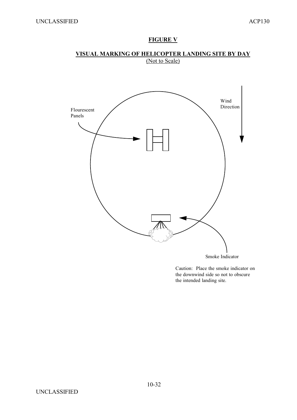## **FIGURE V**

## **VISUAL MARKING OF HELICOPTER LANDING SITE BY DAY** (Not to Scale)



Caution: Place the smoke indicator on the downwind side so not to obscure the intended landing site.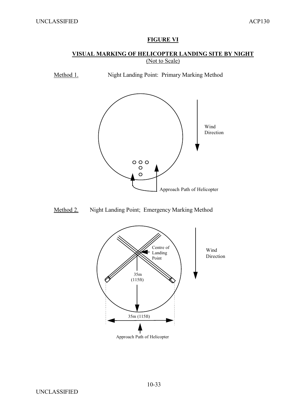#### **FIGURE VI**

## **VISUAL MARKING OF HELICOPTER LANDING SITE BY NIGHT** (Not to Scale)

Method 1. Night Landing Point: Primary Marking Method



Method 2. Night Landing Point; Emergency Marking Method



Approach Path of Helicopter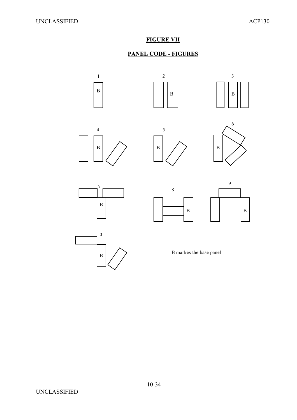# **FIGURE VII**

# **PANEL CODE - FIGURES**

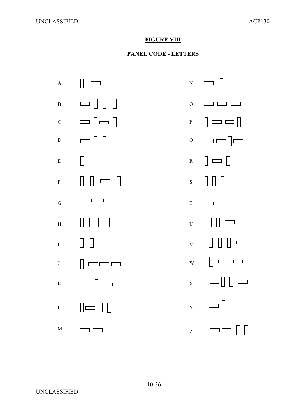## **FIGURE VIII**

## **PANEL CODE - LETTERS**

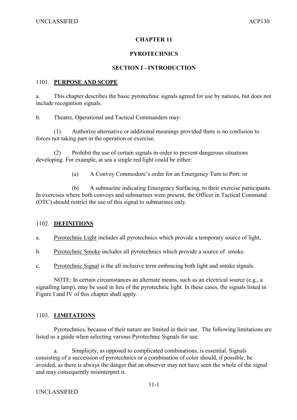#### **CHAPTER 11**

#### **PYROTECHNICS**

#### **SECTION I - INTRODUCTION**

#### 1101. **PURPOSE AND SCOPE**

a. This chapter describes the basic pyrotechnic signals agreed for use by nations, but does not include recognition signals.

b. Theatre, Operational and Tactical Commanders may:

(1) Authorize alternative or additional meanings provided there is no confusion to forces not taking part in the operation or exercise.

(2) Prohibit the use of certain signals in order to prevent dangerous situations developing. For example, at sea a single red light could be either:

(a) A Convoy Commodore's order for an Emergency Turn to Port: or

(b) A submarine indicating Emergency Surfacing, to their exercise participants. In exercises where both convoys and submarines were present, the Officer in Tactical Command (OTC) should restrict the use of this signal to submarines only.

#### 1102. **DEFINITIONS**

- a. Pyrotechnic Light includes all pyrotechnics which provide a temporary source of light,
- b. Pyrotechnic Smoke includes all pyrotechnics which provide a source of smoke.
- c. Pyrotechnic Signal is the all inclusive term embracing both light and smoke signals.

NOTE: In certain circumstances an alternate means, such as an electrical source (e.g., a signalling lamp), may be used in lieu of the pyrotechnic light. In these cases, the signals listed in Figure I and IV of this chapter shall apply.

#### 1103. **LIMITATIONS**

Pyrotechnics, because of their nature are limited in their use. The following limitations are listed as a guide when selecting various Pyrotechnic Signals for use.

a. Simplicity, as opposed to complicated combinations, is essential. Signals consisting of a succession of pyrotechnics or a combination of color should, if possible, be avoided, as there is always the danger that an observer may not have seen the whole of the signal and may consequently misinterpret it.

#### UNCLASSIFIED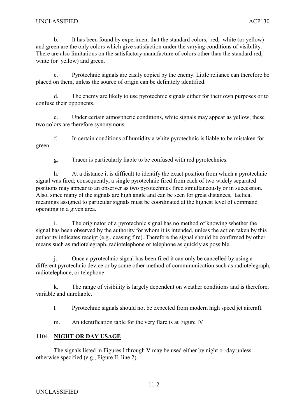b. It has been found by experiment that the standard colors, red, white (or yellow) and green are the only colors which give satisfaction under the varying conditions of visibility. There are also limitations on the satisfactory manufacture of colors other than the standard red, white (or yellow) and green.

c. Pyrotechnic signals are easily copied by the enemy. Little reliance can therefore be placed on them, unless the source of origin can be definitely identified.

d. The enemy are likely to use pyrotechnic signals either for their own purposes or to confuse their opponents.

e. Under certain atmospheric conditions, white signals may appear as yellow; these two colors are therefore synonymous.

f. In certain conditions of humidity a white pyrotechnic is liable to be mistaken for green.

g. Tracer is particularly liable to be confused with red pyrotechnics.

h. At a distance it is difficult to identify the exact position from which a pyrotechnic signal was fired; consequently, a single pyrotechnic fired from each of two widely separated positions may appear to an observer as two pyrotechnics fired simultaneously or in succession. Also, since many of the signals are high angle and can be seen for great distances, tactical meanings assigned to particular signals must be coordinated at the highest level of command operating in a given area.

i. The originator of a pyrotechnic signal has no method of knowing whether the signal has been observed by the authority for whom it is intended, unless the action taken by this authority indicates receipt (e.g., ceasing fire). Therefore the signal should be confirmed by other means such as radiotelegraph, radiotelephone or telephone as quickly as possible.

j. Once a pyrotechnic signal has been fired it can only be cancelled by using a different pyrotechnic device or by some other method of commmunication such as radiotelegraph, radiotelephone, or telephone.

k. The range of visibility is largely dependent on weather conditions and is therefore, variable and unreliable.

l. Pyrotechnic signals should not be expected from modern high speed jet aircraft.

m. An identification table for the very flare is at Figure IV

## 1104. **NIGHT OR DAY USAGE**

The signals listed in Figures I through V may be used either by night or-day unless otherwise specified (e.g., Figure II, line 2).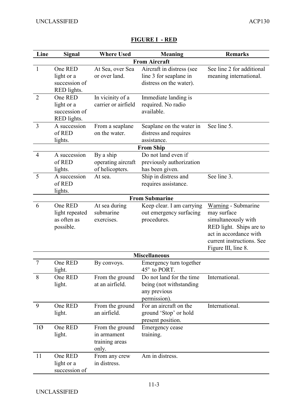| Line           | <b>Signal</b>                                         | <b>Where Used</b>                                         | <b>Meaning</b>                                                                       | <b>Remarks</b>                                                                                                                                                     |  |  |  |
|----------------|-------------------------------------------------------|-----------------------------------------------------------|--------------------------------------------------------------------------------------|--------------------------------------------------------------------------------------------------------------------------------------------------------------------|--|--|--|
|                | <b>From Aircraft</b>                                  |                                                           |                                                                                      |                                                                                                                                                                    |  |  |  |
| $\mathbf{1}$   | One RED<br>light or a<br>succession of<br>RED lights. | At Sea, over Sea<br>or over land.                         | Aircraft in distress (see<br>line 3 for seaplane in<br>distress on the water).       | See line 2 for additional<br>meaning international.                                                                                                                |  |  |  |
| $\overline{2}$ | One RED<br>light or a<br>succession of<br>RED lights. | In vicinity of a<br>carrier or airfield                   | Immediate landing is<br>required. No radio<br>available.                             |                                                                                                                                                                    |  |  |  |
| $\overline{3}$ | A succession<br>of RED<br>lights.                     | From a seaplane<br>on the water.                          | Seaplane on the water in<br>distress and requires<br>assistance.                     | See line 5.                                                                                                                                                        |  |  |  |
|                |                                                       |                                                           | <b>From Ship</b>                                                                     |                                                                                                                                                                    |  |  |  |
| 4              | A succession<br>of RED<br>lights.                     | By a ship<br>operating aircraft<br>of helicopters.        | Do not land even if<br>previously authorization<br>has been given.                   |                                                                                                                                                                    |  |  |  |
| 5              | A succession<br>of RED<br>lights.                     | At sea.                                                   | Ship in distress and<br>requires assistance.                                         | See line 3.                                                                                                                                                        |  |  |  |
|                |                                                       |                                                           | <b>From Submarine</b>                                                                |                                                                                                                                                                    |  |  |  |
| 6              | One RED<br>light repeated<br>as often as<br>possible. | At sea during<br>submarine<br>exercises.                  | Keep clear. I am carrying<br>out emergency surfacing<br>procedures.                  | Warning - Submarine<br>may surface<br>simultaneously with<br>RED light. Ships are to<br>act in accordance with<br>current instructions. See<br>Figure III, line 8. |  |  |  |
|                |                                                       |                                                           | <b>Miscellaneous</b>                                                                 |                                                                                                                                                                    |  |  |  |
| $\overline{7}$ | One RED<br>light.                                     | By convoys.                                               | Emergency turn together<br>$45^{\circ}$ to PORT.                                     |                                                                                                                                                                    |  |  |  |
| 8              | One RED<br>light.                                     | From the ground<br>at an airfield.                        | Do not land for the time<br>being (not withstanding)<br>any previous<br>permission). | International.                                                                                                                                                     |  |  |  |
| 9              | One RED<br>light.                                     | From the ground<br>an airfield.                           | For an aircraft on the<br>ground 'Stop' or hold<br>present position.                 | International.                                                                                                                                                     |  |  |  |
| $1\varnothing$ | One RED<br>light.                                     | From the ground<br>in armament<br>training areas<br>only. | Emergency cease<br>training.                                                         |                                                                                                                                                                    |  |  |  |
| 11             | One RED<br>light or a<br>succession of                | From any crew<br>in distress.                             | Am in distress.                                                                      |                                                                                                                                                                    |  |  |  |

## **FIGURE I - RED**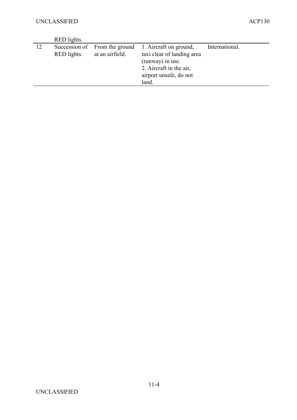|    | RED lights. |                                                  |                                                                                                                                        |                |
|----|-------------|--------------------------------------------------|----------------------------------------------------------------------------------------------------------------------------------------|----------------|
| 12 | RED lights. | Succession of From the ground<br>at an airfield. | 1. Aircraft on ground,<br>taxi clear of landing area<br>(runway) in use.<br>2. Aircraft in the air,<br>airport unsafe, do not<br>land. | International. |
|    |             |                                                  |                                                                                                                                        |                |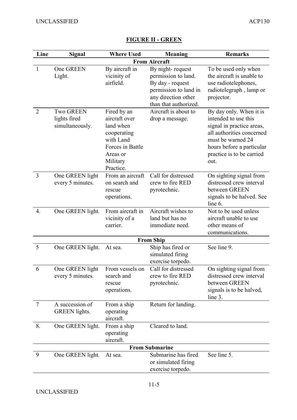| Line             | <b>Signal</b>                                       | <b>Where Used</b>                                                                                                              | <b>Meaning</b>                                                                                                                       | <b>Remarks</b>                                                                                                                                                                                   |  |  |
|------------------|-----------------------------------------------------|--------------------------------------------------------------------------------------------------------------------------------|--------------------------------------------------------------------------------------------------------------------------------------|--------------------------------------------------------------------------------------------------------------------------------------------------------------------------------------------------|--|--|
|                  | <b>From Aircraft</b>                                |                                                                                                                                |                                                                                                                                      |                                                                                                                                                                                                  |  |  |
| $\mathbf{1}$     | One GREEN<br>Light.                                 | By aircraft in<br>vicinity of<br>airfield.                                                                                     | By night-request<br>permission to land.<br>By day - request<br>permission to land in<br>any direction other<br>than that authorized. | To be used only when<br>the aircraft is unable to<br>use radiotelephones,<br>radiotelegraph, lamp or<br>projector.                                                                               |  |  |
| $\overline{2}$   | <b>Two GREEN</b><br>lights fired<br>simultaneously. | Fired by an<br>aircraft over<br>land when<br>cooperating<br>with Land<br>Forces in Battle<br>Areas or<br>Military<br>Practice. | Aircraft is about to<br>drop a message.                                                                                              | By day only. When it is<br>intended to use this<br>signal in practice areas,<br>all authorities concerned<br>must be warned 24<br>hours before a particular<br>practice is to be carried<br>out. |  |  |
| 3                | One GREEN light<br>every 5 minutes.                 | From an aircraft<br>on search and<br>rescue<br>operations.                                                                     | Call for distressed<br>crew to fire RED<br>pyrotechnic.                                                                              | On sighting signal from<br>distressed crew interval<br>between GREEN<br>signals to be halved. See<br>line 6.                                                                                     |  |  |
| $\overline{4}$ . | One GREEN light.                                    | From aircraft in<br>vicinity of a<br>carrier.                                                                                  | Aircraft wishes to<br>land but has no<br>immediate need.                                                                             | Not to be used unless<br>aircraft unable to use<br>other means of<br>communications.                                                                                                             |  |  |
|                  |                                                     |                                                                                                                                | <b>From Ship</b>                                                                                                                     |                                                                                                                                                                                                  |  |  |
| 5                | One GREEN light.                                    | At sea.                                                                                                                        | Ship has fired or<br>simulated firing<br>exercise torpedo.                                                                           | See line 9.                                                                                                                                                                                      |  |  |
| 6                | One GREEN light<br>every 5 minutes.                 | From vessels on<br>search and<br>rescue<br>operations.                                                                         | Call for distressed<br>crew to fire RED<br>pyrotechnic.                                                                              | On sighting signal from<br>distressed crew interval<br>between GREEN<br>signals is to be halved,<br>line 3.                                                                                      |  |  |
| $\overline{7}$   | A succession of<br><b>GREEN</b> lights.             | From a ship<br>operating<br>aircraft.                                                                                          | Return for landing.                                                                                                                  |                                                                                                                                                                                                  |  |  |
| 8.               | One GREEN light.                                    | From a ship<br>operating<br>aircraft.                                                                                          | Cleared to land.                                                                                                                     |                                                                                                                                                                                                  |  |  |
|                  |                                                     |                                                                                                                                | <b>From Submarine</b>                                                                                                                |                                                                                                                                                                                                  |  |  |
| 9                | One GREEN light.                                    | At sea.                                                                                                                        | Submarine has fired<br>or simulated firing<br>exercise torpedo.                                                                      | See line 5.                                                                                                                                                                                      |  |  |

## **FIGURE II - GREEN**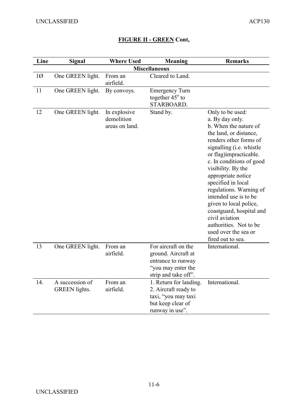| Line            | <b>Signal</b>                           | <b>Where Used</b>                            | <b>Meaning</b>                                                                                                 | <b>Remarks</b>                                                                                                                                                                                                                                                                                                                                                                                                                                                          |  |  |
|-----------------|-----------------------------------------|----------------------------------------------|----------------------------------------------------------------------------------------------------------------|-------------------------------------------------------------------------------------------------------------------------------------------------------------------------------------------------------------------------------------------------------------------------------------------------------------------------------------------------------------------------------------------------------------------------------------------------------------------------|--|--|
|                 | <b>Miscellaneous</b>                    |                                              |                                                                                                                |                                                                                                                                                                                                                                                                                                                                                                                                                                                                         |  |  |
| 10 <sup>o</sup> | One GREEN light.                        | From an<br>airfield.                         | Cleared to Land.                                                                                               |                                                                                                                                                                                                                                                                                                                                                                                                                                                                         |  |  |
| 11              | One GREEN light.                        | By convoys.                                  | <b>Emergency Turn</b><br>together $45^\circ$ to<br>STARBOARD.                                                  |                                                                                                                                                                                                                                                                                                                                                                                                                                                                         |  |  |
| 12              | One GREEN light.                        | In explosive<br>demolition<br>areas on land. | Stand by.                                                                                                      | Only to be used:<br>a. By day only.<br>b. When the nature of<br>the land, or distance,<br>renders other forms of<br>signalling (i.e. whistle<br>or flag)impracticable.<br>c. In conditions of good<br>visibility. By the<br>appropriate notice<br>specified in local<br>regulations. Warning of<br>intended use is to be<br>given to local police,<br>coastguard, hospital and<br>civil aviation<br>authorities. Not to be<br>used over the sea or<br>fired out to sea. |  |  |
| 13              | One GREEN light.                        | From an<br>airfield.                         | For aircraft on the<br>ground. Aircraft at<br>entrance to runway<br>"you may enter the<br>strip and take off". | International.                                                                                                                                                                                                                                                                                                                                                                                                                                                          |  |  |
| 14.             | A succession of<br><b>GREEN</b> lights. | From an<br>airfield.                         | 1. Return for landing.<br>2. Aircraft ready to<br>taxi, "you may taxi<br>but keep clear of<br>runway in use".  | International.                                                                                                                                                                                                                                                                                                                                                                                                                                                          |  |  |

# **FIGURE II - GREEN Cont,**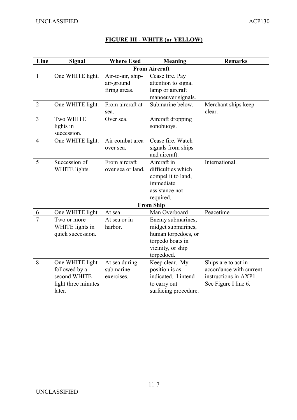# **FIGURE III - WHITE (or YELLOW)**

| Line           | Signal                                                                            | <b>Where Used</b>                        | <b>Meaning</b>                                                                                                        | <b>Remarks</b>                                                                                  |
|----------------|-----------------------------------------------------------------------------------|------------------------------------------|-----------------------------------------------------------------------------------------------------------------------|-------------------------------------------------------------------------------------------------|
|                |                                                                                   |                                          | <b>From Aircraft</b>                                                                                                  |                                                                                                 |
| $\mathbf{1}$   | One WHITE light.                                                                  | Air-to-air, ship-<br>air-ground          | Cease fire. Pay<br>attention to signal                                                                                |                                                                                                 |
|                |                                                                                   | firing areas.                            | lamp or aircraft<br>manoeuver signals.                                                                                |                                                                                                 |
| $\overline{2}$ | One WHITE light.                                                                  | From aircraft at<br>sea.                 | Submarine below.                                                                                                      | Merchant ships keep<br>clear.                                                                   |
| 3              | <b>Two WHITE</b><br>lights in<br>succession.                                      | Over sea.                                | Aircraft dropping<br>sonobuoys.                                                                                       |                                                                                                 |
| $\overline{4}$ | One WHITE light.                                                                  | Air combat area<br>over sea.             | Cease fire. Watch<br>signals from ships<br>and aircraft.                                                              |                                                                                                 |
| 5              | Succession of<br>WHITE lights.                                                    | From aircraft<br>over sea or land.       | Aircraft in<br>difficulties which<br>compel it to land,<br>immediate<br>assistance not<br>required.                   | International.                                                                                  |
|                |                                                                                   |                                          | <b>From Ship</b>                                                                                                      |                                                                                                 |
| 6              | One WHITE light                                                                   | At sea                                   | Man Overboard                                                                                                         | Peacetime                                                                                       |
| 7              | Two or more<br>WHITE lights in<br>quick succession.                               | At sea or in<br>harbor.                  | Enemy submarines,<br>midget submarines,<br>human torpedoes, or<br>torpedo boats in<br>vicinity, or ship<br>torpedoed. |                                                                                                 |
| 8              | One WHITE light<br>followed by a<br>second WHITE<br>light three minutes<br>later. | At sea during<br>submarine<br>exercises. | Keep clear. My<br>position is as<br>indicated. I intend<br>to carry out<br>surfacing procedure.                       | Ships are to act in<br>accordance with current<br>instructions in AXP1.<br>See Figure I line 6. |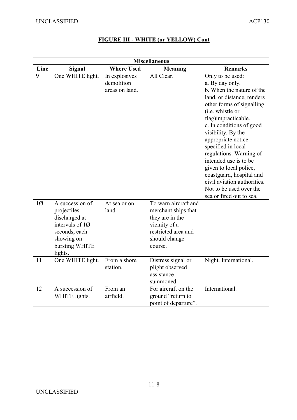|              | <b>Miscellaneous</b>                                                                                                           |                                               |                                                                                                                                    |                                                                                                                                                                                                                                                                                                                                                                                                                                                                      |  |
|--------------|--------------------------------------------------------------------------------------------------------------------------------|-----------------------------------------------|------------------------------------------------------------------------------------------------------------------------------------|----------------------------------------------------------------------------------------------------------------------------------------------------------------------------------------------------------------------------------------------------------------------------------------------------------------------------------------------------------------------------------------------------------------------------------------------------------------------|--|
| Line         | Signal                                                                                                                         | <b>Where Used</b>                             | Meaning                                                                                                                            | <b>Remarks</b>                                                                                                                                                                                                                                                                                                                                                                                                                                                       |  |
| 9            | One WHITE light.                                                                                                               | In explosives<br>demolition<br>areas on land. | All Clear.                                                                                                                         | Only to be used:<br>a. By day only.<br>b. When the nature of the<br>land, or distance, renders<br>other forms of signalling<br>(i.e. whistle or<br>flag)impracticable.<br>c. In conditions of good<br>visibility. By the<br>appropriate notice<br>specified in local<br>regulations. Warning of<br>intended use is to be<br>given to local police,<br>coastguard, hospital and<br>civil aviation authorities.<br>Not to be used over the<br>sea or fired out to sea. |  |
| $1\emptyset$ | A succession of<br>projectiles<br>discharged at<br>intervals of 10<br>seconds, each<br>showing on<br>bursting WHITE<br>lights. | At sea or on<br>land.                         | To warn aircraft and<br>merchant ships that<br>they are in the<br>vicinity of a<br>restricted area and<br>should change<br>course. |                                                                                                                                                                                                                                                                                                                                                                                                                                                                      |  |
| 11           | One WHITE light.                                                                                                               | From a shore<br>station.                      | Distress signal or<br>plight observed<br>assistance<br>summoned.                                                                   | Night. International.                                                                                                                                                                                                                                                                                                                                                                                                                                                |  |
| 12           | A succession of<br>WHITE lights.                                                                                               | From an<br>airfield.                          | For aircraft on the<br>ground "return to<br>point of departure".                                                                   | International.                                                                                                                                                                                                                                                                                                                                                                                                                                                       |  |

# **FIGURE III - WHITE (or YELLOW) Cont**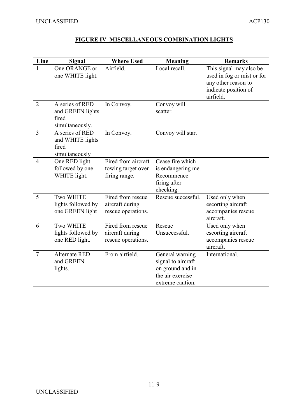# **FIGURE IV MISCELLANEOUS COMBINATION LIGHTS**

| Line            | <b>Signal</b>                                                   | <b>Where Used</b>                                          | <b>Meaning</b>                                                                                    | <b>Remarks</b>                                                                                                    |
|-----------------|-----------------------------------------------------------------|------------------------------------------------------------|---------------------------------------------------------------------------------------------------|-------------------------------------------------------------------------------------------------------------------|
| 1               | One ORANGE or<br>one WHITE light.                               | Airfield.                                                  | Local recall.                                                                                     | This signal may also be<br>used in fog or mist or for<br>any other reason to<br>indicate position of<br>airfield. |
| $\overline{2}$  | A series of RED<br>and GREEN lights<br>fired<br>simultaneously. | In Convoy.                                                 | Convoy will<br>scatter.                                                                           |                                                                                                                   |
| 3               | A series of RED<br>and WHITE lights<br>fired<br>simultaneously  | In Convoy.                                                 | Convoy will star.                                                                                 |                                                                                                                   |
| $\overline{4}$  | One RED light<br>followed by one<br>WHITE light.                | Fired from aircraft<br>towing target over<br>firing range. | Cease fire which<br>is endangering me.<br>Recommence<br>firing after<br>checking.                 |                                                                                                                   |
| 5               | <b>Two WHITE</b><br>lights followed by<br>one GREEN light       | Fired from rescue<br>aircraft during<br>rescue operations. | Rescue successful.                                                                                | Used only when<br>escorting aircraft<br>accompanies rescue<br>aircraft.                                           |
| 6               | <b>Two WHITE</b><br>lights followed by<br>one RED light.        | Fired from rescue<br>aircraft during<br>rescue operations. | Rescue<br>Unsuccessful.                                                                           | Used only when<br>escorting aircraft<br>accompanies rescue<br>aircraft.                                           |
| $7\phantom{.0}$ | <b>Alternate RED</b><br>and GREEN<br>lights.                    | From airfield.                                             | General warning<br>signal to aircraft<br>on ground and in<br>the air exercise<br>extreme caution. | International.                                                                                                    |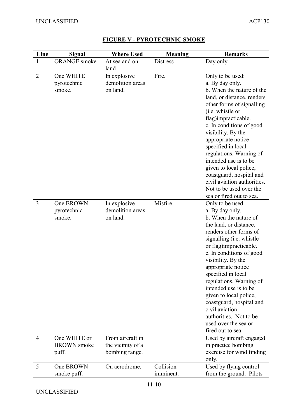| Line           | Signal                                      | <b>Where Used</b>                                       | <b>Meaning</b>         | <b>Remarks</b>                                                                                                                                                                                                                                                                                                                                                                                                                                                          |
|----------------|---------------------------------------------|---------------------------------------------------------|------------------------|-------------------------------------------------------------------------------------------------------------------------------------------------------------------------------------------------------------------------------------------------------------------------------------------------------------------------------------------------------------------------------------------------------------------------------------------------------------------------|
| 1              | <b>ORANGE</b> smoke                         | At sea and on<br>land                                   | <b>Distress</b>        | Day only                                                                                                                                                                                                                                                                                                                                                                                                                                                                |
| $\overline{2}$ | One WHITE<br>pyrotechnic<br>smoke.          | In explosive<br>demolition areas<br>on land.            | Fire.                  | Only to be used:<br>a. By day only.<br>b. When the nature of the<br>land, or distance, renders<br>other forms of signalling<br>(i.e. whistle or<br>flag)impracticable.<br>c. In conditions of good<br>visibility. By the<br>appropriate notice<br>specified in local<br>regulations. Warning of<br>intended use is to be<br>given to local police,<br>coastguard, hospital and<br>civil aviation authorities.<br>Not to be used over the<br>sea or fired out to sea.    |
| $\overline{3}$ | One BROWN<br>pyrotechnic<br>smoke.          | In explosive<br>demolition areas<br>on land.            | Misfire.               | Only to be used:<br>a. By day only.<br>b. When the nature of<br>the land, or distance,<br>renders other forms of<br>signalling (i.e. whistle<br>or flag)impracticable.<br>c. In conditions of good<br>visibility. By the<br>appropriate notice<br>specified in local<br>regulations. Warning of<br>intended use is to be<br>given to local police,<br>coastguard, hospital and<br>civil aviation<br>authorities. Not to be<br>used over the sea or<br>fired out to sea. |
| 4              | One WHITE or<br><b>BROWN</b> smoke<br>puff. | From aircraft in<br>the vicinity of a<br>bombing range. |                        | Used by aircraft engaged<br>in practice bombing<br>exercise for wind finding<br>only.                                                                                                                                                                                                                                                                                                                                                                                   |
| 5              | One BROWN<br>smoke puff.                    | On aerodrome.                                           | Collision<br>imminent. | Used by flying control<br>from the ground. Pilots                                                                                                                                                                                                                                                                                                                                                                                                                       |

# **FIGURE V - PYROTECHNIC SMOKE**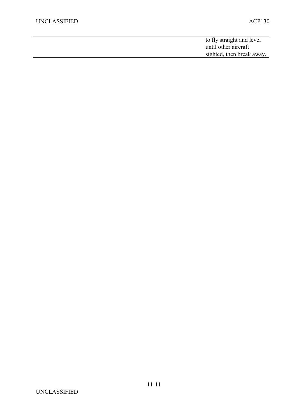to fly straight and level until other aircraft sighted, then break away.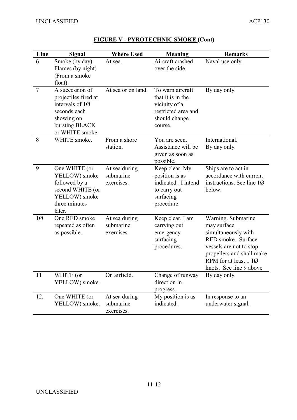| Line           | Signal                                                                                                                        | <b>Where Used</b>                        | <b>Meaning</b>                                                                                            | <b>Remarks</b>                                                                                                                                                                             |
|----------------|-------------------------------------------------------------------------------------------------------------------------------|------------------------------------------|-----------------------------------------------------------------------------------------------------------|--------------------------------------------------------------------------------------------------------------------------------------------------------------------------------------------|
| 6              | Smoke (by day).<br>Flames (by night)<br>(From a smoke<br>float).                                                              | At sea.                                  | Aircraft crashed<br>over the side.                                                                        | Naval use only.                                                                                                                                                                            |
| $\overline{7}$ | A succession of<br>projectiles fired at<br>intervals of 10<br>seconds each<br>showing on<br>bursting BLACK<br>or WHITE smoke. | At sea or on land.                       | To warn aircraft<br>that it is in the<br>vicinity of a<br>restricted area and<br>should change<br>course. | By day only.                                                                                                                                                                               |
| 8              | WHITE smoke.                                                                                                                  | From a shore<br>station.                 | You are seen.<br>Assistance will be<br>given as soon as<br>possible.                                      | International.<br>By day only.                                                                                                                                                             |
| 9              | One WHITE (or<br>YELLOW) smoke<br>followed by a<br>second WHITE (or<br>YELLOW) smoke<br>three minutes<br>later.               | At sea during<br>submarine<br>exercises. | Keep clear. My<br>position is as<br>indicated. I intend<br>to carry out<br>surfacing<br>procedure.        | Ships are to act in<br>accordance with current<br>instructions. See line $10$<br>below.                                                                                                    |
| $1\emptyset$   | One RED smoke<br>repeated as often<br>as possible.                                                                            | At sea during<br>submarine<br>exercises. | Keep clear. I am<br>carrying out<br>emergency<br>surfacing<br>procedures.                                 | Warning. Submarine<br>may surface<br>simultaneously with<br>RED smoke. Surface<br>vessels are not to stop<br>propellers and shall make<br>RPM for at least 1 10<br>knots. See line 9 above |
| 11             | WHITE (or<br>YELLOW) smoke.                                                                                                   | On airfield.                             | Change of runway<br>direction in<br>progress.                                                             | By day only.                                                                                                                                                                               |
| 12.            | One WHITE (or<br>YELLOW) smoke.                                                                                               | At sea during<br>submarine<br>exercises. | My position is as<br>indicated.                                                                           | In response to an<br>underwater signal.                                                                                                                                                    |

# **FIGURE V - PYROTECHNIC SMOKE (Cont)**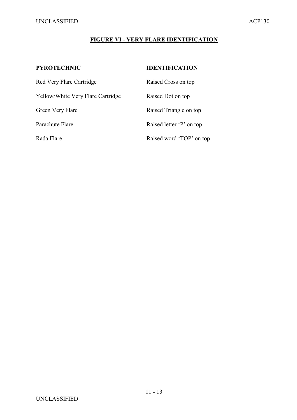# **FIGURE VI - VERY FLARE IDENTIFICATION**

| <b>PYROTECHNIC</b>                | <b>IDENTIFICATION</b>    |
|-----------------------------------|--------------------------|
| Red Very Flare Cartridge          | Raised Cross on top      |
| Yellow/White Very Flare Cartridge | Raised Dot on top        |
| Green Very Flare                  | Raised Triangle on top   |
| Parachute Flare                   | Raised letter 'P' on top |
| Rada Flare                        | Raised word 'TOP' on top |